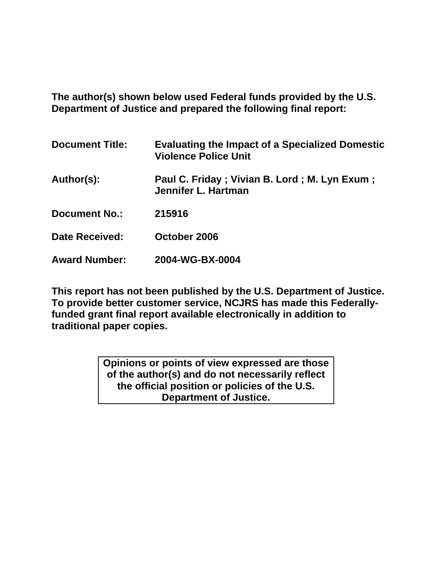**The author(s) shown below used Federal funds provided by the U.S. Department of Justice and prepared the following final report:** 

| <b>Document Title:</b> | <b>Evaluating the Impact of a Specialized Domestic</b><br><b>Violence Police Unit</b> |
|------------------------|---------------------------------------------------------------------------------------|
| Author(s):             | Paul C. Friday; Vivian B. Lord; M. Lyn Exum;<br>Jennifer L. Hartman                   |
| <b>Document No.:</b>   | 215916                                                                                |
| <b>Date Received:</b>  | October 2006                                                                          |
| <b>Award Number:</b>   | 2004-WG-BX-0004                                                                       |

**This report has not been published by the U.S. Department of Justice. To provide better customer service, NCJRS has made this Federallyfunded grant final report available electronically in addition to traditional paper copies.**

> **Opinions or points of view expressed are those of the author(s) and do not necessarily reflect the official position or policies of the U.S. Department of Justice.**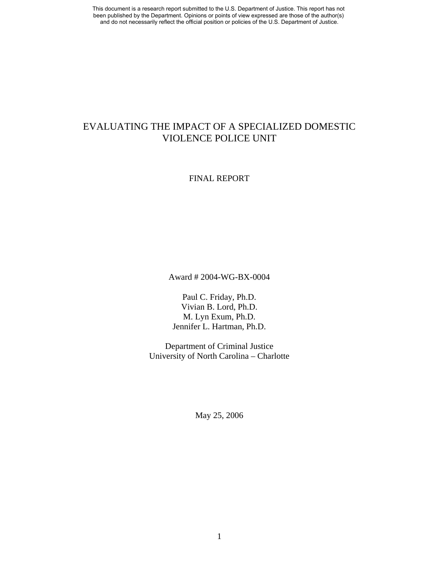## EVALUATING THE IMPACT OF A SPECIALIZED DOMESTIC VIOLENCE POLICE UNIT

### FINAL REPORT

Award # 2004-WG-BX-0004

Paul C. Friday, Ph.D. Vivian B. Lord, Ph.D. M. Lyn Exum, Ph.D. Jennifer L. Hartman, Ph.D.

Department of Criminal Justice University of North Carolina – Charlotte

May 25, 2006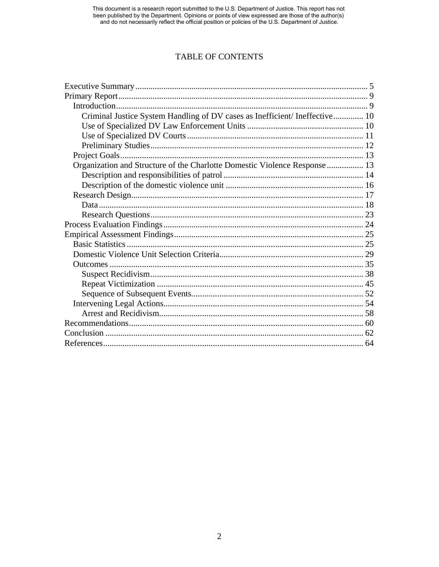This document is a research report submitted to the U.S. Department of Justice. This report has not been published by the Department. Opinions or points of view expressed are those of the author(s) and do not necessarily r

## TABLE OF CONTENTS

| Criminal Justice System Handling of DV cases as Inefficient/Ineffective 10 |  |
|----------------------------------------------------------------------------|--|
|                                                                            |  |
|                                                                            |  |
|                                                                            |  |
|                                                                            |  |
| Organization and Structure of the Charlotte Domestic Violence Response  13 |  |
|                                                                            |  |
|                                                                            |  |
|                                                                            |  |
|                                                                            |  |
|                                                                            |  |
|                                                                            |  |
|                                                                            |  |
|                                                                            |  |
|                                                                            |  |
|                                                                            |  |
|                                                                            |  |
|                                                                            |  |
|                                                                            |  |
|                                                                            |  |
|                                                                            |  |
|                                                                            |  |
|                                                                            |  |
|                                                                            |  |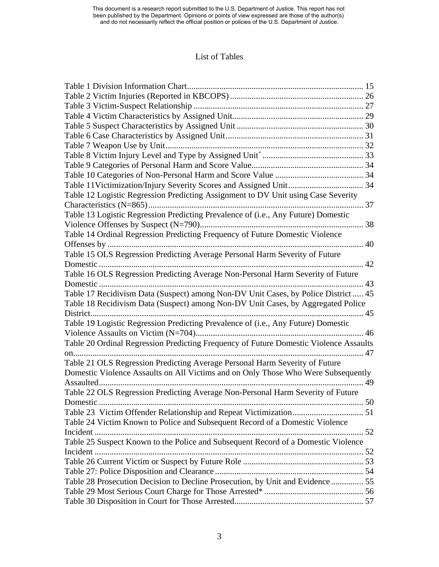## List of Tables

| Table 7 Weapon Use by Unit                                                            |     |
|---------------------------------------------------------------------------------------|-----|
|                                                                                       |     |
|                                                                                       |     |
|                                                                                       |     |
|                                                                                       |     |
| Table 12 Logistic Regression Predicting Assignment to DV Unit using Case Severity     |     |
|                                                                                       | 37  |
| Table 13 Logistic Regression Predicting Prevalence of (i.e., Any Future) Domestic     |     |
|                                                                                       |     |
| Table 14 Ordinal Regression Predicting Frequency of Future Domestic Violence          |     |
|                                                                                       |     |
| Table 15 OLS Regression Predicting Average Personal Harm Severity of Future           |     |
| Domestic                                                                              | 42  |
| Table 16 OLS Regression Predicting Average Non-Personal Harm Severity of Future       |     |
| Domestic                                                                              | 43  |
| Table 17 Recidivism Data (Suspect) among Non-DV Unit Cases, by Police District  45    |     |
| Table 18 Recidivism Data (Suspect) among Non-DV Unit Cases, by Aggregated Police      |     |
| District                                                                              |     |
| Table 19 Logistic Regression Predicting Prevalence of (i.e., Any Future) Domestic     |     |
|                                                                                       | 46  |
| Table 20 Ordinal Regression Predicting Frequency of Future Domestic Violence Assaults |     |
| on.                                                                                   | 47  |
| Table 21 OLS Regression Predicting Average Personal Harm Severity of Future           |     |
| Domestic Violence Assaults on All Victims and on Only Those Who Were Subsequently     |     |
| Assaulted.                                                                            | 49  |
| Table 22 OLS Regression Predicting Average Non-Personal Harm Severity of Future       |     |
| Domestic                                                                              | .50 |
|                                                                                       |     |
| Table 24 Victim Known to Police and Subsequent Record of a Domestic Violence          |     |
|                                                                                       |     |
| Table 25 Suspect Known to the Police and Subsequent Record of a Domestic Violence     |     |
|                                                                                       |     |
|                                                                                       |     |
|                                                                                       |     |
| Table 28 Prosecution Decision to Decline Prosecution, by Unit and Evidence  55        |     |
|                                                                                       |     |
|                                                                                       |     |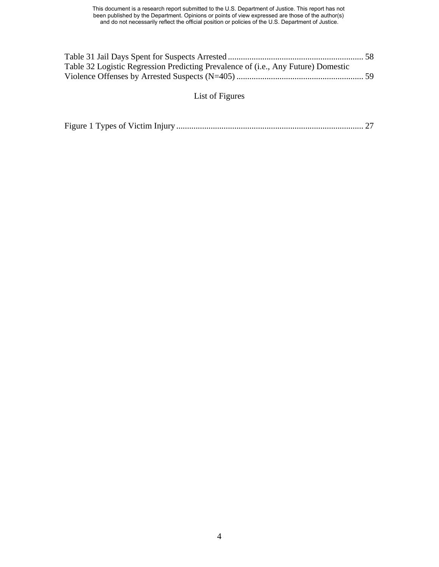| Table 32 Logistic Regression Predicting Prevalence of (i.e., Any Future) Domestic |  |
|-----------------------------------------------------------------------------------|--|
|                                                                                   |  |

# List of Figures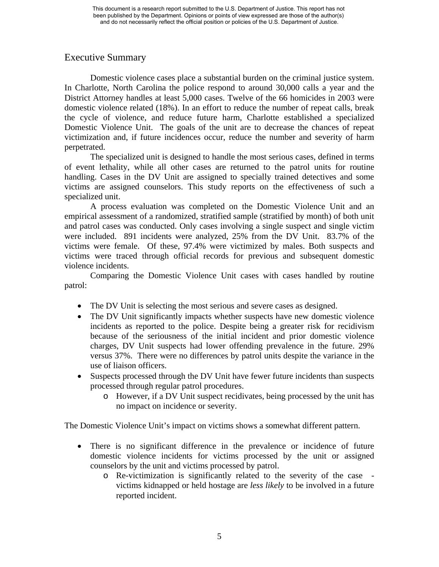## Executive Summary

Domestic violence cases place a substantial burden on the criminal justice system. In Charlotte, North Carolina the police respond to around 30,000 calls a year and the District Attorney handles at least 5,000 cases. Twelve of the 66 homicides in 2003 were domestic violence related (18%). In an effort to reduce the number of repeat calls, break the cycle of violence, and reduce future harm, Charlotte established a specialized Domestic Violence Unit. The goals of the unit are to decrease the chances of repeat victimization and, if future incidences occur, reduce the number and severity of harm perpetrated.

The specialized unit is designed to handle the most serious cases, defined in terms of event lethality, while all other cases are returned to the patrol units for routine handling. Cases in the DV Unit are assigned to specially trained detectives and some victims are assigned counselors. This study reports on the effectiveness of such a specialized unit.

A process evaluation was completed on the Domestic Violence Unit and an empirical assessment of a randomized, stratified sample (stratified by month) of both unit and patrol cases was conducted. Only cases involving a single suspect and single victim were included. 891 incidents were analyzed, 25% from the DV Unit. 83.7% of the victims were female. Of these, 97.4% were victimized by males. Both suspects and victims were traced through official records for previous and subsequent domestic violence incidents.

Comparing the Domestic Violence Unit cases with cases handled by routine patrol:

- The DV Unit is selecting the most serious and severe cases as designed.
- The DV Unit significantly impacts whether suspects have new domestic violence incidents as reported to the police. Despite being a greater risk for recidivism because of the seriousness of the initial incident and prior domestic violence charges, DV Unit suspects had lower offending prevalence in the future. 29% versus 37%. There were no differences by patrol units despite the variance in the use of liaison officers.
- Suspects processed through the DV Unit have fewer future incidents than suspects processed through regular patrol procedures.
	- o However, if a DV Unit suspect recidivates, being processed by the unit has no impact on incidence or severity.

The Domestic Violence Unit's impact on victims shows a somewhat different pattern.

- There is no significant difference in the prevalence or incidence of future domestic violence incidents for victims processed by the unit or assigned counselors by the unit and victims processed by patrol.
	- o Re-victimization is significantly related to the severity of the case victims kidnapped or held hostage are *less likely* to be involved in a future reported incident.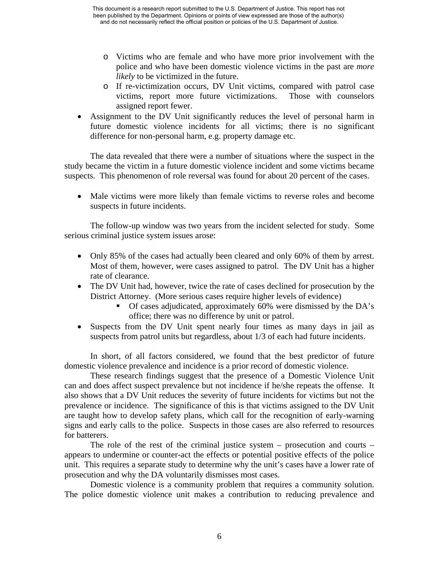- o Victims who are female and who have more prior involvement with the police and who have been domestic violence victims in the past are *more likely* to be victimized in the future.
- o If re-victimization occurs, DV Unit victims, compared with patrol case victims, report more future victimizations. Those with counselors assigned report fewer.
- Assignment to the DV Unit significantly reduces the level of personal harm in future domestic violence incidents for all victims; there is no significant difference for non-personal harm, e.g. property damage etc.

The data revealed that there were a number of situations where the suspect in the study became the victim in a future domestic violence incident and some victims became suspects. This phenomenon of role reversal was found for about 20 percent of the cases.

• Male victims were more likely than female victims to reverse roles and become suspects in future incidents.

The follow-up window was two years from the incident selected for study. Some serious criminal justice system issues arose:

- Only 85% of the cases had actually been cleared and only 60% of them by arrest. Most of them, however, were cases assigned to patrol. The DV Unit has a higher rate of clearance.
- The DV Unit had, however, twice the rate of cases declined for prosecution by the District Attorney. (More serious cases require higher levels of evidence)
	- Of cases adjudicated, approximately 60% were dismissed by the DA's office; there was no difference by unit or patrol.
- Suspects from the DV Unit spent nearly four times as many days in jail as suspects from patrol units but regardless, about 1/3 of each had future incidents.

In short, of all factors considered, we found that the best predictor of future domestic violence prevalence and incidence is a prior record of domestic violence.

These research findings suggest that the presence of a Domestic Violence Unit can and does affect suspect prevalence but not incidence if he/she repeats the offense. It also shows that a DV Unit reduces the severity of future incidents for victims but not the prevalence or incidence. The significance of this is that victims assigned to the DV Unit are taught how to develop safety plans, which call for the recognition of early-warning signs and early calls to the police. Suspects in those cases are also referred to resources for batterers.

The role of the rest of the criminal justice system – prosecution and courts – appears to undermine or counter-act the effects or potential positive effects of the police unit. This requires a separate study to determine why the unit's cases have a lower rate of prosecution and why the DA voluntarily dismisses most cases.

Domestic violence is a community problem that requires a community solution. The police domestic violence unit makes a contribution to reducing prevalence and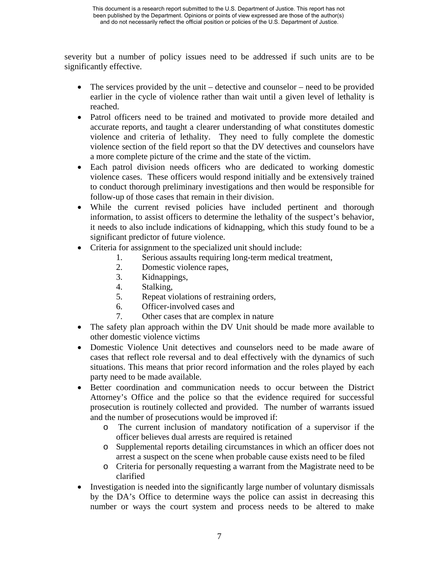severity but a number of policy issues need to be addressed if such units are to be significantly effective.

- The services provided by the unit detective and counselor need to be provided earlier in the cycle of violence rather than wait until a given level of lethality is reached.
- Patrol officers need to be trained and motivated to provide more detailed and accurate reports, and taught a clearer understanding of what constitutes domestic violence and criteria of lethality. They need to fully complete the domestic violence section of the field report so that the DV detectives and counselors have a more complete picture of the crime and the state of the victim.
- Each patrol division needs officers who are dedicated to working domestic violence cases. These officers would respond initially and be extensively trained to conduct thorough preliminary investigations and then would be responsible for follow-up of those cases that remain in their division.
- While the current revised policies have included pertinent and thorough information, to assist officers to determine the lethality of the suspect's behavior, it needs to also include indications of kidnapping, which this study found to be a significant predictor of future violence.
- Criteria for assignment to the specialized unit should include:
	- 1. Serious assaults requiring long-term medical treatment,
		- 2. Domestic violence rapes,
		- 3. Kidnappings,
		- 4. Stalking,
		- 5. Repeat violations of restraining orders,
		- 6. Officer-involved cases and
	- 7. Other cases that are complex in nature
- The safety plan approach within the DV Unit should be made more available to other domestic violence victims
- Domestic Violence Unit detectives and counselors need to be made aware of cases that reflect role reversal and to deal effectively with the dynamics of such situations. This means that prior record information and the roles played by each party need to be made available.
- Better coordination and communication needs to occur between the District Attorney's Office and the police so that the evidence required for successful prosecution is routinely collected and provided. The number of warrants issued and the number of prosecutions would be improved if:
	- o The current inclusion of mandatory notification of a supervisor if the officer believes dual arrests are required is retained
	- o Supplemental reports detailing circumstances in which an officer does not arrest a suspect on the scene when probable cause exists need to be filed
	- o Criteria for personally requesting a warrant from the Magistrate need to be clarified
- Investigation is needed into the significantly large number of voluntary dismissals by the DA's Office to determine ways the police can assist in decreasing this number or ways the court system and process needs to be altered to make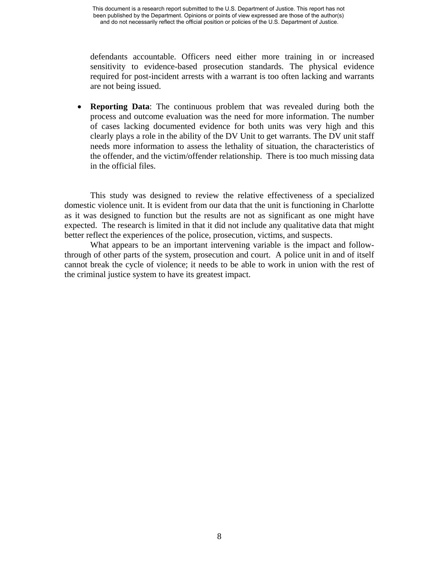defendants accountable. Officers need either more training in or increased sensitivity to evidence-based prosecution standards. The physical evidence required for post-incident arrests with a warrant is too often lacking and warrants are not being issued.

• **Reporting Data**: The continuous problem that was revealed during both the process and outcome evaluation was the need for more information. The number of cases lacking documented evidence for both units was very high and this clearly plays a role in the ability of the DV Unit to get warrants. The DV unit staff needs more information to assess the lethality of situation, the characteristics of the offender, and the victim/offender relationship. There is too much missing data in the official files.

This study was designed to review the relative effectiveness of a specialized domestic violence unit. It is evident from our data that the unit is functioning in Charlotte as it was designed to function but the results are not as significant as one might have expected. The research is limited in that it did not include any qualitative data that might better reflect the experiences of the police, prosecution, victims, and suspects.

What appears to be an important intervening variable is the impact and followthrough of other parts of the system, prosecution and court. A police unit in and of itself cannot break the cycle of violence; it needs to be able to work in union with the rest of the criminal justice system to have its greatest impact.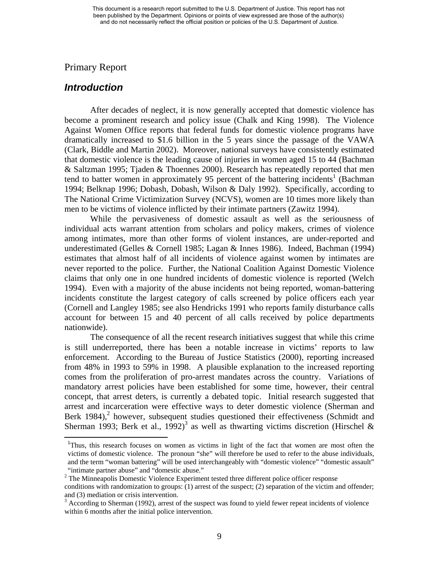## Primary Report

## *Introduction*

 $\overline{a}$ 

After decades of neglect, it is now generally accepted that domestic violence has become a prominent research and policy issue (Chalk and King 1998). The Violence Against Women Office reports that federal funds for domestic violence programs have dramatically increased to \$1.6 billion in the 5 years since the passage of the VAWA (Clark, Biddle and Martin 2002). Moreover, national surveys have consistently estimated that domestic violence is the leading cause of injuries in women aged 15 to 44 (Bachman & Saltzman 1995; Tjaden & Thoennes 2000). Research has repeatedly reported that men tend to batter women in approximately 95 percent of the battering incidents<sup>1</sup> (Bachman 1994; Belknap 1996; Dobash, Dobash, Wilson & Daly 1992). Specifically, according to The National Crime Victimization Survey (NCVS), women are 10 times more likely than men to be victims of violence inflicted by their intimate partners (Zawitz 1994).

While the pervasiveness of domestic assault as well as the seriousness of individual acts warrant attention from scholars and policy makers, crimes of violence among intimates, more than other forms of violent instances, are under-reported and underestimated (Gelles & Cornell 1985; Lagan & Innes 1986). Indeed, Bachman (1994) estimates that almost half of all incidents of violence against women by intimates are never reported to the police. Further, the National Coalition Against Domestic Violence claims that only one in one hundred incidents of domestic violence is reported (Welch 1994). Even with a majority of the abuse incidents not being reported, woman-battering incidents constitute the largest category of calls screened by police officers each year (Cornell and Langley 1985; see also Hendricks 1991 who reports family disturbance calls account for between 15 and 40 percent of all calls received by police departments nationwide).

The consequence of all the recent research initiatives suggest that while this crime is still underreported, there has been a notable increase in victims' reports to law enforcement. According to the Bureau of Justice Statistics (2000), reporting increased from 48% in 1993 to 59% in 1998. A plausible explanation to the increased reporting comes from the proliferation of pro-arrest mandates across the country. Variations of mandatory arrest policies have been established for some time, however, their central concept, that arrest deters, is currently a debated topic. Initial research suggested that arrest and incarceration were effective ways to deter domestic violence (Sherman and Berk 1984),<sup>2</sup> however, subsequent studies questioned their effectiveness (Schmidt and Sherman 1993; Berk et al., 1992)<sup>3</sup> as well as thwarting victims discretion (Hirschel &

<sup>&</sup>lt;sup>1</sup>Thus, this research focuses on women as victims in light of the fact that women are most often the victims of domestic violence. The pronoun "she" will therefore be used to refer to the abuse individuals, and the term "woman battering" will be used interchangeably with "domestic violence" "domestic assault" "intimate partner abuse" and "domestic abuse."

<sup>&</sup>lt;sup>2</sup> The Minneapolis Domestic Violence Experiment tested three different police officer response conditions with randomization to groups: (1) arrest of the suspect; (2) separation of the victim and offender; and (3) mediation or crisis intervention.

<sup>&</sup>lt;sup>3</sup> According to Sherman (1992), arrest of the suspect was found to yield fewer repeat incidents of violence within 6 months after the initial police intervention.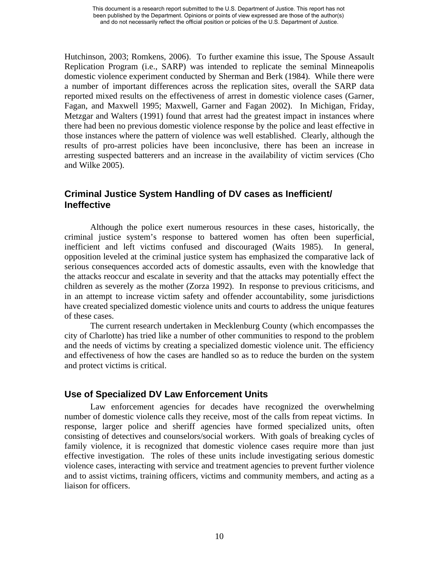Hutchinson, 2003; Romkens, 2006). To further examine this issue, The Spouse Assault Replication Program (i.e., SARP) was intended to replicate the seminal Minneapolis domestic violence experiment conducted by Sherman and Berk (1984). While there were a number of important differences across the replication sites, overall the SARP data reported mixed results on the effectiveness of arrest in domestic violence cases (Garner, Fagan, and Maxwell 1995; Maxwell, Garner and Fagan 2002). In Michigan, Friday, Metzgar and Walters (1991) found that arrest had the greatest impact in instances where there had been no previous domestic violence response by the police and least effective in those instances where the pattern of violence was well established. Clearly, although the results of pro-arrest policies have been inconclusive, there has been an increase in arresting suspected batterers and an increase in the availability of victim services (Cho and Wilke 2005).

## **Criminal Justice System Handling of DV cases as Inefficient/ Ineffective**

Although the police exert numerous resources in these cases, historically, the criminal justice system's response to battered women has often been superficial, inefficient and left victims confused and discouraged (Waits 1985). In general, opposition leveled at the criminal justice system has emphasized the comparative lack of serious consequences accorded acts of domestic assaults, even with the knowledge that the attacks reoccur and escalate in severity and that the attacks may potentially effect the children as severely as the mother (Zorza 1992). In response to previous criticisms, and in an attempt to increase victim safety and offender accountability, some jurisdictions have created specialized domestic violence units and courts to address the unique features of these cases.

The current research undertaken in Mecklenburg County (which encompasses the city of Charlotte) has tried like a number of other communities to respond to the problem and the needs of victims by creating a specialized domestic violence unit. The efficiency and effectiveness of how the cases are handled so as to reduce the burden on the system and protect victims is critical.

## **Use of Specialized DV Law Enforcement Units**

Law enforcement agencies for decades have recognized the overwhelming number of domestic violence calls they receive, most of the calls from repeat victims. In response, larger police and sheriff agencies have formed specialized units, often consisting of detectives and counselors/social workers. With goals of breaking cycles of family violence, it is recognized that domestic violence cases require more than just effective investigation. The roles of these units include investigating serious domestic violence cases, interacting with service and treatment agencies to prevent further violence and to assist victims, training officers, victims and community members, and acting as a liaison for officers.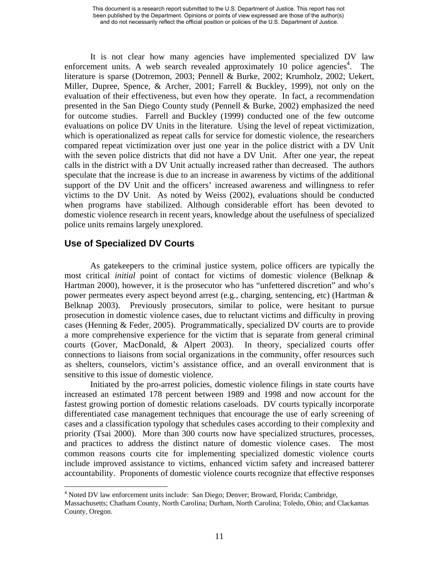It is not clear how many agencies have implemented specialized DV law enforcement units. A web search revealed approximately 10 police agencies<sup>4</sup>. The literature is sparse (Dotremon, 2003; Pennell & Burke, 2002; Krumholz, 2002; Uekert, Miller, Dupree, Spence, & Archer, 2001; Farrell & Buckley, 1999), not only on the evaluation of their effectiveness, but even how they operate. In fact, a recommendation presented in the San Diego County study (Pennell & Burke, 2002) emphasized the need for outcome studies. Farrell and Buckley (1999) conducted one of the few outcome evaluations on police DV Units in the literature. Using the level of repeat victimization, which is operationalized as repeat calls for service for domestic violence, the researchers compared repeat victimization over just one year in the police district with a DV Unit with the seven police districts that did not have a DV Unit. After one year, the repeat calls in the district with a DV Unit actually increased rather than decreased. The authors speculate that the increase is due to an increase in awareness by victims of the additional support of the DV Unit and the officers' increased awareness and willingness to refer victims to the DV Unit. As noted by Weiss (2002), evaluations should be conducted when programs have stabilized. Although considerable effort has been devoted to domestic violence research in recent years, knowledge about the usefulness of specialized police units remains largely unexplored.

## **Use of Specialized DV Courts**

1

As gatekeepers to the criminal justice system, police officers are typically the most critical *initial* point of contact for victims of domestic violence (Belknap & Hartman 2000), however, it is the prosecutor who has "unfettered discretion" and who's power permeates every aspect beyond arrest (e.g., charging, sentencing, etc) (Hartman & Belknap 2003). Previously prosecutors, similar to police, were hesitant to pursue prosecution in domestic violence cases, due to reluctant victims and difficulty in proving cases (Henning & Feder, 2005). Programmatically, specialized DV courts are to provide a more comprehensive experience for the victim that is separate from general criminal courts (Gover, MacDonald, & Alpert 2003). In theory, specialized courts offer connections to liaisons from social organizations in the community, offer resources such as shelters, counselors, victim's assistance office, and an overall environment that is sensitive to this issue of domestic violence.

Initiated by the pro-arrest policies, domestic violence filings in state courts have increased an estimated 178 percent between 1989 and 1998 and now account for the fastest growing portion of domestic relations caseloads. DV courts typically incorporate differentiated case management techniques that encourage the use of early screening of cases and a classification typology that schedules cases according to their complexity and priority (Tsai 2000). More than 300 courts now have specialized structures, processes, and practices to address the distinct nature of domestic violence cases. The most common reasons courts cite for implementing specialized domestic violence courts include improved assistance to victims, enhanced victim safety and increased batterer accountability. Proponents of domestic violence courts recognize that effective responses

<sup>&</sup>lt;sup>4</sup> Noted DV law enforcement units include: San Diego; Denver; Broward, Florida; Cambridge, Massachusetts; Chatham County, North Carolina; Durham, North Carolina; Toledo, Ohio; and Clackamas County, Oregon.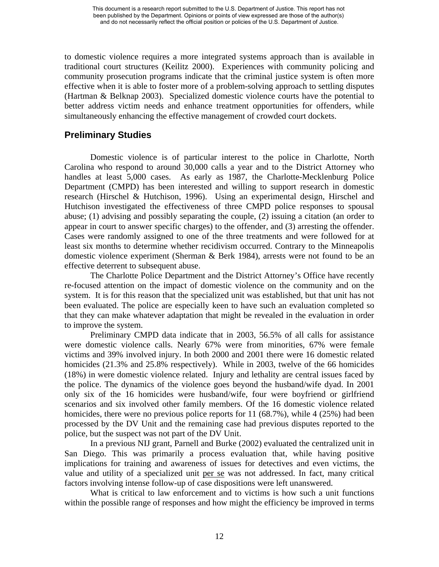to domestic violence requires a more integrated systems approach than is available in traditional court structures (Keilitz 2000). Experiences with community policing and community prosecution programs indicate that the criminal justice system is often more effective when it is able to foster more of a problem-solving approach to settling disputes (Hartman & Belknap 2003). Specialized domestic violence courts have the potential to better address victim needs and enhance treatment opportunities for offenders, while simultaneously enhancing the effective management of crowded court dockets.

## **Preliminary Studies**

Domestic violence is of particular interest to the police in Charlotte, North Carolina who respond to around 30,000 calls a year and to the District Attorney who handles at least 5,000 cases. As early as 1987, the Charlotte-Mecklenburg Police Department (CMPD) has been interested and willing to support research in domestic research (Hirschel & Hutchison, 1996). Using an experimental design, Hirschel and Hutchison investigated the effectiveness of three CMPD police responses to spousal abuse; (1) advising and possibly separating the couple, (2) issuing a citation (an order to appear in court to answer specific charges) to the offender, and (3) arresting the offender. Cases were randomly assigned to one of the three treatments and were followed for at least six months to determine whether recidivism occurred. Contrary to the Minneapolis domestic violence experiment (Sherman & Berk 1984), arrests were not found to be an effective deterrent to subsequent abuse.

The Charlotte Police Department and the District Attorney's Office have recently re-focused attention on the impact of domestic violence on the community and on the system. It is for this reason that the specialized unit was established, but that unit has not been evaluated. The police are especially keen to have such an evaluation completed so that they can make whatever adaptation that might be revealed in the evaluation in order to improve the system.

Preliminary CMPD data indicate that in 2003, 56.5% of all calls for assistance were domestic violence calls. Nearly 67% were from minorities, 67% were female victims and 39% involved injury. In both 2000 and 2001 there were 16 domestic related homicides (21.3% and 25.8% respectively). While in 2003, twelve of the 66 homicides (18%) in were domestic violence related. Injury and lethality are central issues faced by the police. The dynamics of the violence goes beyond the husband/wife dyad. In 2001 only six of the 16 homicides were husband/wife, four were boyfriend or girlfriend scenarios and six involved other family members. Of the 16 domestic violence related homicides, there were no previous police reports for 11 (68.7%), while 4 (25%) had been processed by the DV Unit and the remaining case had previous disputes reported to the police, but the suspect was not part of the DV Unit.

In a previous NIJ grant, Parnell and Burke (2002) evaluated the centralized unit in San Diego. This was primarily a process evaluation that, while having positive implications for training and awareness of issues for detectives and even victims, the value and utility of a specialized unit per se was not addressed. In fact, many critical factors involving intense follow-up of case dispositions were left unanswered.

What is critical to law enforcement and to victims is how such a unit functions within the possible range of responses and how might the efficiency be improved in terms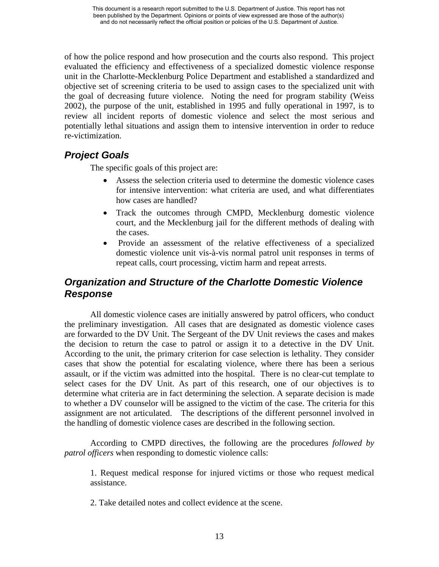of how the police respond and how prosecution and the courts also respond. This project evaluated the efficiency and effectiveness of a specialized domestic violence response unit in the Charlotte-Mecklenburg Police Department and established a standardized and objective set of screening criteria to be used to assign cases to the specialized unit with the goal of decreasing future violence. Noting the need for program stability (Weiss 2002), the purpose of the unit, established in 1995 and fully operational in 1997, is to review all incident reports of domestic violence and select the most serious and potentially lethal situations and assign them to intensive intervention in order to reduce re-victimization.

# *Project Goals*

The specific goals of this project are:

- Assess the selection criteria used to determine the domestic violence cases for intensive intervention: what criteria are used, and what differentiates how cases are handled?
- Track the outcomes through CMPD, Mecklenburg domestic violence court, and the Mecklenburg jail for the different methods of dealing with the cases.
- Provide an assessment of the relative effectiveness of a specialized domestic violence unit vis-à-vis normal patrol unit responses in terms of repeat calls, court processing, victim harm and repeat arrests.

## *Organization and Structure of the Charlotte Domestic Violence Response*

All domestic violence cases are initially answered by patrol officers, who conduct the preliminary investigation. All cases that are designated as domestic violence cases are forwarded to the DV Unit. The Sergeant of the DV Unit reviews the cases and makes the decision to return the case to patrol or assign it to a detective in the DV Unit. According to the unit, the primary criterion for case selection is lethality. They consider cases that show the potential for escalating violence, where there has been a serious assault, or if the victim was admitted into the hospital. There is no clear-cut template to select cases for the DV Unit. As part of this research, one of our objectives is to determine what criteria are in fact determining the selection. A separate decision is made to whether a DV counselor will be assigned to the victim of the case. The criteria for this assignment are not articulated. The descriptions of the different personnel involved in the handling of domestic violence cases are described in the following section.

According to CMPD directives, the following are the procedures *followed by patrol officers* when responding to domestic violence calls:

1. Request medical response for injured victims or those who request medical assistance.

2. Take detailed notes and collect evidence at the scene.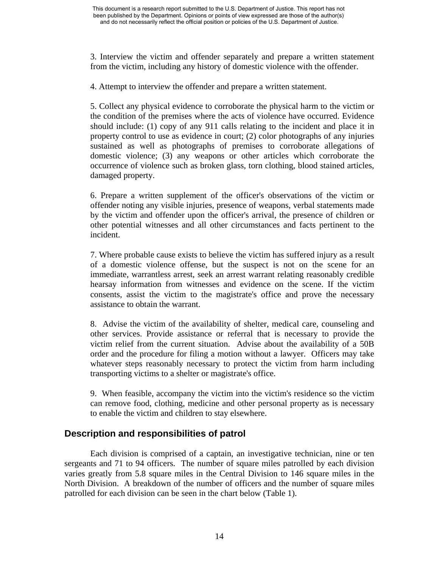3. Interview the victim and offender separately and prepare a written statement from the victim, including any history of domestic violence with the offender.

4. Attempt to interview the offender and prepare a written statement.

5. Collect any physical evidence to corroborate the physical harm to the victim or the condition of the premises where the acts of violence have occurred. Evidence should include: (1) copy of any 911 calls relating to the incident and place it in property control to use as evidence in court; (2) color photographs of any injuries sustained as well as photographs of premises to corroborate allegations of domestic violence; (3) any weapons or other articles which corroborate the occurrence of violence such as broken glass, torn clothing, blood stained articles, damaged property.

6. Prepare a written supplement of the officer's observations of the victim or offender noting any visible injuries, presence of weapons, verbal statements made by the victim and offender upon the officer's arrival, the presence of children or other potential witnesses and all other circumstances and facts pertinent to the incident.

7. Where probable cause exists to believe the victim has suffered injury as a result of a domestic violence offense, but the suspect is not on the scene for an immediate, warrantless arrest, seek an arrest warrant relating reasonably credible hearsay information from witnesses and evidence on the scene. If the victim consents, assist the victim to the magistrate's office and prove the necessary assistance to obtain the warrant.

8. Advise the victim of the availability of shelter, medical care, counseling and other services. Provide assistance or referral that is necessary to provide the victim relief from the current situation. Advise about the availability of a 50B order and the procedure for filing a motion without a lawyer. Officers may take whatever steps reasonably necessary to protect the victim from harm including transporting victims to a shelter or magistrate's office.

9. When feasible, accompany the victim into the victim's residence so the victim can remove food, clothing, medicine and other personal property as is necessary to enable the victim and children to stay elsewhere.

## **Description and responsibilities of patrol**

Each division is comprised of a captain, an investigative technician, nine or ten sergeants and 71 to 94 officers. The number of square miles patrolled by each division varies greatly from 5.8 square miles in the Central Division to 146 square miles in the North Division. A breakdown of the number of officers and the number of square miles patrolled for each division can be seen in the chart below (Table 1).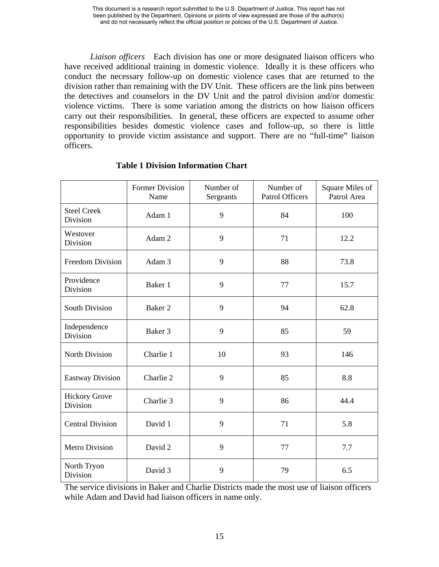*Liaison officers* Each division has one or more designated liaison officers who have received additional training in domestic violence. Ideally it is these officers who conduct the necessary follow-up on domestic violence cases that are returned to the division rather than remaining with the DV Unit. These officers are the link pins between the detectives and counselors in the DV Unit and the patrol division and/or domestic violence victims. There is some variation among the districts on how liaison officers carry out their responsibilities. In general, these officers are expected to assume other responsibilities besides domestic violence cases and follow-up, so there is little opportunity to provide victim assistance and support. There are no "full-time" liaison officers.

|                                  | <b>Former Division</b><br>Name | Number of<br>Sergeants | Number of<br><b>Patrol Officers</b> | Square Miles of<br>Patrol Area |
|----------------------------------|--------------------------------|------------------------|-------------------------------------|--------------------------------|
| <b>Steel Creek</b><br>Division   | Adam 1                         | 9                      | 84                                  | 100                            |
| Westover<br>Division             | Adam 2                         | 9                      | 71                                  | 12.2                           |
| <b>Freedom Division</b>          | Adam 3                         | 9                      | 88                                  | 73.8                           |
| Providence<br>Division           | Baker 1                        | 9                      | 77                                  | 15.7                           |
| <b>South Division</b>            | Baker 2                        | 9                      | 94                                  | 62.8                           |
| Independence<br>Division         | Baker 3                        | 9                      | 85                                  | 59                             |
| <b>North Division</b>            | Charlie 1                      | 10                     | 93                                  | 146                            |
| <b>Eastway Division</b>          | Charlie 2                      | 9                      | 85                                  | 8.8                            |
| <b>Hickory Grove</b><br>Division | Charlie 3                      | 9                      | 86                                  | 44.4                           |
| <b>Central Division</b>          | David 1                        | 9                      | 71                                  | 5.8                            |
| <b>Metro Division</b>            | David 2                        | 9                      | 77                                  | 7.7                            |
| North Tryon<br>Division          | David 3                        | 9                      | 79                                  | 6.5                            |

### **Table 1 Division Information Chart**

The service divisions in Baker and Charlie Districts made the most use of liaison officers while Adam and David had liaison officers in name only.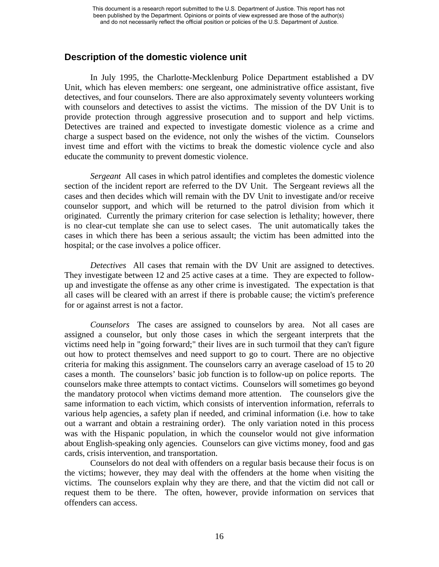## **Description of the domestic violence unit**

In July 1995, the Charlotte-Mecklenburg Police Department established a DV Unit, which has eleven members: one sergeant, one administrative office assistant, five detectives, and four counselors. There are also approximately seventy volunteers working with counselors and detectives to assist the victims. The mission of the DV Unit is to provide protection through aggressive prosecution and to support and help victims. Detectives are trained and expected to investigate domestic violence as a crime and charge a suspect based on the evidence, not only the wishes of the victim. Counselors invest time and effort with the victims to break the domestic violence cycle and also educate the community to prevent domestic violence.

*Sergeant* All cases in which patrol identifies and completes the domestic violence section of the incident report are referred to the DV Unit. The Sergeant reviews all the cases and then decides which will remain with the DV Unit to investigate and/or receive counselor support, and which will be returned to the patrol division from which it originated. Currently the primary criterion for case selection is lethality; however, there is no clear-cut template she can use to select cases. The unit automatically takes the cases in which there has been a serious assault; the victim has been admitted into the hospital; or the case involves a police officer.

*Detectives* All cases that remain with the DV Unit are assigned to detectives. They investigate between 12 and 25 active cases at a time. They are expected to followup and investigate the offense as any other crime is investigated. The expectation is that all cases will be cleared with an arrest if there is probable cause; the victim's preference for or against arrest is not a factor.

*Counselors* The cases are assigned to counselors by area. Not all cases are assigned a counselor, but only those cases in which the sergeant interprets that the victims need help in "going forward;" their lives are in such turmoil that they can't figure out how to protect themselves and need support to go to court. There are no objective criteria for making this assignment. The counselors carry an average caseload of 15 to 20 cases a month. The counselors' basic job function is to follow-up on police reports. The counselors make three attempts to contact victims. Counselors will sometimes go beyond the mandatory protocol when victims demand more attention. The counselors give the same information to each victim, which consists of intervention information, referrals to various help agencies, a safety plan if needed, and criminal information (i.e. how to take out a warrant and obtain a restraining order). The only variation noted in this process was with the Hispanic population, in which the counselor would not give information about English-speaking only agencies. Counselors can give victims money, food and gas cards, crisis intervention, and transportation.

Counselors do not deal with offenders on a regular basis because their focus is on the victims; however, they may deal with the offenders at the home when visiting the victims. The counselors explain why they are there, and that the victim did not call or request them to be there. The often, however, provide information on services that offenders can access.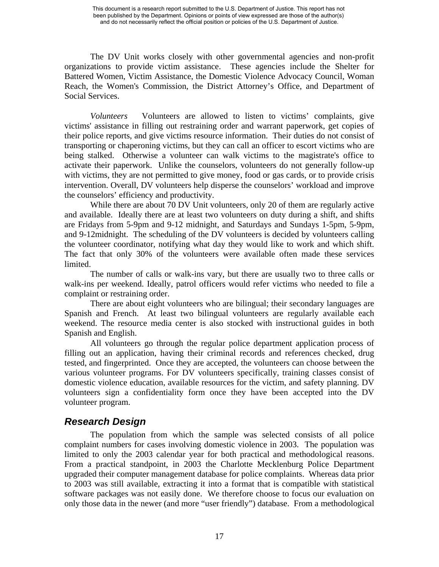The DV Unit works closely with other governmental agencies and non-profit organizations to provide victim assistance. These agencies include the Shelter for Battered Women, Victim Assistance, the Domestic Violence Advocacy Council, Woman Reach, the Women's Commission, the District Attorney's Office, and Department of Social Services.

*Volunteers* Volunteers are allowed to listen to victims' complaints, give victims' assistance in filling out restraining order and warrant paperwork, get copies of their police reports, and give victims resource information. Their duties do not consist of transporting or chaperoning victims, but they can call an officer to escort victims who are being stalked. Otherwise a volunteer can walk victims to the magistrate's office to activate their paperwork. Unlike the counselors, volunteers do not generally follow-up with victims, they are not permitted to give money, food or gas cards, or to provide crisis intervention. Overall, DV volunteers help disperse the counselors' workload and improve the counselors' efficiency and productivity.

While there are about 70 DV Unit volunteers, only 20 of them are regularly active and available. Ideally there are at least two volunteers on duty during a shift, and shifts are Fridays from 5-9pm and 9-12 midnight, and Saturdays and Sundays 1-5pm, 5-9pm, and 9-12midnight. The scheduling of the DV volunteers is decided by volunteers calling the volunteer coordinator, notifying what day they would like to work and which shift. The fact that only 30% of the volunteers were available often made these services limited.

The number of calls or walk-ins vary, but there are usually two to three calls or walk-ins per weekend. Ideally, patrol officers would refer victims who needed to file a complaint or restraining order.

There are about eight volunteers who are bilingual; their secondary languages are Spanish and French. At least two bilingual volunteers are regularly available each weekend. The resource media center is also stocked with instructional guides in both Spanish and English.

All volunteers go through the regular police department application process of filling out an application, having their criminal records and references checked, drug tested, and fingerprinted. Once they are accepted, the volunteers can choose between the various volunteer programs. For DV volunteers specifically, training classes consist of domestic violence education, available resources for the victim, and safety planning. DV volunteers sign a confidentiality form once they have been accepted into the DV volunteer program.

# *Research Design*

The population from which the sample was selected consists of all police complaint numbers for cases involving domestic violence in 2003. The population was limited to only the 2003 calendar year for both practical and methodological reasons. From a practical standpoint, in 2003 the Charlotte Mecklenburg Police Department upgraded their computer management database for police complaints. Whereas data prior to 2003 was still available, extracting it into a format that is compatible with statistical software packages was not easily done. We therefore choose to focus our evaluation on only those data in the newer (and more "user friendly") database. From a methodological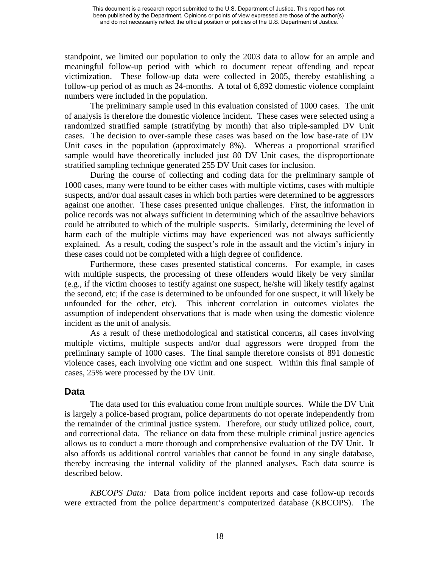standpoint, we limited our population to only the 2003 data to allow for an ample and meaningful follow-up period with which to document repeat offending and repeat victimization. These follow-up data were collected in 2005, thereby establishing a follow-up period of as much as 24-months. A total of 6,892 domestic violence complaint numbers were included in the population.

The preliminary sample used in this evaluation consisted of 1000 cases. The unit of analysis is therefore the domestic violence incident. These cases were selected using a randomized stratified sample (stratifying by month) that also triple-sampled DV Unit cases. The decision to over-sample these cases was based on the low base-rate of DV Unit cases in the population (approximately 8%). Whereas a proportional stratified sample would have theoretically included just 80 DV Unit cases, the disproportionate stratified sampling technique generated 255 DV Unit cases for inclusion.

During the course of collecting and coding data for the preliminary sample of 1000 cases, many were found to be either cases with multiple victims, cases with multiple suspects, and/or dual assault cases in which both parties were determined to be aggressors against one another. These cases presented unique challenges. First, the information in police records was not always sufficient in determining which of the assaultive behaviors could be attributed to which of the multiple suspects. Similarly, determining the level of harm each of the multiple victims may have experienced was not always sufficiently explained. As a result, coding the suspect's role in the assault and the victim's injury in these cases could not be completed with a high degree of confidence.

Furthermore, these cases presented statistical concerns. For example, in cases with multiple suspects, the processing of these offenders would likely be very similar (e.g., if the victim chooses to testify against one suspect, he/she will likely testify against the second, etc; if the case is determined to be unfounded for one suspect, it will likely be unfounded for the other, etc). This inherent correlation in outcomes violates the assumption of independent observations that is made when using the domestic violence incident as the unit of analysis.

As a result of these methodological and statistical concerns, all cases involving multiple victims, multiple suspects and/or dual aggressors were dropped from the preliminary sample of 1000 cases. The final sample therefore consists of 891 domestic violence cases, each involving one victim and one suspect. Within this final sample of cases, 25% were processed by the DV Unit.

## **Data**

The data used for this evaluation come from multiple sources. While the DV Unit is largely a police-based program, police departments do not operate independently from the remainder of the criminal justice system. Therefore, our study utilized police, court, and correctional data. The reliance on data from these multiple criminal justice agencies allows us to conduct a more thorough and comprehensive evaluation of the DV Unit. It also affords us additional control variables that cannot be found in any single database, thereby increasing the internal validity of the planned analyses. Each data source is described below.

*KBCOPS Data:* Data from police incident reports and case follow-up records were extracted from the police department's computerized database (KBCOPS). The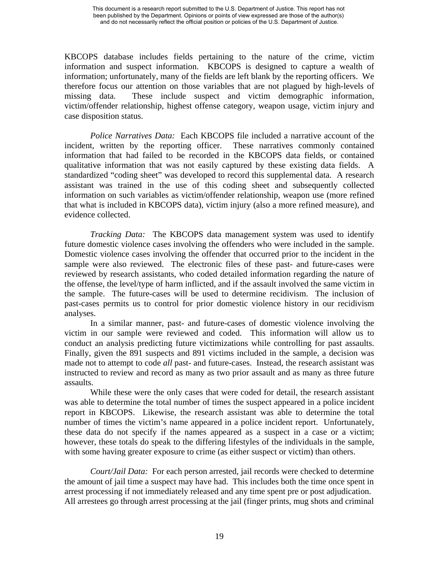KBCOPS database includes fields pertaining to the nature of the crime, victim information and suspect information. KBCOPS is designed to capture a wealth of information; unfortunately, many of the fields are left blank by the reporting officers. We therefore focus our attention on those variables that are not plagued by high-levels of missing data. These include suspect and victim demographic information, victim/offender relationship, highest offense category, weapon usage, victim injury and case disposition status.

*Police Narratives Data:* Each KBCOPS file included a narrative account of the incident, written by the reporting officer. These narratives commonly contained information that had failed to be recorded in the KBCOPS data fields, or contained qualitative information that was not easily captured by these existing data fields. A standardized "coding sheet" was developed to record this supplemental data. A research assistant was trained in the use of this coding sheet and subsequently collected information on such variables as victim/offender relationship, weapon use (more refined that what is included in KBCOPS data), victim injury (also a more refined measure), and evidence collected.

*Tracking Data:* The KBCOPS data management system was used to identify future domestic violence cases involving the offenders who were included in the sample. Domestic violence cases involving the offender that occurred prior to the incident in the sample were also reviewed. The electronic files of these past- and future-cases were reviewed by research assistants, who coded detailed information regarding the nature of the offense, the level/type of harm inflicted, and if the assault involved the same victim in the sample. The future-cases will be used to determine recidivism. The inclusion of past-cases permits us to control for prior domestic violence history in our recidivism analyses.

In a similar manner, past- and future-cases of domestic violence involving the victim in our sample were reviewed and coded. This information will allow us to conduct an analysis predicting future victimizations while controlling for past assaults. Finally, given the 891 suspects and 891 victims included in the sample, a decision was made not to attempt to code *all* past- and future-cases. Instead, the research assistant was instructed to review and record as many as two prior assault and as many as three future assaults.

While these were the only cases that were coded for detail, the research assistant was able to determine the total number of times the suspect appeared in a police incident report in KBCOPS. Likewise, the research assistant was able to determine the total number of times the victim's name appeared in a police incident report. Unfortunately, these data do not specify if the names appeared as a suspect in a case or a victim; however, these totals do speak to the differing lifestyles of the individuals in the sample, with some having greater exposure to crime (as either suspect or victim) than others.

*Court/Jail Data:* For each person arrested, jail records were checked to determine the amount of jail time a suspect may have had. This includes both the time once spent in arrest processing if not immediately released and any time spent pre or post adjudication. All arrestees go through arrest processing at the jail (finger prints, mug shots and criminal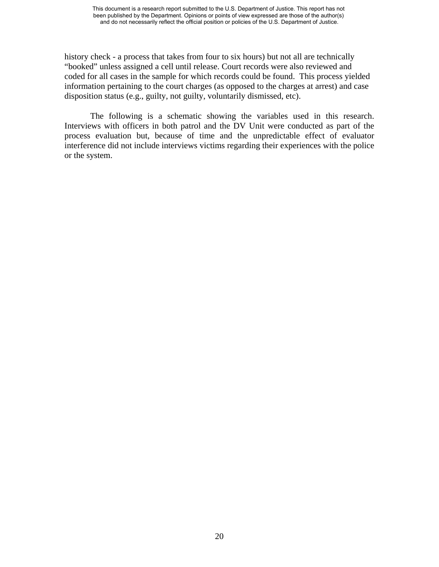history check - a process that takes from four to six hours) but not all are technically "booked" unless assigned a cell until release. Court records were also reviewed and coded for all cases in the sample for which records could be found. This process yielded information pertaining to the court charges (as opposed to the charges at arrest) and case disposition status (e.g., guilty, not guilty, voluntarily dismissed, etc).

The following is a schematic showing the variables used in this research. Interviews with officers in both patrol and the DV Unit were conducted as part of the process evaluation but, because of time and the unpredictable effect of evaluator interference did not include interviews victims regarding their experiences with the police or the system.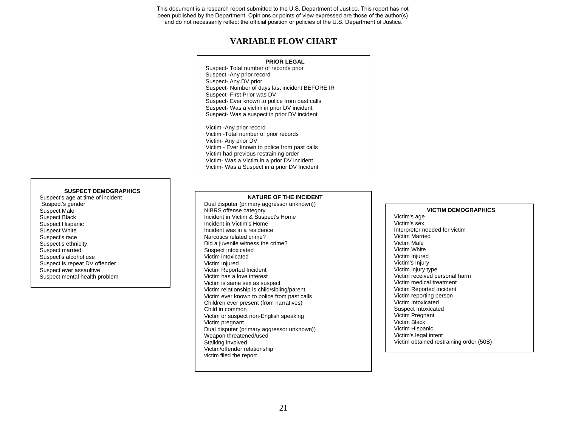### **VARIABLE FLOW CHART**

#### **PRIOR LEGAL**

Suspect- Total number of records prior Suspect -Any prior record Suspect- Any DV prior Suspect- Number of days last incident BEFORE IR Suspect -First Prior was DV Suspect- Ever known to police from past calls Suspect- Was a victim in prior DV incident Suspect- Was a suspect in prior DV incident

Victim -Any prior record Victim -Total number of prior records Victim- Any prior DV Victim - Ever known to police from past calls Victim had previous restraining order Victim- Was a Victim in a prior DV incident Victim- Was a Suspect in a prior DV Incident

#### **SUSPECT DEMOGRAPHICS**

Suspect's age at time of incident Suspect's gender Suspect Male Suspect Black Suspect Hispanic Suspect White Suspect's race Suspect's ethnicity Suspect married Suspect's alcohol use Suspect is repeat DV offender Suspect ever assaultive Suspect mental health problem

#### **NATURE OF THE INCIDENT**

Dual disputer (primary aggressor unknown)) NIBRS offense category Incident in Victim & Suspect's Home Incident in Victim's Home Incident was in a residence Narcotics related crime? Did a juvenile witness the crime? Suspect intoxicated Victim intoxicated Victim Injured Victim Reported Incident Victim has a love interest Victim is same sex as suspect Victim relationship is child/sibling/parent Victim ever known to police from past calls Children ever present (from narratives) Child in common Victim or suspect non-English speaking Victim pregnant Dual disputer (primary aggressor unknown)) Weapon threatened/used Stalking involved Victim/offender relationship victim filed the report

#### **VICTIM DEMOGRAPHICS**

Victim's age Victim's sexInterpreter needed for victim Victim Married Victim Male Victim White Victim Injured Victim's Injury Victim injury type Victim received personal harm Victim medical treatment Victim Reported Incident Victim reporting person Victim Intoxicated Suspect Intoxicated Victim Pregnant Victim Black Victim Hispanic Victim's legal intent Victim obtained restraining order (50B)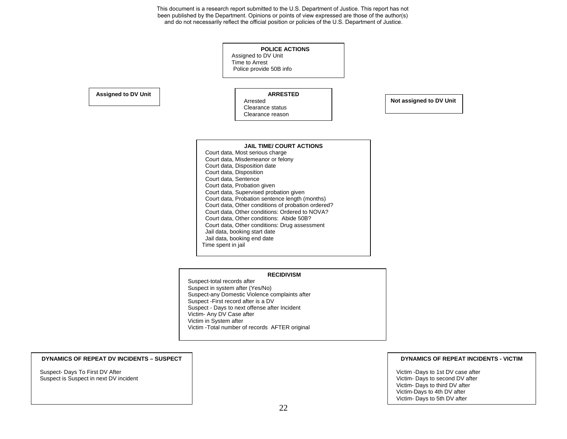#### **POLICE ACTIONS** Assigned to DV Unit Time to Arrest Police provide 50B info **ARRESTED** Arrested Clearance status Clearance reason**JAIL TIME/ COURT ACTIONS**  Court data, Most serious charge Court data, Misdemeanor or felony Court data, Disposition date Court data, Disposition Court data, Sentence Court data, Probation given Court data, Supervised probation given Court data, Probation sentence length (months) Court data, Other conditions of probation ordered? Court data, Other conditions: Ordered to NOVA? Court data, Other conditions: Abide 50B? Court data, Other conditions: Drug assessment Jail data, booking start date Jail data, booking end date Time spent in jail **Assigned to DV Unit Not assigned to DV Unit**

#### **RECIDIVISM**

Suspect-total records after Suspect in system after (Yes/No) Suspect-any Domestic Violence complaints after Suspect -First record after is a DV Suspect - Days to next offense after Incident Victim- Any DV Case after Victim in System after Victim -Total number of records AFTER original

#### **DYNAMICS OF REPEAT DV INCIDENTS – SUSPECT**

Suspect- Days To First DV After Suspect is Suspect in next DV incident

#### **DYNAMICS OF REPEAT INCIDENTS - VICTIM**

Victim -Days to 1st DV case after Victim- Days to second DV after Victim- Days to third DV after Victim-Days to 4th DV after Victim- Days to 5th DV after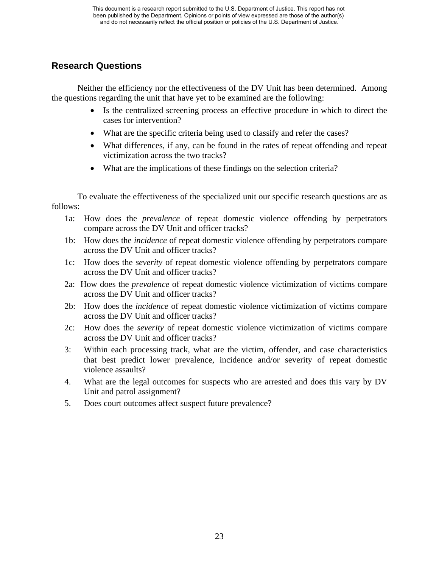# **Research Questions**

Neither the efficiency nor the effectiveness of the DV Unit has been determined. Among the questions regarding the unit that have yet to be examined are the following:

- Is the centralized screening process an effective procedure in which to direct the cases for intervention?
- What are the specific criteria being used to classify and refer the cases?
- What differences, if any, can be found in the rates of repeat offending and repeat victimization across the two tracks?
- What are the implications of these findings on the selection criteria?

To evaluate the effectiveness of the specialized unit our specific research questions are as follows:

- 1a: How does the *prevalence* of repeat domestic violence offending by perpetrators compare across the DV Unit and officer tracks?
- 1b: How does the *incidence* of repeat domestic violence offending by perpetrators compare across the DV Unit and officer tracks?
- 1c: How does the *severity* of repeat domestic violence offending by perpetrators compare across the DV Unit and officer tracks?
- 2a: How does the *prevalence* of repeat domestic violence victimization of victims compare across the DV Unit and officer tracks?
- 2b: How does the *incidence* of repeat domestic violence victimization of victims compare across the DV Unit and officer tracks?
- 2c: How does the *severity* of repeat domestic violence victimization of victims compare across the DV Unit and officer tracks?
- 3: Within each processing track, what are the victim, offender, and case characteristics that best predict lower prevalence, incidence and/or severity of repeat domestic violence assaults?
- 4. What are the legal outcomes for suspects who are arrested and does this vary by DV Unit and patrol assignment?
- 5. Does court outcomes affect suspect future prevalence?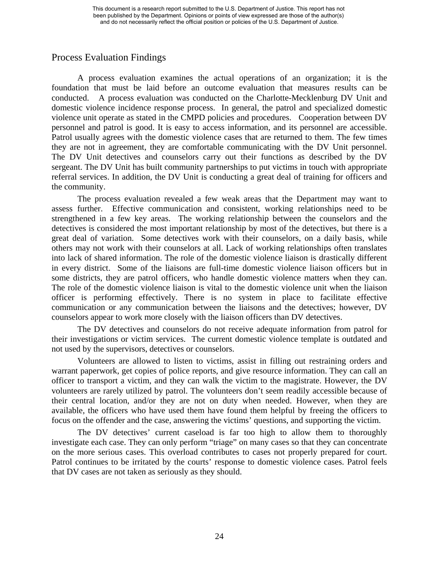## Process Evaluation Findings

A process evaluation examines the actual operations of an organization; it is the foundation that must be laid before an outcome evaluation that measures results can be conducted. A process evaluation was conducted on the Charlotte-Mecklenburg DV Unit and domestic violence incidence response process. In general, the patrol and specialized domestic violence unit operate as stated in the CMPD policies and procedures. Cooperation between DV personnel and patrol is good. It is easy to access information, and its personnel are accessible. Patrol usually agrees with the domestic violence cases that are returned to them. The few times they are not in agreement, they are comfortable communicating with the DV Unit personnel. The DV Unit detectives and counselors carry out their functions as described by the DV sergeant. The DV Unit has built community partnerships to put victims in touch with appropriate referral services. In addition, the DV Unit is conducting a great deal of training for officers and the community.

The process evaluation revealed a few weak areas that the Department may want to assess further. Effective communication and consistent, working relationships need to be strengthened in a few key areas. The working relationship between the counselors and the detectives is considered the most important relationship by most of the detectives, but there is a great deal of variation. Some detectives work with their counselors, on a daily basis, while others may not work with their counselors at all. Lack of working relationships often translates into lack of shared information. The role of the domestic violence liaison is drastically different in every district. Some of the liaisons are full-time domestic violence liaison officers but in some districts, they are patrol officers, who handle domestic violence matters when they can. The role of the domestic violence liaison is vital to the domestic violence unit when the liaison officer is performing effectively. There is no system in place to facilitate effective communication or any communication between the liaisons and the detectives; however, DV counselors appear to work more closely with the liaison officers than DV detectives.

The DV detectives and counselors do not receive adequate information from patrol for their investigations or victim services. The current domestic violence template is outdated and not used by the supervisors, detectives or counselors.

Volunteers are allowed to listen to victims, assist in filling out restraining orders and warrant paperwork, get copies of police reports, and give resource information. They can call an officer to transport a victim, and they can walk the victim to the magistrate. However, the DV volunteers are rarely utilized by patrol. The volunteers don't seem readily accessible because of their central location, and/or they are not on duty when needed. However, when they are available, the officers who have used them have found them helpful by freeing the officers to focus on the offender and the case, answering the victims' questions, and supporting the victim.

The DV detectives' current caseload is far too high to allow them to thoroughly investigate each case. They can only perform "triage" on many cases so that they can concentrate on the more serious cases. This overload contributes to cases not properly prepared for court. Patrol continues to be irritated by the courts' response to domestic violence cases. Patrol feels that DV cases are not taken as seriously as they should.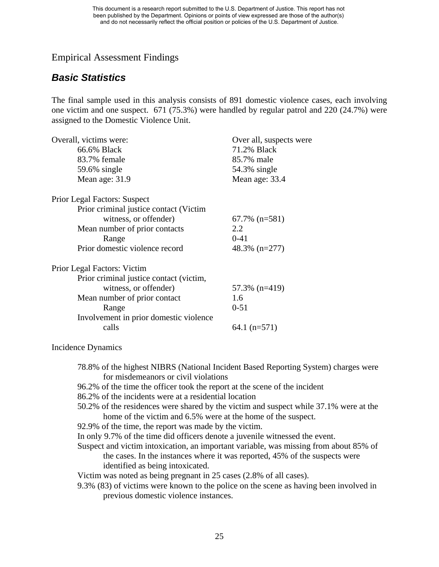## Empirical Assessment Findings

# *Basic Statistics*

The final sample used in this analysis consists of 891 domestic violence cases, each involving one victim and one suspect. 671 (75.3%) were handled by regular patrol and 220 (24.7%) were assigned to the Domestic Violence Unit.

| Overall, victims were:                  | Over all, suspects were |
|-----------------------------------------|-------------------------|
| 66.6% Black                             | 71.2% Black             |
| 83.7% female                            | 85.7% male              |
| 59.6% single                            | 54.3% single            |
| Mean age: 31.9                          | Mean age: 33.4          |
| <b>Prior Legal Factors: Suspect</b>     |                         |
| Prior criminal justice contact (Victim  |                         |
| witness, or offender)                   | $67.7\%$ (n=581)        |
| Mean number of prior contacts           | 2.2                     |
| Range                                   | $0 - 41$                |
| Prior domestic violence record          | $48.3\%$ (n=277)        |
| Prior Legal Factors: Victim             |                         |
| Prior criminal justice contact (victim, |                         |
| witness, or offender)                   | 57.3% (n=419)           |
| Mean number of prior contact            | 1.6                     |
| Range                                   | $0 - 51$                |
| Involvement in prior domestic violence  |                         |
| calls                                   | 64.1 $(n=571)$          |
|                                         |                         |

## Incidence Dynamics

- 78.8% of the highest NIBRS (National Incident Based Reporting System) charges were for misdemeanors or civil violations
- 96.2% of the time the officer took the report at the scene of the incident
- 86.2% of the incidents were at a residential location
- 50.2% of the residences were shared by the victim and suspect while 37.1% were at the home of the victim and 6.5% were at the home of the suspect.
- 92.9% of the time, the report was made by the victim.
- In only 9.7% of the time did officers denote a juvenile witnessed the event.
- Suspect and victim intoxication, an important variable, was missing from about 85% of the cases. In the instances where it was reported, 45% of the suspects were identified as being intoxicated.

Victim was noted as being pregnant in 25 cases (2.8% of all cases).

9.3% (83) of victims were known to the police on the scene as having been involved in previous domestic violence instances.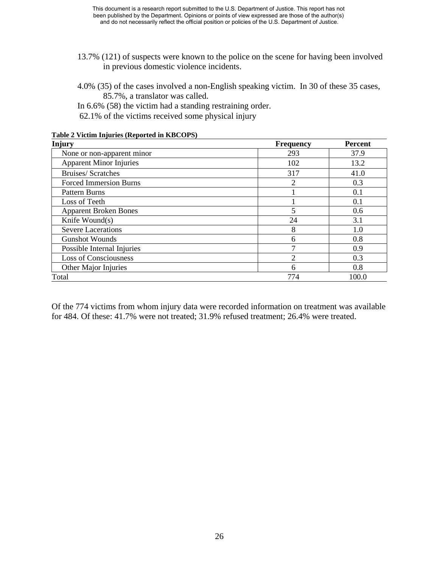- 13.7% (121) of suspects were known to the police on the scene for having been involved in previous domestic violence incidents.
- 4.0% (35) of the cases involved a non-English speaking victim. In 30 of these 35 cases, 85.7%, a translator was called.

In 6.6% (58) the victim had a standing restraining order. 62.1% of the victims received some physical injury

| <b>Injury</b>                  | <b>Frequency</b> | <b>Percent</b> |
|--------------------------------|------------------|----------------|
| None or non-apparent minor     | 293              | 37.9           |
| <b>Apparent Minor Injuries</b> | 102              | 13.2           |
| <b>Bruises/Scratches</b>       | 317              | 41.0           |
| <b>Forced Immersion Burns</b>  | 2                | 0.3            |
| Pattern Burns                  |                  | 0.1            |
| Loss of Teeth                  |                  | 0.1            |
| <b>Apparent Broken Bones</b>   | 5                | 0.6            |
| Knife Wound(s)                 | 24               | 3.1            |
| <b>Severe Lacerations</b>      | 8                | 1.0            |
| <b>Gunshot Wounds</b>          | 6                | 0.8            |
| Possible Internal Injuries     |                  | 0.9            |
| <b>Loss of Consciousness</b>   | $\overline{c}$   | 0.3            |
| Other Major Injuries           | 6                | 0.8            |
| Total                          | 774              | 100.0          |

**Table 2 Victim Injuries (Reported in KBCOPS)** 

Of the 774 victims from whom injury data were recorded information on treatment was available for 484. Of these: 41.7% were not treated; 31.9% refused treatment; 26.4% were treated.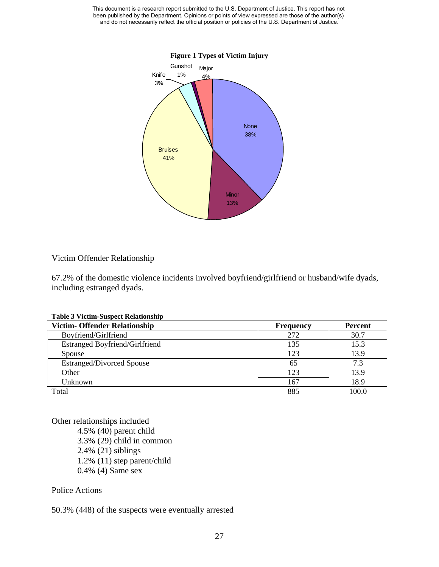

### Victim Offender Relationship

67.2% of the domestic violence incidents involved boyfriend/girlfriend or husband/wife dyads, including estranged dyads.

|  |  |  | <b>Table 3 Victim-Suspect Relationship</b> |
|--|--|--|--------------------------------------------|
|--|--|--|--------------------------------------------|

| <b>Victim- Offender Relationship</b>  | <b>Frequency</b> | <b>Percent</b>  |
|---------------------------------------|------------------|-----------------|
| Boyfriend/Girlfriend                  | 272              | 30.7            |
| <b>Estranged Boyfriend/Girlfriend</b> | 135              | 15.3            |
| Spouse                                | 123              | 13.9            |
| <b>Estranged/Divorced Spouse</b>      | 65               | 7.3             |
| Other                                 | 123              | 13.9            |
| Unknown                               | 167              | 18.9            |
| Total                                 | 885              | 00 <sub>0</sub> |

Other relationships included 4.5% (40) parent child 3.3% (29) child in common 2.4% (21) siblings 1.2% (11) step parent/child 0.4% (4) Same sex

Police Actions

50.3% (448) of the suspects were eventually arrested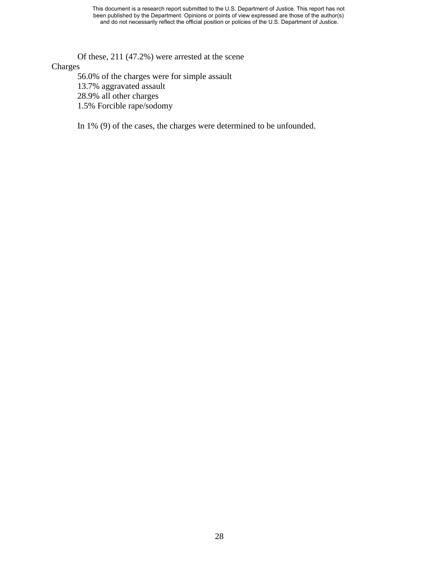Of these, 211 (47.2%) were arrested at the scene

## Charges

56.0% of the charges were for simple assault 13.7% aggravated assault 28.9% all other charges 1.5% Forcible rape/sodomy

In 1% (9) of the cases, the charges were determined to be unfounded.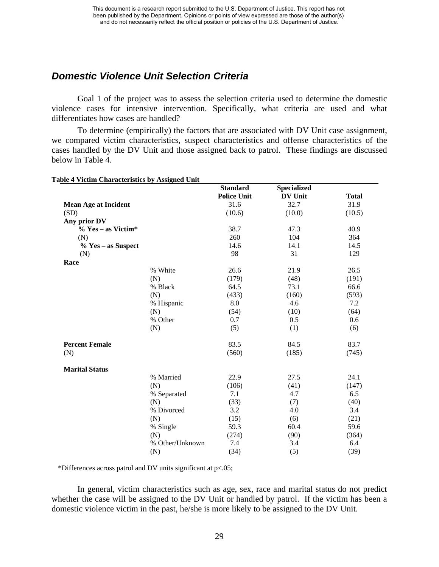# *Domestic Violence Unit Selection Criteria*

Goal 1 of the project was to assess the selection criteria used to determine the domestic violence cases for intensive intervention. Specifically, what criteria are used and what differentiates how cases are handled?

To determine (empirically) the factors that are associated with DV Unit case assignment, we compared victim characteristics, suspect characteristics and offense characteristics of the cases handled by the DV Unit and those assigned back to patrol. These findings are discussed below in Table 4.

|                             |                 | <b>Standard</b>    | <b>Specialized</b> |              |
|-----------------------------|-----------------|--------------------|--------------------|--------------|
|                             |                 | <b>Police Unit</b> | <b>DV Unit</b>     | <b>Total</b> |
| <b>Mean Age at Incident</b> |                 | 31.6               | 32.7               | 31.9         |
| (SD)                        |                 | (10.6)             | (10.0)             | (10.5)       |
| Any prior DV                |                 |                    |                    |              |
| $\%$ Yes – as Victim*       |                 | 38.7               | 47.3               | 40.9         |
| (N)                         |                 | 260                | 104                | 364          |
| % Yes – as Suspect          |                 | 14.6               | 14.1               | 14.5         |
| (N)                         |                 | 98                 | 31                 | 129          |
| Race                        |                 |                    |                    |              |
|                             | % White         | 26.6               | 21.9               | 26.5         |
|                             | (N)             | (179)              | (48)               | (191)        |
|                             | % Black         | 64.5               | 73.1               | 66.6         |
|                             | (N)             | (433)              | (160)              | (593)        |
|                             | % Hispanic      | 8.0                | 4.6                | 7.2          |
|                             | (N)             | (54)               | (10)               | (64)         |
|                             | % Other         | 0.7                | 0.5                | 0.6          |
|                             | (N)             | (5)                | (1)                | (6)          |
| <b>Percent Female</b>       |                 | 83.5               | 84.5               | 83.7         |
| (N)                         |                 | (560)              | (185)              | (745)        |
| <b>Marital Status</b>       |                 |                    |                    |              |
|                             | % Married       | 22.9               | 27.5               | 24.1         |
|                             | (N)             | (106)              | (41)               | (147)        |
|                             | % Separated     | 7.1                | 4.7                | 6.5          |
|                             | (N)             | (33)               | (7)                | (40)         |
|                             | % Divorced      | 3.2                | 4.0                | 3.4          |
|                             | (N)             | (15)               | (6)                | (21)         |
|                             | % Single        | 59.3               | 60.4               | 59.6         |
|                             | (N)             | (274)              | (90)               | (364)        |
|                             | % Other/Unknown | 7.4                | 3.4                | 6.4          |
|                             | (N)             | (34)               | (5)                | (39)         |

**Table 4 Victim Characteristics by Assigned Unit** 

\*Differences across patrol and DV units significant at p<.05;

In general, victim characteristics such as age, sex, race and marital status do not predict whether the case will be assigned to the DV Unit or handled by patrol. If the victim has been a domestic violence victim in the past, he/she is more likely to be assigned to the DV Unit.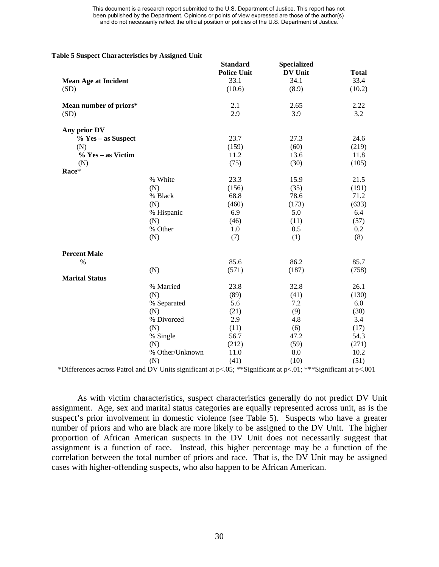|                             |                 | <b>Standard</b><br><b>Police Unit</b> | <b>Specialized</b><br><b>DV Unit</b> | <b>Total</b> |
|-----------------------------|-----------------|---------------------------------------|--------------------------------------|--------------|
| <b>Mean Age at Incident</b> |                 | 33.1                                  | 34.1                                 | 33.4         |
| (SD)                        |                 | (10.6)                                | (8.9)                                | (10.2)       |
| Mean number of priors*      |                 | 2.1                                   | 2.65                                 | 2.22         |
| (SD)                        |                 | 2.9                                   | 3.9                                  | 3.2          |
| Any prior DV                |                 |                                       |                                      |              |
| % Yes - as Suspect          |                 | 23.7                                  | 27.3                                 | 24.6         |
| (N)                         |                 | (159)                                 | (60)                                 | (219)        |
| % Yes – as Victim           |                 | 11.2                                  | 13.6                                 | 11.8         |
| (N)                         |                 | (75)                                  | (30)                                 | (105)        |
| Race*                       |                 |                                       |                                      |              |
|                             | % White         | 23.3                                  | 15.9                                 | 21.5         |
|                             | (N)             | (156)                                 | (35)                                 | (191)        |
|                             | % Black         | 68.8                                  | 78.6                                 | 71.2         |
|                             | (N)             | (460)                                 | (173)                                | (633)        |
|                             | % Hispanic      | 6.9                                   | 5.0                                  | 6.4          |
|                             | (N)             | (46)                                  | (11)                                 | (57)         |
|                             | % Other         | 1.0                                   | 0.5                                  | 0.2          |
|                             | (N)             | (7)                                   | (1)                                  | (8)          |
| <b>Percent Male</b>         |                 |                                       |                                      |              |
| %                           |                 | 85.6                                  | 86.2                                 | 85.7         |
|                             | (N)             | (571)                                 | (187)                                | (758)        |
| <b>Marital Status</b>       |                 |                                       |                                      |              |
|                             | % Married       | 23.8                                  | 32.8                                 | 26.1         |
|                             | (N)             | (89)                                  | (41)                                 | (130)        |
|                             | % Separated     | 5.6                                   | 7.2                                  | 6.0          |
|                             | (N)             | (21)                                  | (9)                                  | (30)         |
|                             | % Divorced      | 2.9                                   | 4.8                                  | 3.4          |
|                             | (N)             | (11)                                  | (6)                                  | (17)         |
|                             | % Single        | 56.7                                  | 47.2                                 | 54.3         |
|                             | (N)             | (212)                                 | (59)                                 | (271)        |
|                             | % Other/Unknown | 11.0                                  | $8.0\,$                              | 10.2         |
|                             | (N)             | (41)                                  | (10)                                 | (51)         |

\*Differences across Patrol and DV Units significant at p<.05; \*\*Significant at p<.01; \*\*\*Significant at p<.001

As with victim characteristics, suspect characteristics generally do not predict DV Unit assignment. Age, sex and marital status categories are equally represented across unit, as is the suspect's prior involvement in domestic violence (see Table 5). Suspects who have a greater number of priors and who are black are more likely to be assigned to the DV Unit. The higher proportion of African American suspects in the DV Unit does not necessarily suggest that assignment is a function of race. Instead, this higher percentage may be a function of the correlation between the total number of priors and race. That is, the DV Unit may be assigned cases with higher-offending suspects, who also happen to be African American.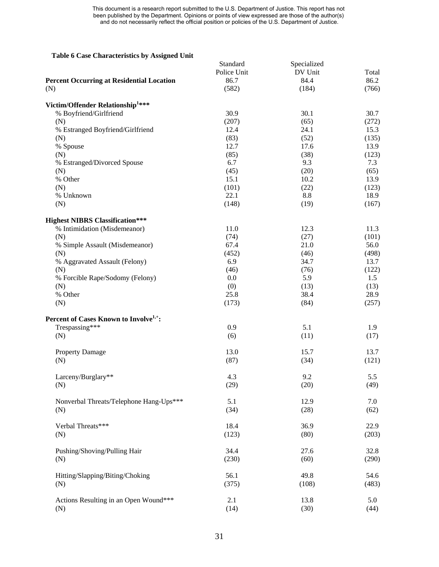#### **Table 6 Case Characteristics by Assigned Unit**

|                                                                      | Standard    | Specialized |       |
|----------------------------------------------------------------------|-------------|-------------|-------|
|                                                                      | Police Unit | DV Unit     | Total |
| <b>Percent Occurring at Residential Location</b>                     | 86.7        | 84.4        | 86.2  |
| (N)                                                                  | (582)       | (184)       | (766) |
|                                                                      |             |             |       |
| Victim/Offender Relationship <sup>1***</sup>                         |             |             |       |
| % Boyfriend/Girlfriend                                               | 30.9        | 30.1        | 30.7  |
| (N)                                                                  | (207)       | (65)        | (272) |
| % Estranged Boyfriend/Girlfriend                                     | 12.4        | 24.1        | 15.3  |
| (N)                                                                  | (83)        | (52)        | (135) |
| % Spouse                                                             | 12.7        | 17.6        | 13.9  |
| (N)                                                                  | (85)        | (38)        | (123) |
| % Estranged/Divorced Spouse                                          | 6.7         | 9.3         | 7.3   |
|                                                                      | (45)        | (20)        | (65)  |
| (N)                                                                  |             |             |       |
| % Other                                                              | 15.1        | 10.2        | 13.9  |
| (N)                                                                  | (101)       | (22)        | (123) |
| % Unknown                                                            | 22.1        | 8.8         | 18.9  |
| (N)                                                                  | (148)       | (19)        | (167) |
| <b>Highest NIBRS Classification***</b>                               |             |             |       |
| % Intimidation (Misdemeanor)                                         | 11.0        | 12.3        | 11.3  |
| (N)                                                                  | (74)        | (27)        | (101) |
|                                                                      | 67.4        | 21.0        |       |
| % Simple Assault (Misdemeanor)                                       |             |             | 56.0  |
| (N)                                                                  | (452)       | (46)        | (498) |
| % Aggravated Assault (Felony)                                        | 6.9         | 34.7        | 13.7  |
| (N)                                                                  | (46)        | (76)        | (122) |
| % Forcible Rape/Sodomy (Felony)                                      | 0.0         | 5.9         | 1.5   |
| (N)                                                                  | (0)         | (13)        | (13)  |
| % Other                                                              | 25.8        | 38.4        | 28.9  |
| (N)                                                                  | (173)       | (84)        | (257) |
|                                                                      |             |             |       |
| Percent of Cases Known to Involve <sup>1,+</sup> :<br>Trespassing*** | 0.9         | 5.1         | 1.9   |
|                                                                      |             |             |       |
| (N)                                                                  | (6)         | (11)        | (17)  |
| <b>Property Damage</b>                                               | 13.0        | 15.7        | 13.7  |
| (N)                                                                  | (87)        | (34)        | (121) |
|                                                                      |             |             |       |
| Larceny/Burglary**                                                   | 4.3         | 9.2         | 5.5   |
| (N)                                                                  | (29)        | (20)        | (49)  |
|                                                                      |             |             |       |
| Nonverbal Threats/Telephone Hang-Ups***                              | 5.1         | 12.9        | 7.0   |
| (N)                                                                  | (34)        | (28)        | (62)  |
| Verbal Threats***                                                    | 18.4        | 36.9        | 22.9  |
| (N)                                                                  | (123)       | (80)        | (203) |
|                                                                      |             |             |       |
| Pushing/Shoving/Pulling Hair                                         | 34.4        | 27.6        | 32.8  |
| (N)                                                                  | (230)       | (60)        | (290) |
|                                                                      |             |             |       |
| Hitting/Slapping/Biting/Choking                                      | 56.1        | 49.8        | 54.6  |
| (N)                                                                  | (375)       | (108)       | (483) |
| Actions Resulting in an Open Wound***                                | 2.1         | 13.8        | 5.0   |
| (N)                                                                  | (14)        | (30)        | (44)  |
|                                                                      |             |             |       |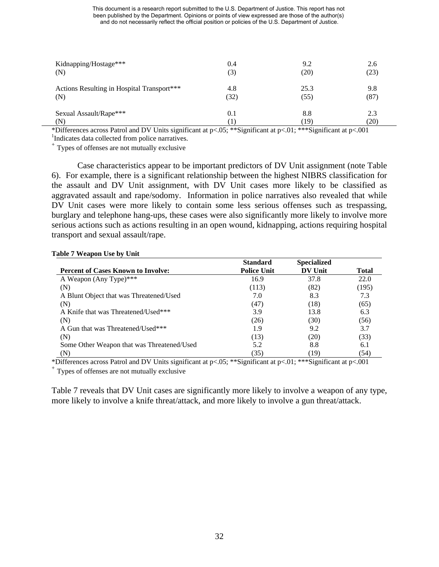| Kidnapping/Hostage***                                                      | 0.4                           | 9.2                                                                                                              | 2.6          |
|----------------------------------------------------------------------------|-------------------------------|------------------------------------------------------------------------------------------------------------------|--------------|
| (N)                                                                        | (3)                           | (20)                                                                                                             | (23)         |
| Actions Resulting in Hospital Transport***                                 | 4.8                           | 25.3                                                                                                             | 9.8          |
| (N)                                                                        | (32)                          | (55)                                                                                                             | (87)         |
| Sexual Assault/Rape***                                                     | 0.1                           | 8.8                                                                                                              | 2.3          |
| (N)<br>$\cdot$ $\sim$<br>$\cdots$<br>$\cdots$<br>$\mathbf{r}$ $\mathbf{r}$ | $\cdot$ $\sim$<br>$0 = 0.000$ | (19)<br>$A = 0.0000$<br>$\cdot$ $\sim$<br>the contract of the contract of the<br>the contract of the contract of | (20)<br>0.04 |

\*Differences across Patrol and DV Units significant at p<.05; \*\*Significant at p<.01; \*\*\*Significant at p<.001 1

 $\pm$  Types of offenses are not mutually exclusive

Case characteristics appear to be important predictors of DV Unit assignment (note Table 6). For example, there is a significant relationship between the highest NIBRS classification for the assault and DV Unit assignment, with DV Unit cases more likely to be classified as aggravated assault and rape/sodomy. Information in police narratives also revealed that while DV Unit cases were more likely to contain some less serious offenses such as trespassing, burglary and telephone hang-ups, these cases were also significantly more likely to involve more serious actions such as actions resulting in an open wound, kidnapping, actions requiring hospital transport and sexual assault/rape.

|                                            | <b>Standard</b>    | <b>Specialized</b> |       |
|--------------------------------------------|--------------------|--------------------|-------|
| <b>Percent of Cases Known to Involve:</b>  | <b>Police Unit</b> | <b>DV Unit</b>     | Total |
| A Weapon (Any Type)***                     | 16.9               | 37.8               | 22.0  |
| (N)                                        | (113)              | (82)               | (195) |
| A Blunt Object that was Threatened/Used    | 7.0                | 8.3                | 7.3   |
| (N)                                        | (47)               | (18)               | (65)  |
| A Knife that was Threatened/Used***        | 3.9                | 13.8               | 6.3   |
| (N)                                        | (26)               | (30)               | (56)  |
| A Gun that was Threatened/Used***          | 1.9                | 9.2                | 3.7   |
| (N)                                        | (13)               | (20)               | (33)  |
| Some Other Weapon that was Threatened/Used | 5.2                | 8.8                | 6.1   |
| (N)                                        | (35)               | (19)               | (54)  |

#### **Table 7 Weapon Use by Unit**

\*Differences across Patrol and DV Units significant at p<.05; \*\*Significant at p<.01; \*\*\*Significant at p<.001 + Types of offenses are not mutually exclusive

Table 7 reveals that DV Unit cases are significantly more likely to involve a weapon of any type, more likely to involve a knife threat/attack, and more likely to involve a gun threat/attack.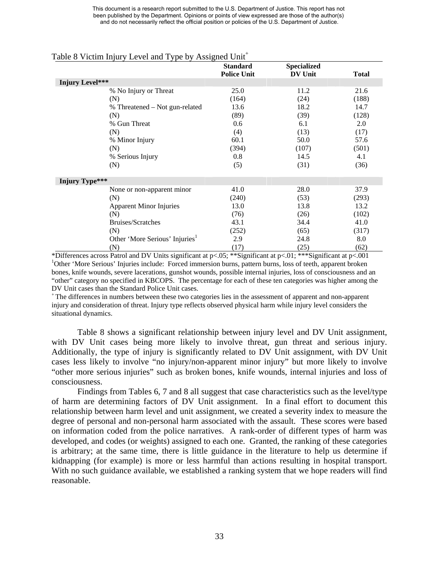|                                |                                            | <b>Standard</b><br><b>Police Unit</b> | <b>Specialized</b><br><b>DV Unit</b> | <b>Total</b> |
|--------------------------------|--------------------------------------------|---------------------------------------|--------------------------------------|--------------|
| Injury Level***                |                                            |                                       |                                      |              |
| % No Injury or Threat          |                                            | 25.0                                  | 11.2                                 | 21.6         |
| (N)                            |                                            | (164)                                 | (24)                                 | (188)        |
|                                | % Threatened – Not gun-related             | 13.6                                  | 18.2                                 | 14.7         |
| (N)                            |                                            | (89)                                  | (39)                                 | (128)        |
| % Gun Threat                   |                                            | 0.6                                   | 6.1                                  | 2.0          |
| (N)                            |                                            | (4)                                   | (13)                                 | (17)         |
| % Minor Injury                 |                                            | 60.1                                  | 50.0                                 | 57.6         |
| (N)                            |                                            | (394)                                 | (107)                                | (501)        |
| % Serious Injury               |                                            | 0.8                                   | 14.5                                 | 4.1          |
| (N)                            |                                            | (5)                                   | (31)                                 | (36)         |
| Injury Type***                 |                                            |                                       |                                      |              |
| None or non-apparent minor     |                                            | 41.0                                  | 28.0                                 | 37.9         |
| (N)                            |                                            | (240)                                 | (53)                                 | (293)        |
| <b>Apparent Minor Injuries</b> |                                            | 13.0                                  | 13.8                                 | 13.2         |
| (N)                            |                                            | (76)                                  | (26)                                 | (102)        |
| Bruises/Scratches              |                                            | 43.1                                  | 34.4                                 | 41.0         |
| (N)                            |                                            | (252)                                 | (65)                                 | (317)        |
|                                | Other 'More Serious' Injuries <sup>1</sup> | 2.9                                   | 24.8                                 | 8.0          |
| (N)                            |                                            | (17)                                  | (25)                                 | (62)         |

#### Table 8 Victim Injury Level and Type by Assigned Unit<sup>+</sup>

\*Differences across Patrol and DV Units significant at p<.05; \*\*Significant at p<.01; \*\*\*Significant at p<.001 <sup>1</sup>Other 'More Serious' Injuries include: Forced immersion burns, pattern burns, loss of teeth, apparent broken bones, knife wounds, severe lacerations, gunshot wounds, possible internal injuries, loss of consciousness and an "other" category no specified in KBCOPS. The percentage for each of these ten categories was higher among the DV Unit cases than the Standard Police Unit cases.<br>+ The differences in numbers between these two categories lies in the assessment of apparent and non-apparent

injury and consideration of threat. Injury type reflects observed physical harm while injury level considers the situational dynamics.

Table 8 shows a significant relationship between injury level and DV Unit assignment, with DV Unit cases being more likely to involve threat, gun threat and serious injury. Additionally, the type of injury is significantly related to DV Unit assignment, with DV Unit cases less likely to involve "no injury/non-apparent minor injury" but more likely to involve "other more serious injuries" such as broken bones, knife wounds, internal injuries and loss of consciousness.

Findings from Tables 6, 7 and 8 all suggest that case characteristics such as the level/type of harm are determining factors of DV Unit assignment. In a final effort to document this relationship between harm level and unit assignment, we created a severity index to measure the degree of personal and non-personal harm associated with the assault. These scores were based on information coded from the police narratives. A rank-order of different types of harm was developed, and codes (or weights) assigned to each one. Granted, the ranking of these categories is arbitrary; at the same time, there is little guidance in the literature to help us determine if kidnapping (for example) is more or less harmful than actions resulting in hospital transport. With no such guidance available, we established a ranking system that we hope readers will find reasonable.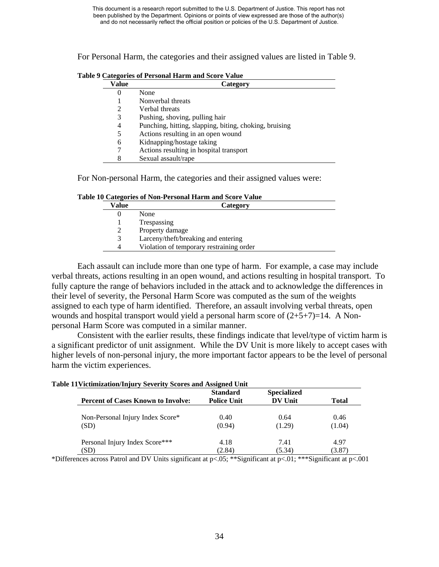For Personal Harm, the categories and their assigned values are listed in Table 9.

| Value | Category                                               |
|-------|--------------------------------------------------------|
| O     | None                                                   |
|       | Nonverbal threats                                      |
| 2     | Verbal threats                                         |
| 3     | Pushing, shoving, pulling hair                         |
| 4     | Punching, hitting, slapping, biting, choking, bruising |
| 5     | Actions resulting in an open wound                     |
| 6     | Kidnapping/hostage taking                              |
|       | Actions resulting in hospital transport                |
| 8     | Sexual assault/rape                                    |

**Table 9 Categories of Personal Harm and Score Value** 

For Non-personal Harm, the categories and their assigned values were:

|  |  |  | Table 10 Categories of Non-Personal Harm and Score Value |  |
|--|--|--|----------------------------------------------------------|--|
|--|--|--|----------------------------------------------------------|--|

| Value | Category                                 |
|-------|------------------------------------------|
|       | None                                     |
|       | Trespassing                              |
|       | Property damage                          |
|       | Larceny/theft/breaking and entering      |
|       | Violation of temporary restraining order |
|       |                                          |

Each assault can include more than one type of harm. For example, a case may include verbal threats, actions resulting in an open wound, and actions resulting in hospital transport. To fully capture the range of behaviors included in the attack and to acknowledge the differences in their level of severity, the Personal Harm Score was computed as the sum of the weights assigned to each type of harm identified. Therefore, an assault involving verbal threats, open wounds and hospital transport would yield a personal harm score of  $(2+5+7)=14$ . A Nonpersonal Harm Score was computed in a similar manner.

Consistent with the earlier results, these findings indicate that level/type of victim harm is a significant predictor of unit assignment. While the DV Unit is more likely to accept cases with higher levels of non-personal injury, the more important factor appears to be the level of personal harm the victim experiences.

|                                           | <b>Standard</b>    | <b>Specialized</b> |              |
|-------------------------------------------|--------------------|--------------------|--------------|
| <b>Percent of Cases Known to Involve:</b> | <b>Police Unit</b> | <b>DV Unit</b>     | <b>Total</b> |
| Non-Personal Injury Index Score*          | 0.40               | 0.64               | 0.46         |
| (SD)                                      | (0.94)             | (1.29)             | (1.04)       |
| Personal Injury Index Score***            | 4.18               | 7.41               | 4.97         |
| (SD)                                      | (2.84)             | (5.34)             | (3.87)       |

\*Differences across Patrol and DV Units significant at p<.05; \*\*Significant at p<.01; \*\*\*Significant at p<.001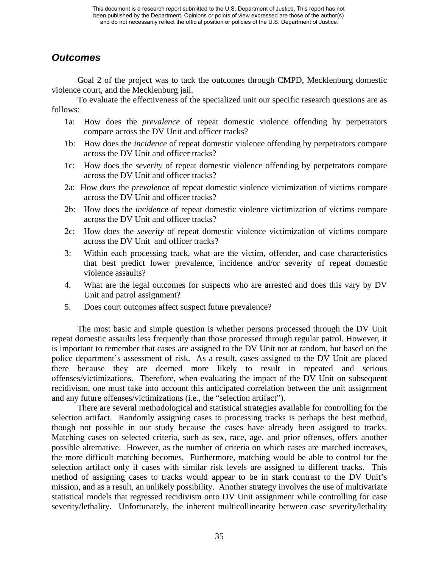# *Outcomes*

Goal 2 of the project was to tack the outcomes through CMPD, Mecklenburg domestic violence court, and the Mecklenburg jail.

To evaluate the effectiveness of the specialized unit our specific research questions are as follows:

- 1a: How does the *prevalence* of repeat domestic violence offending by perpetrators compare across the DV Unit and officer tracks?
- 1b: How does the *incidence* of repeat domestic violence offending by perpetrators compare across the DV Unit and officer tracks?
- 1c: How does the *severity* of repeat domestic violence offending by perpetrators compare across the DV Unit and officer tracks?
- 2a: How does the *prevalence* of repeat domestic violence victimization of victims compare across the DV Unit and officer tracks?
- 2b: How does the *incidence* of repeat domestic violence victimization of victims compare across the DV Unit and officer tracks?
- 2c: How does the *severity* of repeat domestic violence victimization of victims compare across the DV Unit and officer tracks?
- 3: Within each processing track, what are the victim, offender, and case characteristics that best predict lower prevalence, incidence and/or severity of repeat domestic violence assaults?
- 4. What are the legal outcomes for suspects who are arrested and does this vary by DV Unit and patrol assignment?
- 5. Does court outcomes affect suspect future prevalence?

The most basic and simple question is whether persons processed through the DV Unit repeat domestic assaults less frequently than those processed through regular patrol. However, it is important to remember that cases are assigned to the DV Unit not at random, but based on the police department's assessment of risk. As a result, cases assigned to the DV Unit are placed there because they are deemed more likely to result in repeated and serious offenses/victimizations. Therefore, when evaluating the impact of the DV Unit on subsequent recidivism, one must take into account this anticipated correlation between the unit assignment and any future offenses/victimizations (i.e., the "selection artifact").

There are several methodological and statistical strategies available for controlling for the selection artifact. Randomly assigning cases to processing tracks is perhaps the best method, though not possible in our study because the cases have already been assigned to tracks. Matching cases on selected criteria, such as sex, race, age, and prior offenses, offers another possible alternative. However, as the number of criteria on which cases are matched increases, the more difficult matching becomes. Furthermore, matching would be able to control for the selection artifact only if cases with similar risk levels are assigned to different tracks. This method of assigning cases to tracks would appear to be in stark contrast to the DV Unit's mission, and as a result, an unlikely possibility. Another strategy involves the use of multivariate statistical models that regressed recidivism onto DV Unit assignment while controlling for case severity/lethality. Unfortunately, the inherent multicollinearity between case severity/lethality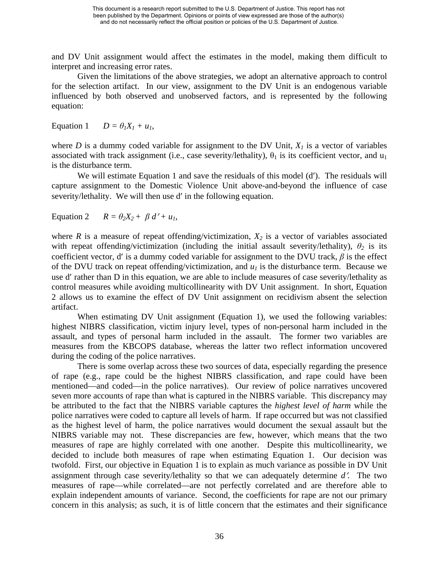and DV Unit assignment would affect the estimates in the model, making them difficult to interpret and increasing error rates.

Given the limitations of the above strategies, we adopt an alternative approach to control for the selection artifact. In our view, assignment to the DV Unit is an endogenous variable influenced by both observed and unobserved factors, and is represented by the following equation:

Equation 1  $D = \theta_1 X_1 + u_1$ ,

where  $D$  is a dummy coded variable for assignment to the DV Unit,  $X_I$  is a vector of variables associated with track assignment (i.e., case severity/lethality),  $\theta_1$  is its coefficient vector, and  $u_1$ is the disturbance term.

We will estimate Equation 1 and save the residuals of this model (d'). The residuals will capture assignment to the Domestic Violence Unit above-and-beyond the influence of case severity/lethality. We will then use d' in the following equation.

Equation 2  $R = \theta_2 X_2 + \beta d' + u_1$ ,

where  $R$  is a measure of repeat of fending/victimization,  $X_2$  is a vector of variables associated with repeat offending/victimization (including the initial assault severity/lethality),  $\theta_2$  is its coefficient vector, d′ is a dummy coded variable for assignment to the DVU track, *β* is the effect of the DVU track on repeat offending/victimization, and  $u_1$  is the disturbance term. Because we use d′ rather than D in this equation, we are able to include measures of case severity/lethality as control measures while avoiding multicollinearity with DV Unit assignment. In short, Equation 2 allows us to examine the effect of DV Unit assignment on recidivism absent the selection artifact.

When estimating DV Unit assignment (Equation 1), we used the following variables: highest NIBRS classification, victim injury level, types of non-personal harm included in the assault, and types of personal harm included in the assault. The former two variables are measures from the KBCOPS database, whereas the latter two reflect information uncovered during the coding of the police narratives.

There is some overlap across these two sources of data, especially regarding the presence of rape (e.g., rape could be the highest NIBRS classification, and rape could have been mentioned—and coded—in the police narratives). Our review of police narratives uncovered seven more accounts of rape than what is captured in the NIBRS variable. This discrepancy may be attributed to the fact that the NIBRS variable captures the *highest level of harm* while the police narratives were coded to capture all levels of harm. If rape occurred but was not classified as the highest level of harm, the police narratives would document the sexual assault but the NIBRS variable may not. These discrepancies are few, however, which means that the two measures of rape are highly correlated with one another. Despite this multicollinearity, we decided to include both measures of rape when estimating Equation 1. Our decision was twofold. First, our objective in Equation 1 is to explain as much variance as possible in DV Unit assignment through case severity/lethality so that we can adequately determine *d*′. The two measures of rape—while correlated—are not perfectly correlated and are therefore able to explain independent amounts of variance. Second, the coefficients for rape are not our primary concern in this analysis; as such, it is of little concern that the estimates and their significance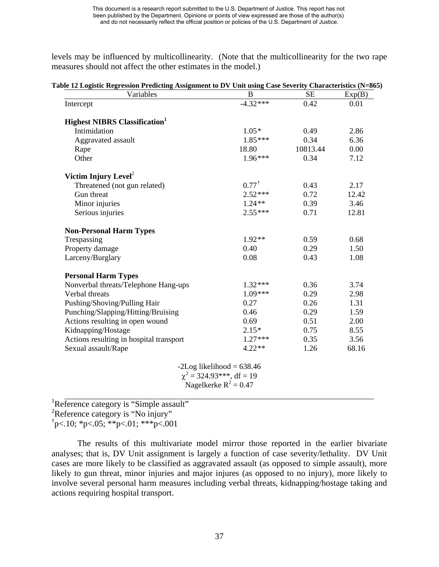levels may be influenced by multicollinearity. (Note that the multicollinearity for the two rape measures should not affect the other estimates in the model.)

| Variables                                        | B                                                        | <b>SE</b> | Exp(B) |
|--------------------------------------------------|----------------------------------------------------------|-----------|--------|
| Intercept                                        | $-4.32***$                                               | 0.42      | 0.01   |
| <b>Highest NIBRS Classification</b> <sup>1</sup> |                                                          |           |        |
| Intimidation                                     | $1.05*$                                                  | 0.49      | 2.86   |
| Aggravated assault                               | $1.85***$                                                | 0.34      | 6.36   |
| Rape                                             | 18.80                                                    | 10813.44  | 0.00   |
| Other                                            | $1.96***$                                                | 0.34      | 7.12   |
| Victim Injury Level <sup>2</sup>                 |                                                          |           |        |
| Threatened (not gun related)                     | $0.77^{\dagger}$                                         | 0.43      | 2.17   |
| Gun threat                                       | $2.52***$                                                | 0.72      | 12.42  |
| Minor injuries                                   | $1.24**$                                                 | 0.39      | 3.46   |
| Serious injuries                                 | $2.55***$                                                | 0.71      | 12.81  |
| <b>Non-Personal Harm Types</b>                   |                                                          |           |        |
| Trespassing                                      | $1.92**$                                                 | 0.59      | 0.68   |
| Property damage                                  | 0.40                                                     | 0.29      | 1.50   |
| Larceny/Burglary                                 | 0.08                                                     | 0.43      | 1.08   |
| <b>Personal Harm Types</b>                       |                                                          |           |        |
| Nonverbal threats/Telephone Hang-ups             | $1.32***$                                                | 0.36      | 3.74   |
| Verbal threats                                   | $1.09***$                                                | 0.29      | 2.98   |
| Pushing/Shoving/Pulling Hair                     | 0.27                                                     | 0.26      | 1.31   |
| Punching/Slapping/Hitting/Bruising               | 0.46                                                     | 0.29      | 1.59   |
| Actions resulting in open wound                  | 0.69                                                     | 0.51      | 2.00   |
| Kidnapping/Hostage                               | $2.15*$                                                  | 0.75      | 8.55   |
| Actions resulting in hospital transport          | $1.27***$                                                | 0.35      | 3.56   |
| Sexual assault/Rape                              | $4.22**$                                                 | 1.26      | 68.16  |
|                                                  | $-2Log likelihood = 638.46$                              |           |        |
|                                                  | $\chi^2$ = 324.93***, df = 19<br>Nagelkerke $R^2 = 0.47$ |           |        |

<sup>1</sup>Reference category is "Simple assault"

<sup>2</sup>Reference category is "No injury"

 $\text{p}$  < 10; \*p < 05; \*\*p < 01; \*\*\*p < 001

The results of this multivariate model mirror those reported in the earlier bivariate analyses; that is, DV Unit assignment is largely a function of case severity/lethality. DV Unit cases are more likely to be classified as aggravated assault (as opposed to simple assault), more likely to gun threat, minor injuries and major injures (as opposed to no injury), more likely to involve several personal harm measures including verbal threats, kidnapping/hostage taking and actions requiring hospital transport.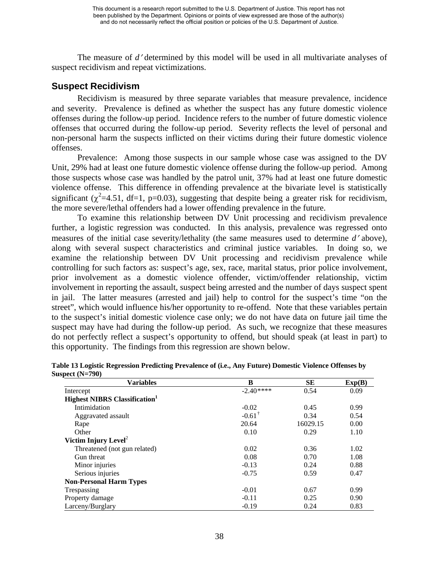The measure of *d*′ determined by this model will be used in all multivariate analyses of suspect recidivism and repeat victimizations.

## **Suspect Recidivism**

Recidivism is measured by three separate variables that measure prevalence, incidence and severity. Prevalence is defined as whether the suspect has any future domestic violence offenses during the follow-up period. Incidence refers to the number of future domestic violence offenses that occurred during the follow-up period. Severity reflects the level of personal and non-personal harm the suspects inflicted on their victims during their future domestic violence offenses.

Prevalence: Among those suspects in our sample whose case was assigned to the DV Unit, 29% had at least one future domestic violence offense during the follow-up period. Among those suspects whose case was handled by the patrol unit, 37% had at least one future domestic violence offense. This difference in offending prevalence at the bivariate level is statistically significant ( $\chi^2$ =4.51, df=1, p=0.03), suggesting that despite being a greater risk for recidivism, the more severe/lethal offenders had a lower offending prevalence in the future.

To examine this relationship between DV Unit processing and recidivism prevalence further, a logistic regression was conducted. In this analysis, prevalence was regressed onto measures of the initial case severity/lethality (the same measures used to determine *d*′ above), along with several suspect characteristics and criminal justice variables. In doing so, we examine the relationship between DV Unit processing and recidivism prevalence while controlling for such factors as: suspect's age, sex, race, marital status, prior police involvement, prior involvement as a domestic violence offender, victim/offender relationship, victim involvement in reporting the assault, suspect being arrested and the number of days suspect spent in jail. The latter measures (arrested and jail) help to control for the suspect's time "on the street", which would influence his/her opportunity to re-offend. Note that these variables pertain to the suspect's initial domestic violence case only; we do not have data on future jail time the suspect may have had during the follow-up period. As such, we recognize that these measures do not perfectly reflect a suspect's opportunity to offend, but should speak (at least in part) to this opportunity. The findings from this regression are shown below.

| <b>Variables</b>                                 | B                 | <b>SE</b> | Exp(B) |
|--------------------------------------------------|-------------------|-----------|--------|
| Intercept                                        | $-2.40***$        | 0.54      | 0.09   |
| <b>Highest NIBRS Classification</b> <sup>1</sup> |                   |           |        |
| Intimidation                                     | $-0.02$           | 0.45      | 0.99   |
| Aggravated assault                               | $-0.61^{\dagger}$ | 0.34      | 0.54   |
| Rape                                             | 20.64             | 16029.15  | 0.00   |
| Other                                            | 0.10              | 0.29      | 1.10   |
| Victim Injury Level <sup>2</sup>                 |                   |           |        |
| Threatened (not gun related)                     | 0.02              | 0.36      | 1.02   |
| Gun threat                                       | 0.08              | 0.70      | 1.08   |
| Minor injuries                                   | $-0.13$           | 0.24      | 0.88   |
| Serious injuries                                 | $-0.75$           | 0.59      | 0.47   |
| <b>Non-Personal Harm Types</b>                   |                   |           |        |
| Trespassing                                      | $-0.01$           | 0.67      | 0.99   |
| Property damage                                  | $-0.11$           | 0.25      | 0.90   |
| Larceny/Burglary                                 | $-0.19$           | 0.24      | 0.83   |

| Table 13 Logistic Regression Predicting Prevalence of (i.e., Any Future) Domestic Violence Offenses by |  |
|--------------------------------------------------------------------------------------------------------|--|
| Suspect $(N=790)$                                                                                      |  |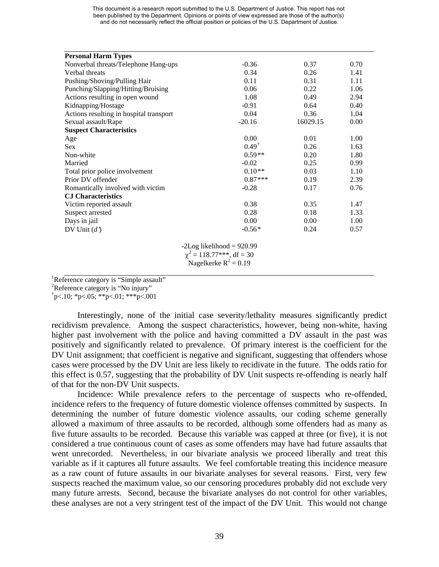| <b>Personal Harm Types</b>              |                                |          |      |
|-----------------------------------------|--------------------------------|----------|------|
| Nonverbal threats/Telephone Hang-ups    | $-0.36$                        | 0.37     | 0.70 |
| Verbal threats                          | 0.34                           | 0.26     | 1.41 |
| Pushing/Shoving/Pulling Hair            | 0.11                           | 0.31     | 1.11 |
| Punching/Slapping/Hitting/Bruising      | 0.06                           | 0.22     | 1.06 |
| Actions resulting in open wound         | 1.08                           | 0.49     | 2.94 |
| Kidnapping/Hostage                      | $-0.91$                        | 0.64     | 0.40 |
| Actions resulting in hospital transport | 0.04                           | 0.36     | 1.04 |
| Sexual assault/Rape                     | $-20.16$                       | 16029.15 | 0.00 |
| <b>Suspect Characteristics</b>          |                                |          |      |
| Age                                     | 0.00                           | 0.01     | 1.00 |
| <b>Sex</b>                              | $0.49^{\dagger}$               | 0.26     | 1.63 |
| Non-white                               | $0.59**$                       | 0.20     | 1.80 |
| Married                                 | $-0.02$                        | 0.25     | 0.99 |
| Total prior police involvement          | $0.10**$                       | 0.03     | 1.10 |
| Prior DV offender                       | $0.87***$                      | 0.19     | 2.39 |
| Romantically involved with victim       | $-0.28$                        | 0.17     | 0.76 |
| <b>CJ Characteristics</b>               |                                |          |      |
| Victim reported assault                 | 0.38                           | 0.35     | 1.47 |
| Suspect arrested                        | 0.28                           | 0.18     | 1.33 |
| Days in jail                            | 0.00                           | 0.00     | 1.00 |
| DV Unit $(d')$                          | $-0.56*$                       | 0.24     | 0.57 |
|                                         | $-2Log likelihood = 920.99$    |          |      |
|                                         | $\chi^2 = 118.77$ ***, df = 30 |          |      |
|                                         | Nagelkerke $R^2 = 0.19$        |          |      |
|                                         |                                |          |      |

<sup>1</sup>Reference category is "Simple assault"<br><sup>2</sup>Reference estategory is "No injury"

<sup>2</sup>Reference category is "No injury"

 $\text{p}$  < 10; \*p < 05; \*\*p < 01; \*\*\*p < 001

Interestingly, none of the initial case severity/lethality measures significantly predict recidivism prevalence. Among the suspect characteristics, however, being non-white, having higher past involvement with the police and having committed a DV assault in the past was positively and significantly related to prevalence. Of primary interest is the coefficient for the DV Unit assignment; that coefficient is negative and significant, suggesting that offenders whose cases were processed by the DV Unit are less likely to recidivate in the future. The odds ratio for this effect is 0.57, suggesting that the probability of DV Unit suspects re-offending is nearly half of that for the non-DV Unit suspects.

Incidence: While prevalence refers to the percentage of suspects who re-offended, incidence refers to the frequency of future domestic violence offenses committed by suspects. In determining the number of future domestic violence assaults, our coding scheme generally allowed a maximum of three assaults to be recorded, although some offenders had as many as five future assaults to be recorded. Because this variable was capped at three (or five), it is not considered a true continuous count of cases as some offenders may have had future assaults that went unrecorded. Nevertheless, in our bivariate analysis we proceed liberally and treat this variable as if it captures all future assaults. We feel comfortable treating this incidence measure as a raw count of future assaults in our bivariate analyses for several reasons. First, very few suspects reached the maximum value, so our censoring procedures probably did not exclude very many future arrests. Second, because the bivariate analyses do not control for other variables, these analyses are not a very stringent test of the impact of the DV Unit. This would not change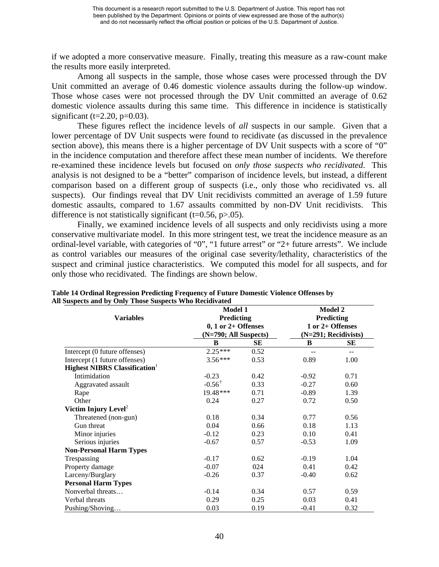if we adopted a more conservative measure. Finally, treating this measure as a raw-count make the results more easily interpreted.

Among all suspects in the sample, those whose cases were processed through the DV Unit committed an average of 0.46 domestic violence assaults during the follow-up window. Those whose cases were not processed through the DV Unit committed an average of 0.62 domestic violence assaults during this same time. This difference in incidence is statistically significant (t=2.20, p= $0.03$ ).

These figures reflect the incidence levels of *all* suspects in our sample. Given that a lower percentage of DV Unit suspects were found to recidivate (as discussed in the prevalence section above), this means there is a higher percentage of DV Unit suspects with a score of "0" in the incidence computation and therefore affect these mean number of incidents. We therefore re-examined these incidence levels but focused on *only those suspects who recidivated*. This analysis is not designed to be a "better" comparison of incidence levels, but instead, a different comparison based on a different group of suspects (i.e., only those who recidivated vs. all suspects). Our findings reveal that DV Unit recidivists committed an average of 1.59 future domestic assaults, compared to 1.67 assaults committed by non-DV Unit recidivists. This difference is not statistically significant (t=0.56,  $p>0.05$ ).

Finally, we examined incidence levels of all suspects and only recidivists using a more conservative multivariate model. In this more stringent test, we treat the incidence measure as an ordinal-level variable, with categories of "0", "1 future arrest" or "2+ future arrests". We include as control variables our measures of the original case severity/lethality, characteristics of the suspect and criminal justice characteristics. We computed this model for all suspects, and for only those who recidivated. The findings are shown below.

| $\mathcal{L}$ and $\mathcal{L}$<br><b>THODE DAD</b><br><b>Variables</b> | <b>Model 1</b><br>Predicting |      | Model 2<br>Predicting<br>1 or 2+ Offenses |                          |  |
|-------------------------------------------------------------------------|------------------------------|------|-------------------------------------------|--------------------------|--|
|                                                                         | $0, 1$ or $2+$ Offenses      |      |                                           |                          |  |
|                                                                         | (N=790; All Suspects)        |      |                                           | $(N=291; Recidivists)$   |  |
|                                                                         | B                            | SЕ   | B                                         | SЕ                       |  |
| Intercept (0 future offenses)                                           | $2.25***$                    | 0.52 |                                           | $\overline{\phantom{a}}$ |  |
| Intercept (1 future offenses)                                           | $3.56***$                    | 0.53 | 0.89                                      | 1.00                     |  |
| <b>Highest NIBRS Classification</b>                                     |                              |      |                                           |                          |  |
| Intimidation                                                            | $-0.23$                      | 0.42 | $-0.92$                                   | 0.71                     |  |
| Aggravated assault                                                      | $-0.56^{\dagger}$            | 0.33 | $-0.27$                                   | 0.60                     |  |
| Rape                                                                    | 19.48***                     | 0.71 | $-0.89$                                   | 1.39                     |  |
| Other                                                                   | 0.24                         | 0.27 | 0.72                                      | 0.50                     |  |
| Victim Injury Level <sup>2</sup>                                        |                              |      |                                           |                          |  |
| Threatened (non-gun)                                                    | 0.18                         | 0.34 | 0.77                                      | 0.56                     |  |
| Gun threat                                                              | 0.04                         | 0.66 | 0.18                                      | 1.13                     |  |
| Minor injuries                                                          | $-0.12$                      | 0.23 | 0.10                                      | 0.41                     |  |
| Serious injuries                                                        | $-0.67$                      | 0.57 | $-0.53$                                   | 1.09                     |  |
| <b>Non-Personal Harm Types</b>                                          |                              |      |                                           |                          |  |
| Trespassing                                                             | $-0.17$                      | 0.62 | $-0.19$                                   | 1.04                     |  |
| Property damage                                                         | $-0.07$                      | 024  | 0.41                                      | 0.42                     |  |
| Larceny/Burglary                                                        | $-0.26$                      | 0.37 | $-0.40$                                   | 0.62                     |  |
| <b>Personal Harm Types</b>                                              |                              |      |                                           |                          |  |
| Nonverbal threats                                                       | $-0.14$                      | 0.34 | 0.57                                      | 0.59                     |  |
| Verbal threats                                                          | 0.29                         | 0.25 | 0.03                                      | 0.41                     |  |
| Pushing/Shoving                                                         | 0.03                         | 0.19 | $-0.41$                                   | 0.32                     |  |

**Table 14 Ordinal Regression Predicting Frequency of Future Domestic Violence Offenses by All Suspects and by Only Those Suspects Who Recidivated**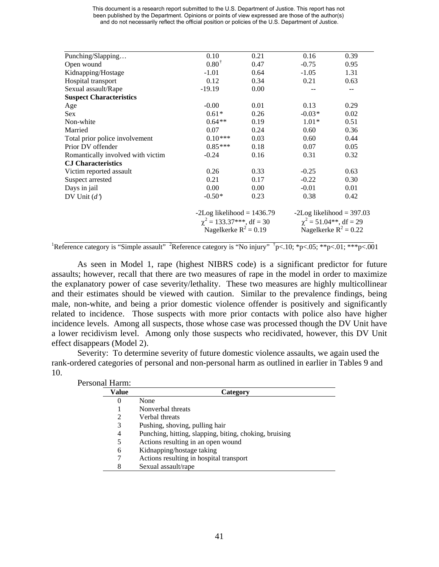| Punching/Slapping                 | 0.10                          | 0.21 | 0.16                        | 0.39                        |
|-----------------------------------|-------------------------------|------|-----------------------------|-----------------------------|
| Open wound                        | $0.80^{\dagger}$              | 0.47 | $-0.75$                     | 0.95                        |
| Kidnapping/Hostage                | $-1.01$                       | 0.64 | $-1.05$                     | 1.31                        |
| Hospital transport                | 0.12                          | 0.34 | 0.21                        | 0.63                        |
| Sexual assault/Rape               | $-19.19$                      | 0.00 |                             |                             |
| <b>Suspect Characteristics</b>    |                               |      |                             |                             |
| Age                               | $-0.00$                       | 0.01 | 0.13                        | 0.29                        |
| <b>Sex</b>                        | $0.61*$                       | 0.26 | $-0.03*$                    | 0.02                        |
| Non-white                         | $0.64**$                      | 0.19 | $1.01*$                     | 0.51                        |
| Married                           | 0.07                          | 0.24 | 0.60                        | 0.36                        |
| Total prior police involvement    | $0.10***$                     | 0.03 | 0.60                        | 0.44                        |
| Prior DV offender                 | $0.85***$                     | 0.18 | 0.07                        | 0.05                        |
| Romantically involved with victim | $-0.24$                       | 0.16 | 0.31                        | 0.32                        |
| <b>CJ</b> Characteristics         |                               |      |                             |                             |
| Victim reported assault           | 0.26                          | 0.33 | $-0.25$                     | 0.63                        |
| Suspect arrested                  | 0.21                          | 0.17 | $-0.22$                     | 0.30                        |
| Days in jail                      | 0.00                          | 0.00 | $-0.01$                     | 0.01                        |
| DV Unit $(d')$                    | $-0.50*$                      | 0.23 | 0.38                        | 0.42                        |
|                                   | $-2Log likelihood = 1436.79$  |      |                             | $-2Log likelihood = 397.03$ |
|                                   | $\chi^2$ = 133.37***, df = 30 |      | $\chi^2$ = 51.04**, df = 29 |                             |
|                                   | Nagelkerke $R^2 = 0.19$       |      | Nagelkerke $R^2 = 0.22$     |                             |
|                                   |                               |      |                             |                             |

<sup>1</sup>Reference category is "Simple assault" <sup>2</sup>Reference category is "No injury"  $\frac{1}{7}p<.10$ ;  $\frac{1}{7}p<.05$ ;  $\frac{1}{7}p<.01$ ;  $\frac{1}{7}p<.001$ 

As seen in Model 1, rape (highest NIBRS code) is a significant predictor for future assaults; however, recall that there are two measures of rape in the model in order to maximize the explanatory power of case severity/lethality. These two measures are highly multicollinear and their estimates should be viewed with caution. Similar to the prevalence findings, being male, non-white, and being a prior domestic violence offender is positively and significantly related to incidence. Those suspects with more prior contacts with police also have higher incidence levels. Among all suspects, those whose case was processed though the DV Unit have a lower recidivism level. Among only those suspects who recidivated, however, this DV Unit effect disappears (Model 2).

Severity: To determine severity of future domestic violence assaults, we again used the rank-ordered categories of personal and non-personal harm as outlined in earlier in Tables 9 and 10.

| Personal Harm: |          |                                                        |
|----------------|----------|--------------------------------------------------------|
|                | Value    | Category                                               |
|                | $\theta$ | None                                                   |
|                |          | Nonverbal threats                                      |
|                | 2        | Verbal threats                                         |
|                | 3        | Pushing, shoving, pulling hair                         |
|                | 4        | Punching, hitting, slapping, biting, choking, bruising |
|                | 5        | Actions resulting in an open wound                     |
|                | 6        | Kidnapping/hostage taking                              |
|                | 7        | Actions resulting in hospital transport                |
|                | 8        | Sexual assault/rape                                    |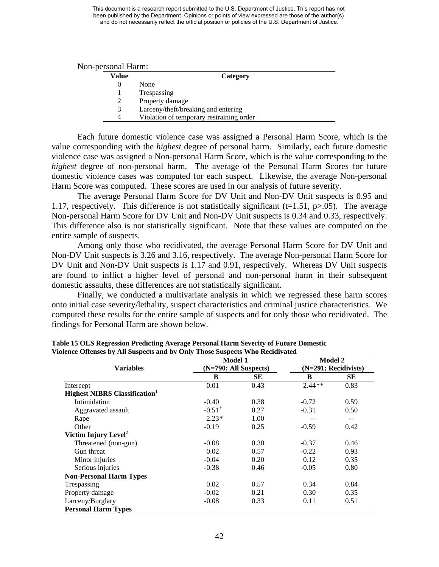| Value | Category                                 |
|-------|------------------------------------------|
|       | None                                     |
|       | Trespassing                              |
|       | Property damage                          |
|       | Larceny/theft/breaking and entering      |
| Δ     | Violation of temporary restraining order |

Each future domestic violence case was assigned a Personal Harm Score, which is the value corresponding with the *highest* degree of personal harm. Similarly, each future domestic violence case was assigned a Non-personal Harm Score, which is the value corresponding to the *highest* degree of non-personal harm. The average of the Personal Harm Scores for future domestic violence cases was computed for each suspect. Likewise, the average Non-personal Harm Score was computed. These scores are used in our analysis of future severity.

The average Personal Harm Score for DV Unit and Non-DV Unit suspects is 0.95 and 1.17, respectively. This difference is not statistically significant ( $t=1.51$ ,  $p>0.05$ ). The average Non-personal Harm Score for DV Unit and Non-DV Unit suspects is 0.34 and 0.33, respectively. This difference also is not statistically significant. Note that these values are computed on the entire sample of suspects.

Among only those who recidivated, the average Personal Harm Score for DV Unit and Non-DV Unit suspects is 3.26 and 3.16, respectively. The average Non-personal Harm Score for DV Unit and Non-DV Unit suspects is 1.17 and 0.91, respectively. Whereas DV Unit suspects are found to inflict a higher level of personal and non-personal harm in their subsequent domestic assaults, these differences are not statistically significant.

Finally, we conducted a multivariate analysis in which we regressed these harm scores onto initial case severity/lethality, suspect characteristics and criminal justice characteristics. We computed these results for the entire sample of suspects and for only those who recidivated. The findings for Personal Harm are shown below.

|                                     | <b>Model 1</b>        |      | <b>Model 2</b>         |       |
|-------------------------------------|-----------------------|------|------------------------|-------|
| <b>Variables</b>                    | (N=790; All Suspects) |      | $(N=291; Recidivists)$ |       |
|                                     | B                     | SЕ   | B                      | SЕ    |
| Intercept                           | 0.01                  | 0.43 | $2.44**$               | 0.83  |
| <b>Highest NIBRS Classification</b> |                       |      |                        |       |
| Intimidation                        | $-0.40$               | 0.38 | $-0.72$                | 0.59  |
| Aggravated assault                  | $-0.51^{\dagger}$     | 0.27 | $-0.31$                | 0.50  |
| Rape                                | $2.23*$               | 1.00 |                        | $- -$ |
| Other                               | $-0.19$               | 0.25 | $-0.59$                | 0.42  |
| Victim Injury Level <sup>2</sup>    |                       |      |                        |       |
| Threatened (non-gun)                | $-0.08$               | 0.30 | $-0.37$                | 0.46  |
| Gun threat                          | 0.02                  | 0.57 | $-0.22$                | 0.93  |
| Minor injuries                      | $-0.04$               | 0.20 | 0.12                   | 0.35  |
| Serious injuries                    | $-0.38$               | 0.46 | $-0.05$                | 0.80  |
| <b>Non-Personal Harm Types</b>      |                       |      |                        |       |
| Trespassing                         | 0.02                  | 0.57 | 0.34                   | 0.84  |
| Property damage                     | $-0.02$               | 0.21 | 0.30                   | 0.35  |
| Larceny/Burglary                    | $-0.08$               | 0.33 | 0.11                   | 0.51  |
| <b>Personal Harm Types</b>          |                       |      |                        |       |

**Table 15 OLS Regression Predicting Average Personal Harm Severity of Future Domestic Violence Offenses by All Suspects and by Only Those Suspects Who Recidivated**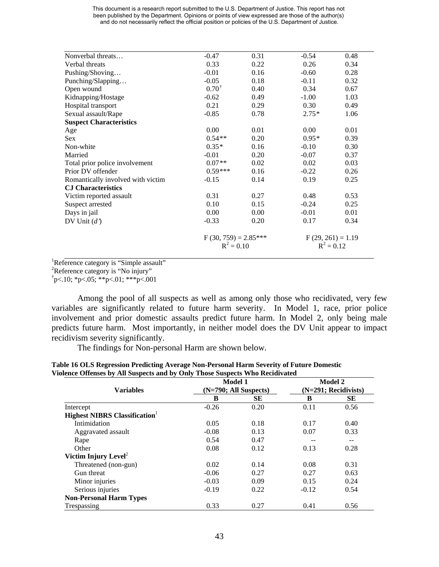| Nonverbal threats                 | $-0.47$                | 0.31 | $-0.54$             | 0.48 |  |
|-----------------------------------|------------------------|------|---------------------|------|--|
| Verbal threats                    | 0.33                   | 0.22 | 0.26                | 0.34 |  |
| Pushing/Shoving                   | $-0.01$                | 0.16 | $-0.60$             | 0.28 |  |
| Punching/Slapping                 | $-0.05$                | 0.18 | $-0.11$             | 0.32 |  |
| Open wound                        | $0.70^{\dagger}$       | 0.40 | 0.34                | 0.67 |  |
| Kidnapping/Hostage                | $-0.62$                | 0.49 | $-1.00$             | 1.03 |  |
| Hospital transport                | 0.21                   | 0.29 | 0.30                | 0.49 |  |
| Sexual assault/Rape               | $-0.85$                | 0.78 | $2.75*$             | 1.06 |  |
| <b>Suspect Characteristics</b>    |                        |      |                     |      |  |
| Age                               | 0.00                   | 0.01 | 0.00                | 0.01 |  |
| <b>Sex</b>                        | $0.54**$               | 0.20 | $0.95*$             | 0.39 |  |
| Non-white                         | $0.35*$                | 0.16 | $-0.10$             | 0.30 |  |
| Married                           | $-0.01$                | 0.20 | $-0.07$             | 0.37 |  |
| Total prior police involvement    | $0.07**$               | 0.02 | 0.02                | 0.03 |  |
| Prior DV offender                 | $0.59***$              | 0.16 | $-0.22$             | 0.26 |  |
| Romantically involved with victim | $-0.15$                | 0.14 | 0.19                | 0.25 |  |
| <b>CJ</b> Characteristics         |                        |      |                     |      |  |
| Victim reported assault           | 0.31                   | 0.27 | 0.48                | 0.53 |  |
| Suspect arrested                  | 0.10                   | 0.15 | $-0.24$             | 0.25 |  |
| Days in jail                      | 0.00                   | 0.00 | $-0.01$             | 0.01 |  |
| DV Unit $(d')$                    | $-0.33$                | 0.20 | 0.17                | 0.34 |  |
|                                   | $F(30, 759) = 2.85***$ |      | $F(29, 261) = 1.19$ |      |  |
|                                   | $R^2 = 0.10$           |      | $R^2 = 0.12$        |      |  |

 ${}^{1}$ Reference category is "Simple assault"

<sup>2</sup>Reference category is "No injury"

 $\text{p}$  < 10; \*p < 05; \*\*p < 01; \*\*\*p < 001

Among the pool of all suspects as well as among only those who recidivated, very few variables are significantly related to future harm severity. In Model 1, race, prior police involvement and prior domestic assaults predict future harm. In Model 2, only being male predicts future harm. Most importantly, in neither model does the DV Unit appear to impact recidivism severity significantly.

The findings for Non-personal Harm are shown below.

|                                     |                         | <b>Model 1</b> |                        | <b>Model 2</b> |
|-------------------------------------|-------------------------|----------------|------------------------|----------------|
| <b>Variables</b>                    | $(N=790; All Subpects)$ |                | $(N=291; Recidivists)$ |                |
|                                     | B                       | <b>SE</b>      | B                      | <b>SE</b>      |
| Intercept                           | $-0.26$                 | 0.20           | 0.11                   | 0.56           |
| <b>Highest NIBRS Classification</b> |                         |                |                        |                |
| Intimidation                        | 0.05                    | 0.18           | 0.17                   | 0.40           |
| Aggravated assault                  | $-0.08$                 | 0.13           | 0.07                   | 0.33           |
| Rape                                | 0.54                    | 0.47           | --                     | --             |
| Other                               | 0.08                    | 0.12           | 0.13                   | 0.28           |
| Victim Injury Level <sup>2</sup>    |                         |                |                        |                |
| Threatened (non-gun)                | 0.02                    | 0.14           | 0.08                   | 0.31           |
| Gun threat                          | $-0.06$                 | 0.27           | 0.27                   | 0.63           |
| Minor injuries                      | $-0.03$                 | 0.09           | 0.15                   | 0.24           |
| Serious injuries                    | $-0.19$                 | 0.22           | $-0.12$                | 0.54           |
| <b>Non-Personal Harm Types</b>      |                         |                |                        |                |
| Trespassing                         | 0.33                    | 0.27           | 0.41                   | 0.56           |

**Table 16 OLS Regression Predicting Average Non-Personal Harm Severity of Future Domestic Violence Offenses by All Suspects and by Only Thomas**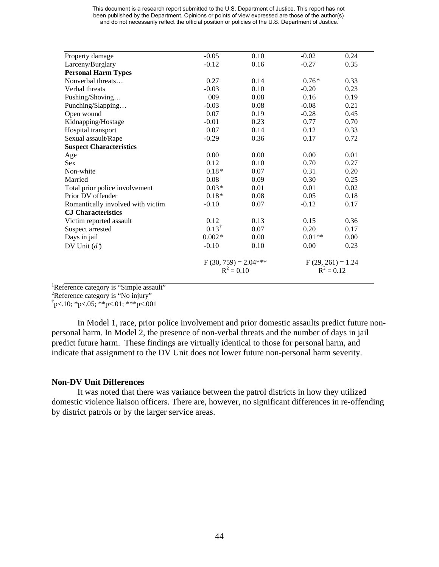| Property damage                   | $-0.05$                                | 0.10 | $-0.02$             | 0.24 |
|-----------------------------------|----------------------------------------|------|---------------------|------|
| Larceny/Burglary                  | $-0.12$                                | 0.16 | $-0.27$             | 0.35 |
| <b>Personal Harm Types</b>        |                                        |      |                     |      |
| Nonverbal threats                 | 0.27                                   | 0.14 | $0.76*$             | 0.33 |
| Verbal threats                    | $-0.03$                                | 0.10 | $-0.20$             | 0.23 |
| Pushing/Shoving                   | 009                                    | 0.08 | 0.16                | 0.19 |
| Punching/Slapping                 | $-0.03$                                | 0.08 | $-0.08$             | 0.21 |
| Open wound                        | 0.07                                   | 0.19 | $-0.28$             | 0.45 |
| Kidnapping/Hostage                | $-0.01$                                | 0.23 | 0.77                | 0.70 |
| Hospital transport                | 0.07                                   | 0.14 | 0.12                | 0.33 |
| Sexual assault/Rape               | $-0.29$                                | 0.36 | 0.17                | 0.72 |
| <b>Suspect Characteristics</b>    |                                        |      |                     |      |
| Age                               | 0.00                                   | 0.00 | 0.00                | 0.01 |
| <b>Sex</b>                        | 0.12                                   | 0.10 | 0.70                | 0.27 |
| Non-white                         | $0.18*$                                | 0.07 | 0.31                | 0.20 |
| Married                           | 0.08                                   | 0.09 | 0.30                | 0.25 |
| Total prior police involvement    | $0.03*$                                | 0.01 | 0.01                | 0.02 |
| Prior DV offender                 | $0.18*$                                | 0.08 | 0.05                | 0.18 |
| Romantically involved with victim | $-0.10$                                | 0.07 | $-0.12$             | 0.17 |
| <b>CJ</b> Characteristics         |                                        |      |                     |      |
| Victim reported assault           | 0.12                                   | 0.13 | 0.15                | 0.36 |
| Suspect arrested                  | $0.13^{\dagger}$                       | 0.07 | 0.20                | 0.17 |
| Days in jail                      | $0.002*$                               | 0.00 | $0.01**$            | 0.00 |
| DV Unit $(d')$                    | $-0.10$                                | 0.10 | 0.00                | 0.23 |
|                                   | $F(30, 759) = 2.04***$<br>$R^2 = 0.10$ |      | $F(29, 261) = 1.24$ |      |
|                                   |                                        |      | $R^2 = 0.12$        |      |

 ${}^{1}$ Reference category is "Simple assault"

Reference category is "No injury"

 $\text{p}$  < 10; \*p < 05; \*\*p < 01; \*\*\*p < 001

In Model 1, race, prior police involvement and prior domestic assaults predict future nonpersonal harm. In Model 2, the presence of non-verbal threats and the number of days in jail predict future harm. These findings are virtually identical to those for personal harm, and indicate that assignment to the DV Unit does not lower future non-personal harm severity.

#### **Non-DV Unit Differences**

It was noted that there was variance between the patrol districts in how they utilized domestic violence liaison officers. There are, however, no significant differences in re-offending by district patrols or by the larger service areas.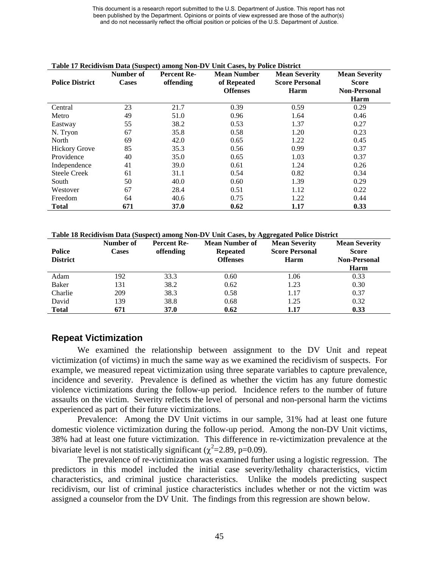| <b>Police District</b> | Number of<br><b>Cases</b> | <b>Percent Re-</b><br>offending | <b>Mean Number</b><br>of Repeated | <b>Mean Severity</b><br><b>Score Personal</b> | <b>Mean Severity</b><br><b>Score</b> |
|------------------------|---------------------------|---------------------------------|-----------------------------------|-----------------------------------------------|--------------------------------------|
|                        |                           |                                 | <b>Offenses</b>                   | Harm                                          | <b>Non-Personal</b>                  |
|                        |                           |                                 |                                   |                                               | Harm                                 |
| Central                | 23                        | 21.7                            | 0.39                              | 0.59                                          | 0.29                                 |
| Metro                  | 49                        | 51.0                            | 0.96                              | 1.64                                          | 0.46                                 |
| Eastway                | 55                        | 38.2                            | 0.53                              | 1.37                                          | 0.27                                 |
| N. Tryon               | 67                        | 35.8                            | 0.58                              | 1.20                                          | 0.23                                 |
| North                  | 69                        | 42.0                            | 0.65                              | 1.22                                          | 0.45                                 |
| <b>Hickory Grove</b>   | 85                        | 35.3                            | 0.56                              | 0.99                                          | 0.37                                 |
| Providence             | 40                        | 35.0                            | 0.65                              | 1.03                                          | 0.37                                 |
| Independence           | 41                        | 39.0                            | 0.61                              | 1.24                                          | 0.26                                 |
| <b>Steele Creek</b>    | 61                        | 31.1                            | 0.54                              | 0.82                                          | 0.34                                 |
| South                  | 50                        | 40.0                            | 0.60                              | 1.39                                          | 0.29                                 |
| Westover               | 67                        | 28.4                            | 0.51                              | 1.12                                          | 0.22                                 |
| Freedom                | 64                        | 40.6                            | 0.75                              | 1.22                                          | 0.44                                 |
| <b>Total</b>           | 671                       | 37.0                            | 0.62                              | 1.17                                          | 0.33                                 |

#### **Table 17 Recidivism Data (Suspect) among Non-DV Unit Cases, by Police District**

**Table 18 Recidivism Data (Suspect) among Non-DV Unit Cases, by Aggregated Police District**

| <b>Police</b><br><b>District</b> | Number of<br><b>Cases</b> | <b>Percent Re-</b><br>offending | Mean Number of<br><b>Repeated</b><br><b>Offenses</b> | <b>Mean Severity</b><br><b>Score Personal</b><br>Harm | <b>Mean Severity</b><br><b>Score</b><br><b>Non-Personal</b><br><b>Harm</b> |
|----------------------------------|---------------------------|---------------------------------|------------------------------------------------------|-------------------------------------------------------|----------------------------------------------------------------------------|
| Adam                             | 192                       | 33.3                            | 0.60                                                 | 1.06                                                  | 0.33                                                                       |
| Baker                            | 131                       | 38.2                            | 0.62                                                 | 1.23                                                  | 0.30                                                                       |
| Charlie                          | 209                       | 38.3                            | 0.58                                                 | 1.17                                                  | 0.37                                                                       |
| David                            | 139                       | 38.8                            | 0.68                                                 | 1.25                                                  | 0.32                                                                       |
| <b>Total</b>                     | 671                       | <b>37.0</b>                     | 0.62                                                 | 1.17                                                  | 0.33                                                                       |

### **Repeat Victimization**

We examined the relationship between assignment to the DV Unit and repeat victimization (of victims) in much the same way as we examined the recidivism of suspects. For example, we measured repeat victimization using three separate variables to capture prevalence, incidence and severity. Prevalence is defined as whether the victim has any future domestic violence victimizations during the follow-up period. Incidence refers to the number of future assaults on the victim. Severity reflects the level of personal and non-personal harm the victims experienced as part of their future victimizations.

Prevalence: Among the DV Unit victims in our sample, 31% had at least one future domestic violence victimization during the follow-up period. Among the non-DV Unit victims, 38% had at least one future victimization. This difference in re-victimization prevalence at the bivariate level is not statistically significant ( $\chi^2$ =2.89, p=0.09).

The prevalence of re-victimization was examined further using a logistic regression. The predictors in this model included the initial case severity/lethality characteristics, victim characteristics, and criminal justice characteristics. Unlike the models predicting suspect recidivism, our list of criminal justice characteristics includes whether or not the victim was assigned a counselor from the DV Unit. The findings from this regression are shown below.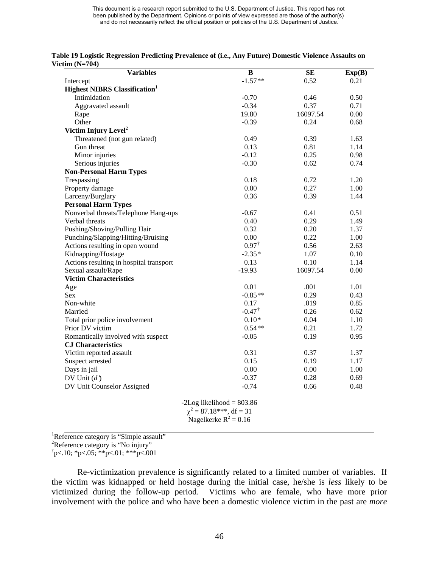| Table 19 Logistic Regression Predicting Prevalence of (i.e., Any Future) Domestic Violence Assaults on |  |
|--------------------------------------------------------------------------------------------------------|--|
| Victim $(N=704)$                                                                                       |  |

| <b>Variables</b>                                 | $\bf{B}$                     | <b>SE</b> | Exp(B) |
|--------------------------------------------------|------------------------------|-----------|--------|
| Intercept                                        | $-1.57**$                    | 0.52      | 0.21   |
| <b>Highest NIBRS Classification</b> <sup>1</sup> |                              |           |        |
| Intimidation                                     | $-0.70$                      | 0.46      | 0.50   |
| Aggravated assault                               | $-0.34$                      | 0.37      | 0.71   |
| Rape                                             | 19.80                        | 16097.54  | 0.00   |
| Other                                            | $-0.39$                      | 0.24      | 0.68   |
| Victim Injury Level <sup>2</sup>                 |                              |           |        |
| Threatened (not gun related)                     | 0.49                         | 0.39      | 1.63   |
| Gun threat                                       | 0.13                         | 0.81      | 1.14   |
| Minor injuries                                   | $-0.12$                      | 0.25      | 0.98   |
| Serious injuries                                 | $-0.30$                      | 0.62      | 0.74   |
| <b>Non-Personal Harm Types</b>                   |                              |           |        |
| Trespassing                                      | 0.18                         | 0.72      | 1.20   |
| Property damage                                  | 0.00                         | 0.27      | 1.00   |
| Larceny/Burglary                                 | 0.36                         | 0.39      | 1.44   |
| <b>Personal Harm Types</b>                       |                              |           |        |
| Nonverbal threats/Telephone Hang-ups             | $-0.67$                      | 0.41      | 0.51   |
| Verbal threats                                   | 0.40                         | 0.29      | 1.49   |
| Pushing/Shoving/Pulling Hair                     | 0.32                         | 0.20      | 1.37   |
| Punching/Slapping/Hitting/Bruising               | 0.00                         | 0.22      | 1.00   |
| Actions resulting in open wound                  | $0.97^{\dagger}$             | 0.56      | 2.63   |
| Kidnapping/Hostage                               | $-2.35*$                     | 1.07      | 0.10   |
| Actions resulting in hospital transport          | 0.13                         | 0.10      | 1.14   |
| Sexual assault/Rape                              | $-19.93$                     | 16097.54  | 0.00   |
| <b>Victim Characteristics</b>                    |                              |           |        |
| Age                                              | 0.01                         | .001      | 1.01   |
| Sex                                              | $-0.85**$                    | 0.29      | 0.43   |
| Non-white                                        | 0.17                         | .019      | 0.85   |
| Married                                          | $-0.47^{\dagger}$            | 0.26      | 0.62   |
| Total prior police involvement                   | $0.10*$                      | 0.04      | 1.10   |
| Prior DV victim                                  | $0.54**$                     | 0.21      | 1.72   |
| Romantically involved with suspect               | $-0.05$                      | 0.19      | 0.95   |
| <b>CJ Characteristics</b>                        |                              |           |        |
| Victim reported assault                          | 0.31                         | 0.37      | 1.37   |
| Suspect arrested                                 | 0.15                         | 0.19      | 1.17   |
| Days in jail                                     | 0.00                         | 0.00      | 1.00   |
| DV Unit $(d')$                                   | $-0.37$                      | 0.28      | 0.69   |
| DV Unit Counselor Assigned                       | $-0.74$                      | 0.66      | 0.48   |
|                                                  | $-2Log likelihood = 803.86$  |           |        |
|                                                  | $\chi^2$ = 87.18***, df = 31 |           |        |
|                                                  | Nagelkerke $R^2 = 0.16$      |           |        |

<sup>1</sup>Reference category is "Simple assault"<br><sup>2</sup>Reference estategory is "No injury"

<sup>2</sup>Reference category is "No injury"

 $\text{p}$  < 10; \*p < 05; \*\*p < 01; \*\*\*p < 001

Re-victimization prevalence is significantly related to a limited number of variables. If the victim was kidnapped or held hostage during the initial case, he/she is *less* likely to be victimized during the follow-up period. Victims who are female, who have more prior involvement with the police and who have been a domestic violence victim in the past are *more*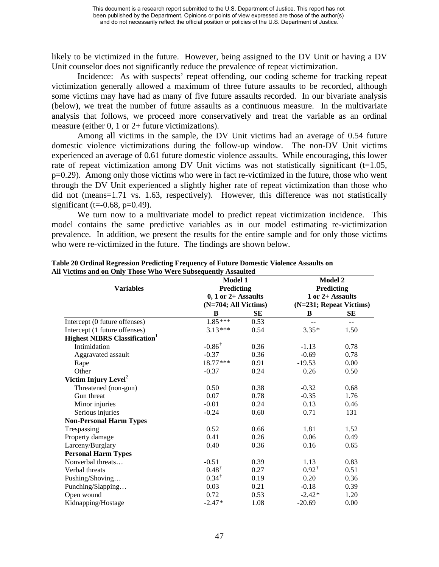likely to be victimized in the future. However, being assigned to the DV Unit or having a DV Unit counselor does not significantly reduce the prevalence of repeat victimization.

Incidence: As with suspects' repeat offending, our coding scheme for tracking repeat victimization generally allowed a maximum of three future assaults to be recorded, although some victims may have had as many of five future assaults recorded. In our bivariate analysis (below), we treat the number of future assaults as a continuous measure. In the multivariate analysis that follows, we proceed more conservatively and treat the variable as an ordinal measure (either 0, 1 or 2+ future victimizations).

Among all victims in the sample, the DV Unit victims had an average of 0.54 future domestic violence victimizations during the follow-up window. The non-DV Unit victims experienced an average of 0.61 future domestic violence assaults. While encouraging, this lower rate of repeat victimization among DV Unit victims was not statistically significant  $(t=1.05,$ p=0.29). Among only those victims who were in fact re-victimized in the future, those who went through the DV Unit experienced a slightly higher rate of repeat victimization than those who did not (means=1.71 vs. 1.63, respectively). However, this difference was not statistically significant (t= $-0.68$ , p= $0.49$ ).

We turn now to a multivariate model to predict repeat victimization incidence. This model contains the same predictive variables as in our model estimating re-victimization prevalence. In addition, we present the results for the entire sample and for only those victims who were re-victimized in the future. The findings are shown below.

| retains and on Only Those Who Were Subsequently Assaured | <b>Model 1</b><br>Predicting |      | Model 2<br><b>Predicting</b>                |       |  |
|----------------------------------------------------------|------------------------------|------|---------------------------------------------|-------|--|
| <b>Variables</b>                                         |                              |      |                                             |       |  |
|                                                          | $0, 1$ or $2+$ Assaults      |      | 1 or 2+ Assaults<br>(N=231; Repeat Victims) |       |  |
|                                                          | (N=704; All Victims)         |      |                                             |       |  |
|                                                          | B                            | SЕ   | B                                           | SЕ    |  |
| Intercept (0 future offenses)                            | $1.85***$                    | 0.53 | --                                          | $- -$ |  |
| Intercept (1 future offenses)                            | $3.13***$                    | 0.54 | $3.35*$                                     | 1.50  |  |
| <b>Highest NIBRS Classification</b>                      |                              |      |                                             |       |  |
| Intimidation                                             | $-0.86^{\dagger}$            | 0.36 | $-1.13$                                     | 0.78  |  |
| Aggravated assault                                       | $-0.37$                      | 0.36 | $-0.69$                                     | 0.78  |  |
| Rape                                                     | $18.77***$                   | 0.91 | $-19.53$                                    | 0.00  |  |
| Other                                                    | $-0.37$                      | 0.24 | 0.26                                        | 0.50  |  |
| Victim Injury Level <sup>2</sup>                         |                              |      |                                             |       |  |
| Threatened (non-gun)                                     | 0.50                         | 0.38 | $-0.32$                                     | 0.68  |  |
| Gun threat                                               | 0.07                         | 0.78 | $-0.35$                                     | 1.76  |  |
| Minor injuries                                           | $-0.01$                      | 0.24 | 0.13                                        | 0.46  |  |
| Serious injuries                                         | $-0.24$                      | 0.60 | 0.71                                        | 131   |  |
| <b>Non-Personal Harm Types</b>                           |                              |      |                                             |       |  |
| Trespassing                                              | 0.52                         | 0.66 | 1.81                                        | 1.52  |  |
| Property damage                                          | 0.41                         | 0.26 | 0.06                                        | 0.49  |  |
| Larceny/Burglary                                         | 0.40                         | 0.36 | 0.16                                        | 0.65  |  |
| <b>Personal Harm Types</b>                               |                              |      |                                             |       |  |
| Nonverbal threats                                        | $-0.51$                      | 0.39 | 1.13                                        | 0.83  |  |
| Verbal threats                                           | $0.48^{\dagger}$             | 0.27 | $0.92^{\dagger}$                            | 0.51  |  |
| Pushing/Shoving                                          | $0.34^{\dagger}$             | 0.19 | 0.20                                        | 0.36  |  |
| Punching/Slapping                                        | 0.03                         | 0.21 | $-0.18$                                     | 0.39  |  |
| Open wound                                               | 0.72                         | 0.53 | $-2.42*$                                    | 1.20  |  |
| Kidnapping/Hostage                                       | $-2.47*$                     | 1.08 | $-20.69$                                    | 0.00  |  |

#### **Table 20 Ordinal Regression Predicting Frequency of Future Domestic Violence Assaults on All Victims and on Only Those Who Were Subsequently Assaulted**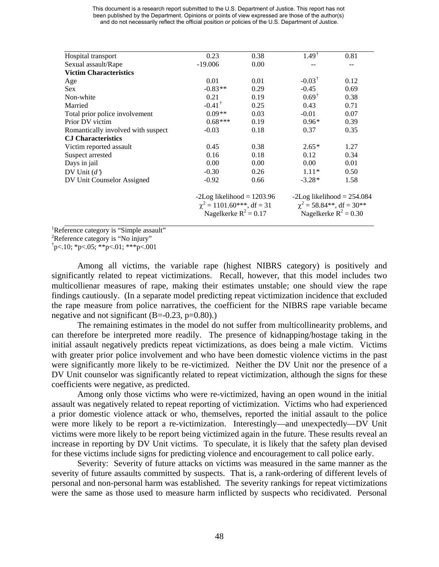| This document is a research report submitted to the U.S. Department of Justice. This report has not |
|-----------------------------------------------------------------------------------------------------|
| been published by the Department. Opinions or points of view expressed are those of the author(s)   |
| and do not necessarily reflect the official position or policies of the U.S. Department of Justice. |

| Hospital transport                 | 0.23                                                           | 0.38 | $1.49^{\dagger}$                                              | 0.81                    |
|------------------------------------|----------------------------------------------------------------|------|---------------------------------------------------------------|-------------------------|
| Sexual assault/Rape                | $-19.006$                                                      | 0.00 |                                                               |                         |
| <b>Victim Characteristics</b>      |                                                                |      |                                                               |                         |
| Age                                | 0.01                                                           | 0.01 | $-0.03^{\dagger}$                                             | 0.12                    |
| <b>Sex</b>                         | $-0.83**$                                                      | 0.29 | $-0.45$                                                       | 0.69                    |
| Non-white                          | 0.21                                                           | 0.19 | $0.69^{\dagger}$                                              | 0.38                    |
| Married                            | $-0.41^{\dagger}$                                              | 0.25 | 0.43                                                          | 0.71                    |
| Total prior police involvement     | $0.09**$                                                       | 0.03 | $-0.01$                                                       | 0.07                    |
| Prior DV victim                    | $0.68***$                                                      | 0.19 | $0.96*$                                                       | 0.39                    |
| Romantically involved with suspect | $-0.03$                                                        | 0.18 | 0.37                                                          | 0.35                    |
| <b>CJ Characteristics</b>          |                                                                |      |                                                               |                         |
| Victim reported assault            | 0.45                                                           | 0.38 | $2.65*$                                                       | 1.27                    |
| Suspect arrested                   | 0.16                                                           | 0.18 | 0.12                                                          | 0.34                    |
| Days in jail                       | 0.00                                                           | 0.00 | 0.00                                                          | 0.01                    |
| DV Unit $(d')$                     | $-0.30$                                                        | 0.26 | $1.11*$                                                       | 0.50                    |
| DV Unit Counselor Assigned         | $-0.92$                                                        | 0.66 | $-3.28*$                                                      | 1.58                    |
|                                    | $-2Log likelihood = 1203.96$<br>$\chi^2$ = 1101.60***, df = 31 |      | $-2Log$ likelihood = 254.084<br>$\chi^2$ = 58.84**, df = 30** |                         |
|                                    | Nagelkerke $R^2 = 0.17$                                        |      |                                                               | Nagelkerke $R^2 = 0.30$ |

<sup>1</sup>Reference category is "Simple assault"<br><sup>2</sup>Reference estategory is "No injury"

<sup>2</sup>Reference category is "No injury"

 $\text{p}$  < 10; \*p < 05; \*\*p < 01; \*\*\*p < 001

Among all victims, the variable rape (highest NIBRS category) is positively and significantly related to repeat victimizations. Recall, however, that this model includes two multicollienar measures of rape, making their estimates unstable; one should view the rape findings cautiously. (In a separate model predicting repeat victimization incidence that excluded the rape measure from police narratives, the coefficient for the NIBRS rape variable became negative and not significant  $(B=-0.23, p=0.80)$ .

The remaining estimates in the model do not suffer from multicollinearity problems, and can therefore be interpreted more readily. The presence of kidnapping/hostage taking in the initial assault negatively predicts repeat victimizations, as does being a male victim. Victims with greater prior police involvement and who have been domestic violence victims in the past were significantly more likely to be re-victimized. Neither the DV Unit nor the presence of a DV Unit counselor was significantly related to repeat victimization, although the signs for these coefficients were negative, as predicted.

Among only those victims who were re-victimized, having an open wound in the initial assault was negatively related to repeat reporting of victimization. Victims who had experienced a prior domestic violence attack or who, themselves, reported the initial assault to the police were more likely to be report a re-victimization. Interestingly—and unexpectedly—DV Unit victims were more likely to be report being victimized again in the future. These results reveal an increase in reporting by DV Unit victims. To speculate, it is likely that the safety plan devised for these victims include signs for predicting violence and encouragement to call police early.

Severity: Severity of future attacks on victims was measured in the same manner as the severity of future assaults committed by suspects. That is, a rank-ordering of different levels of personal and non-personal harm was established. The severity rankings for repeat victimizations were the same as those used to measure harm inflicted by suspects who recidivated. Personal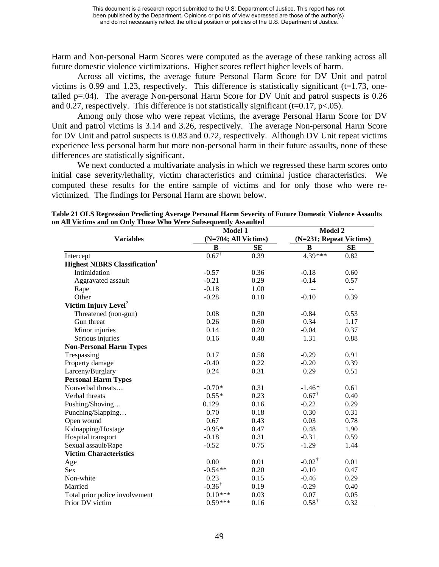Harm and Non-personal Harm Scores were computed as the average of these ranking across all future domestic violence victimizations. Higher scores reflect higher levels of harm.

Across all victims, the average future Personal Harm Score for DV Unit and patrol victims is 0.99 and 1.23, respectively. This difference is statistically significant ( $t=1.73$ , onetailed  $p=04$ ). The average Non-personal Harm Score for DV Unit and patrol suspects is 0.26 and 0.27, respectively. This difference is not statistically significant (t=0.17,  $p<0.05$ ).

Among only those who were repeat victims, the average Personal Harm Score for DV Unit and patrol victims is 3.14 and 3.26, respectively. The average Non-personal Harm Score for DV Unit and patrol suspects is 0.83 and 0.72, respectively. Although DV Unit repeat victims experience less personal harm but more non-personal harm in their future assaults, none of these differences are statistically significant.

We next conducted a multivariate analysis in which we regressed these harm scores onto initial case severity/lethality, victim characteristics and criminal justice characteristics. We computed these results for the entire sample of victims and for only those who were revictimized. The findings for Personal Harm are shown below.

|                                     |                   | Model 1              |                   | Model 2                  |  |
|-------------------------------------|-------------------|----------------------|-------------------|--------------------------|--|
| <b>Variables</b>                    |                   | (N=704; All Victims) |                   | (N=231; Repeat Victims)  |  |
|                                     | B                 | <b>SE</b>            | B                 | <b>SE</b>                |  |
| Intercept                           | $0.67^{\dagger}$  | 0.39                 | $4.39***$         | 0.82                     |  |
| <b>Highest NIBRS Classification</b> |                   |                      |                   |                          |  |
| Intimidation                        | $-0.57$           | 0.36                 | $-0.18$           | 0.60                     |  |
| Aggravated assault                  | $-0.21$           | 0.29                 | $-0.14$           | 0.57                     |  |
| Rape                                | $-0.18$           | 1.00                 | $-$               | $\overline{\phantom{a}}$ |  |
| Other                               | $-0.28$           | 0.18                 | $-0.10$           | 0.39                     |  |
| Victim Injury Level <sup>2</sup>    |                   |                      |                   |                          |  |
| Threatened (non-gun)                | 0.08              | 0.30                 | $-0.84$           | 0.53                     |  |
| Gun threat                          | 0.26              | 0.60                 | 0.34              | 1.17                     |  |
| Minor injuries                      | 0.14              | 0.20                 | $-0.04$           | 0.37                     |  |
| Serious injuries                    | 0.16              | 0.48                 | 1.31              | 0.88                     |  |
| <b>Non-Personal Harm Types</b>      |                   |                      |                   |                          |  |
| Trespassing                         | 0.17              | 0.58                 | $-0.29$           | 0.91                     |  |
| Property damage                     | $-0.40$           | 0.22                 | $-0.20$           | 0.39                     |  |
| Larceny/Burglary                    | 0.24              | 0.31                 | 0.29              | 0.51                     |  |
| <b>Personal Harm Types</b>          |                   |                      |                   |                          |  |
| Nonverbal threats                   | $-0.70*$          | 0.31                 | $-1.46*$          | 0.61                     |  |
| Verbal threats                      | $0.55*$           | 0.23                 | $0.67^{\dagger}$  | 0.40                     |  |
| Pushing/Shoving                     | 0.129             | 0.16                 | $-0.22$           | 0.29                     |  |
| Punching/Slapping                   | 0.70              | 0.18                 | 0.30              | 0.31                     |  |
| Open wound                          | 0.67              | 0.43                 | 0.03              | 0.78                     |  |
| Kidnapping/Hostage                  | $-0.95*$          | 0.47                 | 0.48              | 1.90                     |  |
| Hospital transport                  | $-0.18$           | 0.31                 | $-0.31$           | 0.59                     |  |
| Sexual assault/Rape                 | $-0.52$           | 0.75                 | $-1.29$           | 1.44                     |  |
| <b>Victim Characteristics</b>       |                   |                      |                   |                          |  |
| Age                                 | 0.00              | 0.01                 | $-0.02^{\dagger}$ | 0.01                     |  |
| <b>Sex</b>                          | $-0.54**$         | 0.20                 | $-0.10$           | 0.47                     |  |
| Non-white                           | 0.23              | 0.15                 | $-0.46$           | 0.29                     |  |
| Married                             | $-0.36^{\dagger}$ | 0.19                 | $-0.29$           | 0.40                     |  |
| Total prior police involvement      | $0.10***$         | 0.03                 | 0.07              | 0.05                     |  |
| Prior DV victim                     | $0.59***$         | 0.16                 | $0.58^\dagger$    | 0.32                     |  |

**Table 21 OLS Regression Predicting Average Personal Harm Severity of Future Domestic Violence Assaults on All Victims and on Only Those Who Were Subsequently Assaulted**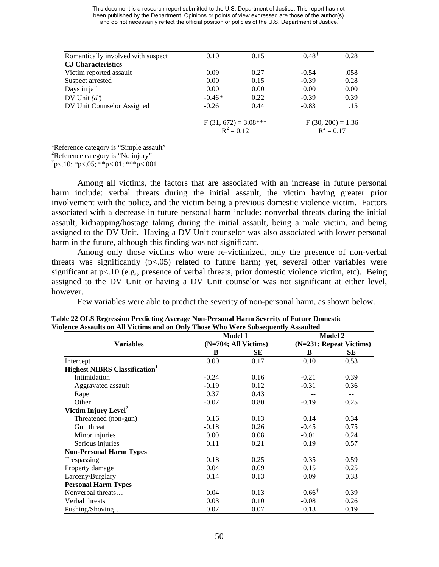| 0.10                                   | 0.15 | $0.48^{\dagger}$ | 0.28                                |
|----------------------------------------|------|------------------|-------------------------------------|
|                                        |      |                  |                                     |
| 0.09                                   | 0.27 | $-0.54$          | .058                                |
| 0.00                                   | 0.15 | $-0.39$          | 0.28                                |
| 0.00                                   | 0.00 | 0.00             | 0.00                                |
| $-0.46*$                               | 0.22 | $-0.39$          | 0.39                                |
| $-0.26$                                | 0.44 | $-0.83$          | 1.15                                |
| $F(31, 672) = 3.08***$<br>$R^2 = 0.12$ |      |                  | $F(30, 200) = 1.36$<br>$R^2 = 0.17$ |
|                                        |      |                  |                                     |

<sup>1</sup>Reference category is "Simple assault"<br><sup>2</sup>Reference estategory is "No injury"

<sup>2</sup>Reference category is "No injury"

 $\text{p}$  < 10; \*p < 05; \*\*p < 01; \*\*\*p < 001

Among all victims, the factors that are associated with an increase in future personal harm include: verbal threats during the initial assault, the victim having greater prior involvement with the police, and the victim being a previous domestic violence victim. Factors associated with a decrease in future personal harm include: nonverbal threats during the initial assault, kidnapping/hostage taking during the initial assault, being a male victim, and being assigned to the DV Unit. Having a DV Unit counselor was also associated with lower personal harm in the future, although this finding was not significant.

Among only those victims who were re-victimized, only the presence of non-verbal threats was significantly  $(p<.05)$  related to future harm; yet, several other variables were significant at p<.10 (e.g., presence of verbal threats, prior domestic violence victim, etc). Being assigned to the DV Unit or having a DV Unit counselor was not significant at either level, however.

Few variables were able to predict the severity of non-personal harm, as shown below.

|                                     |                      | <b>Model 1</b> | <b>Model 2</b>          |       |
|-------------------------------------|----------------------|----------------|-------------------------|-------|
| <b>Variables</b>                    | (N=704; All Victims) |                | (N=231; Repeat Victims) |       |
|                                     | B                    | SЕ             | B                       | SЕ    |
| Intercept                           | 0.00                 | 0.17           | 0.10                    | 0.53  |
| <b>Highest NIBRS Classification</b> |                      |                |                         |       |
| Intimidation                        | $-0.24$              | 0.16           | $-0.21$                 | 0.39  |
| Aggravated assault                  | $-0.19$              | 0.12           | $-0.31$                 | 0.36  |
| Rape                                | 0.37                 | 0.43           |                         | $- -$ |
| Other                               | $-0.07$              | 0.80           | $-0.19$                 | 0.25  |
| Victim Injury Level <sup>2</sup>    |                      |                |                         |       |
| Threatened (non-gun)                | 0.16                 | 0.13           | 0.14                    | 0.34  |
| Gun threat                          | $-0.18$              | 0.26           | $-0.45$                 | 0.75  |
| Minor injuries                      | 0.00                 | 0.08           | $-0.01$                 | 0.24  |
| Serious injuries                    | 0.11                 | 0.21           | 0.19                    | 0.57  |
| <b>Non-Personal Harm Types</b>      |                      |                |                         |       |
| Trespassing                         | 0.18                 | 0.25           | 0.35                    | 0.59  |
| Property damage                     | 0.04                 | 0.09           | 0.15                    | 0.25  |
| Larceny/Burglary                    | 0.14                 | 0.13           | 0.09                    | 0.33  |
| <b>Personal Harm Types</b>          |                      |                |                         |       |
| Nonverbal threats                   | 0.04                 | 0.13           | $0.66^{\dagger}$        | 0.39  |
| Verbal threats                      | 0.03                 | 0.10           | $-0.08$                 | 0.26  |
| Pushing/Shoving                     | 0.07                 | 0.07           | 0.13                    | 0.19  |

**Table 22 OLS Regression Predicting Average Non-Personal Harm Severity of Future Domestic Violence Assaults on All Victims and on Only Those Who Were Subsequently Assaulted**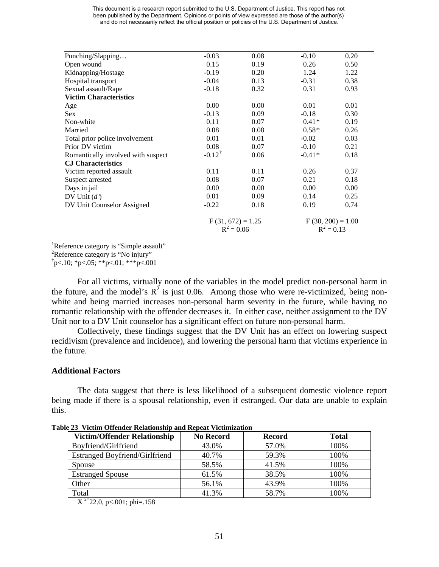| Punching/Slapping                  | $-0.03$             | 0.08 | $-0.10$             | 0.20 |
|------------------------------------|---------------------|------|---------------------|------|
| Open wound                         | 0.15                | 0.19 | 0.26                | 0.50 |
| Kidnapping/Hostage                 | $-0.19$             | 0.20 | 1.24                | 1.22 |
| Hospital transport                 | $-0.04$             | 0.13 | $-0.31$             | 0.38 |
| Sexual assault/Rape                | $-0.18$             | 0.32 | 0.31                | 0.93 |
| <b>Victim Characteristics</b>      |                     |      |                     |      |
| Age                                | 0.00                | 0.00 | 0.01                | 0.01 |
| <b>Sex</b>                         | $-0.13$             | 0.09 | $-0.18$             | 0.30 |
| Non-white                          | 0.11                | 0.07 | $0.41*$             | 0.19 |
| Married                            | 0.08                | 0.08 | $0.58*$             | 0.26 |
| Total prior police involvement     | 0.01                | 0.01 | $-0.02$             | 0.03 |
| Prior DV victim                    | 0.08                | 0.07 | $-0.10$             | 0.21 |
| Romantically involved with suspect | $-0.12^+$           | 0.06 | $-0.41*$            | 0.18 |
| <b>C.I</b> Characteristics         |                     |      |                     |      |
| Victim reported assault            | 0.11                | 0.11 | 0.26                | 0.37 |
| Suspect arrested                   | 0.08                | 0.07 | 0.21                | 0.18 |
| Days in jail                       | 0.00                | 0.00 | 0.00                | 0.00 |
| DV Unit $(d')$                     | 0.01                | 0.09 | 0.14                | 0.25 |
| DV Unit Counselor Assigned         | $-0.22$             | 0.18 | 0.19                | 0.74 |
|                                    | $F(31, 672) = 1.25$ |      | $F(30, 200) = 1.00$ |      |
|                                    | $R^2 = 0.06$        |      | $R^2 = 0.13$        |      |
|                                    |                     |      |                     |      |

<sup>1</sup>Reference category is "Simple assault"<br><sup>2</sup>Reference estategory is "No injury"

<sup>2</sup>Reference category is "No injury"

 $\text{p}$  < 10; \*p < 05; \*\*p < 01; \*\*\*p < 001

For all victims, virtually none of the variables in the model predict non-personal harm in the future, and the model's  $R^2$  is just 0.06. Among those who were re-victimized, being nonwhite and being married increases non-personal harm severity in the future, while having no romantic relationship with the offender decreases it. In either case, neither assignment to the DV Unit nor to a DV Unit counselor has a significant effect on future non-personal harm.

Collectively, these findings suggest that the DV Unit has an effect on lowering suspect recidivism (prevalence and incidence), and lowering the personal harm that victims experience in the future.

#### **Additional Factors**

The data suggest that there is less likelihood of a subsequent domestic violence report being made if there is a spousal relationship, even if estranged. Our data are unable to explain this.

| <b>Victim/Offender Relationship</b> | <b>No Record</b> | <b>Record</b> | <b>Total</b> |
|-------------------------------------|------------------|---------------|--------------|
| Boyfriend/Girlfriend                | 43.0%            | 57.0%         | 100%         |
| Estranged Boyfriend/Girlfriend      | 40.7%            | 59.3%         | 100%         |
| Spouse                              | 58.5%            | 41.5%         | 100\%        |
| <b>Estranged Spouse</b>             | 61.5%            | 38.5%         | 100%         |
| Other                               | 56.1%            | 43.9%         | 100%         |
| Total                               | 41.3%            | 58.7%         | 100%         |

**Table 23 Victim Offender Relationship and Repeat Victimization** 

 $X^{2}$ =22.0, p<.001; phi=.158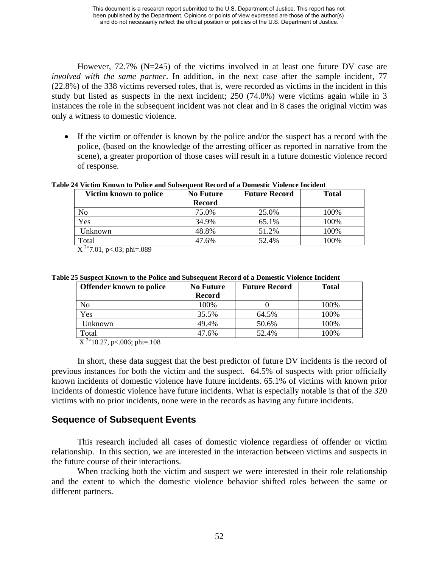However, 72.7% (N=245) of the victims involved in at least one future DV case are *involved with the same partner*. In addition, in the next case after the sample incident, 77 (22.8%) of the 338 victims reversed roles, that is, were recorded as victims in the incident in this study but listed as suspects in the next incident; 250 (74.0%) were victims again while in 3 instances the role in the subsequent incident was not clear and in 8 cases the original victim was only a witness to domestic violence.

• If the victim or offender is known by the police and/or the suspect has a record with the police, (based on the knowledge of the arresting officer as reported in narrative from the scene), a greater proportion of those cases will result in a future domestic violence record of response.

**Table 24 Victim Known to Police and Subsequent Record of a Domestic Violence Incident** 

| Victim known to police | <b>No Future</b> | <b>Future Record</b> | <b>Total</b> |
|------------------------|------------------|----------------------|--------------|
|                        | Record           |                      |              |
| No                     | 75.0%            | 25.0%                | 100%         |
| Yes                    | 34.9%            | 65.1%                | 100%         |
| Unknown                | 48.8%            | 51.2%                | 100%         |
| Total                  | 47.6%            | 52.4%                | .00%         |

 $X^{2=7.01}$ , p<.03; phi=.089

**Table 25 Suspect Known to the Police and Subsequent Record of a Domestic Violence Incident** 

| <b>Offender known to police</b> | <b>No Future</b> | <b>Future Record</b> | <b>Total</b> |
|---------------------------------|------------------|----------------------|--------------|
|                                 | <b>Record</b>    |                      |              |
| No                              | 100%             |                      | 100%         |
| Yes                             | 35.5%            | 64.5%                | 100%         |
| Jnknown                         | 49.4%            | 50.6%                | 100%         |
| Total                           | 47.6%            | 52.4%                | 100%         |

 $X^{2=10.27}$ , p<.006; phi=.108

In short, these data suggest that the best predictor of future DV incidents is the record of previous instances for both the victim and the suspect. 64.5% of suspects with prior officially known incidents of domestic violence have future incidents. 65.1% of victims with known prior incidents of domestic violence have future incidents. What is especially notable is that of the 320 victims with no prior incidents, none were in the records as having any future incidents.

## **Sequence of Subsequent Events**

This research included all cases of domestic violence regardless of offender or victim relationship. In this section, we are interested in the interaction between victims and suspects in the future course of their interactions.

When tracking both the victim and suspect we were interested in their role relationship and the extent to which the domestic violence behavior shifted roles between the same or different partners.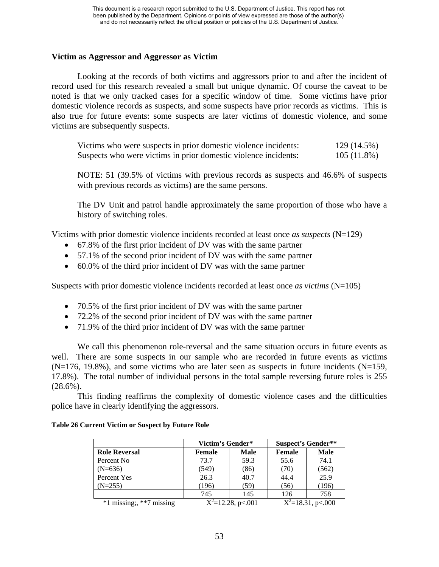### **Victim as Aggressor and Aggressor as Victim**

Looking at the records of both victims and aggressors prior to and after the incident of record used for this research revealed a small but unique dynamic. Of course the caveat to be noted is that we only tracked cases for a specific window of time. Some victims have prior domestic violence records as suspects, and some suspects have prior records as victims. This is also true for future events: some suspects are later victims of domestic violence, and some victims are subsequently suspects.

| Victims who were suspects in prior domestic violence incidents: | 129 (14.5%)   |
|-----------------------------------------------------------------|---------------|
| Suspects who were victims in prior domestic violence incidents: | $105(11.8\%)$ |

NOTE: 51 (39.5% of victims with previous records as suspects and 46.6% of suspects with previous records as victims) are the same persons.

The DV Unit and patrol handle approximately the same proportion of those who have a history of switching roles.

Victims with prior domestic violence incidents recorded at least once *as suspects* (N=129)

- 67.8% of the first prior incident of DV was with the same partner
- 57.1% of the second prior incident of DV was with the same partner
- 60.0% of the third prior incident of DV was with the same partner

Suspects with prior domestic violence incidents recorded at least once *as victims* (N=105)

- 70.5% of the first prior incident of DV was with the same partner
- 72.2% of the second prior incident of DV was with the same partner
- 71.9% of the third prior incident of DV was with the same partner

We call this phenomenon role-reversal and the same situation occurs in future events as well. There are some suspects in our sample who are recorded in future events as victims  $(N=176, 19.8\%)$ , and some victims who are later seen as suspects in future incidents  $(N=159, 19.8\%)$ 17.8%). The total number of individual persons in the total sample reversing future roles is 255  $(28.6\%)$ .

This finding reaffirms the complexity of domestic violence cases and the difficulties police have in clearly identifying the aggressors.

|                              | Victim's Gender* |                      | <b>Suspect's Gender**</b> |                        |
|------------------------------|------------------|----------------------|---------------------------|------------------------|
| <b>Role Reversal</b>         | Female           | Male                 | Female                    | <b>Male</b>            |
| Percent No                   | 73.7             | 59.3                 | 55.6                      | 74.1                   |
| $(N=636)$                    | (549)            | (86)                 | (70)                      | (562)                  |
| Percent Yes                  | 26.3             | 40.7                 | 44.4                      | 25.9                   |
| $(N=255)$                    | (196)            | (59)                 | (56)                      | (196)                  |
|                              | 745              | 145                  | 126                       | 758                    |
| $*1$ missing;, $**7$ missing |                  | $X^2$ =12.28, p<.001 |                           | $X^2 = 18.31$ , p<.000 |

#### **Table 26 Current Victim or Suspect by Future Role**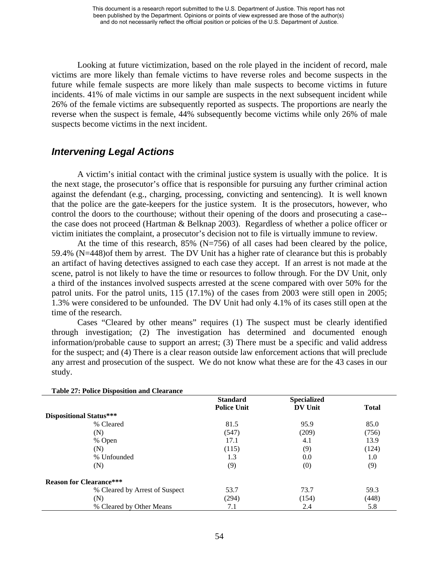Looking at future victimization, based on the role played in the incident of record, male victims are more likely than female victims to have reverse roles and become suspects in the future while female suspects are more likely than male suspects to become victims in future incidents. 41% of male victims in our sample are suspects in the next subsequent incident while 26% of the female victims are subsequently reported as suspects. The proportions are nearly the reverse when the suspect is female, 44% subsequently become victims while only 26% of male suspects become victims in the next incident.

## *Intervening Legal Actions*

A victim's initial contact with the criminal justice system is usually with the police. It is the next stage, the prosecutor's office that is responsible for pursuing any further criminal action against the defendant (e.g., charging, processing, convicting and sentencing). It is well known that the police are the gate-keepers for the justice system. It is the prosecutors, however, who control the doors to the courthouse; without their opening of the doors and prosecuting a case- the case does not proceed (Hartman & Belknap 2003). Regardless of whether a police officer or victim initiates the complaint, a prosecutor's decision not to file is virtually immune to review.

At the time of this research,  $85\%$  (N=756) of all cases had been cleared by the police, 59.4% (N=448)of them by arrest. The DV Unit has a higher rate of clearance but this is probably an artifact of having detectives assigned to each case they accept. If an arrest is not made at the scene, patrol is not likely to have the time or resources to follow through. For the DV Unit, only a third of the instances involved suspects arrested at the scene compared with over 50% for the patrol units. For the patrol units, 115 (17.1%) of the cases from 2003 were still open in 2005; 1.3% were considered to be unfounded. The DV Unit had only 4.1% of its cases still open at the time of the research.

Cases "Cleared by other means" requires (1) The suspect must be clearly identified through investigation; (2) The investigation has determined and documented enough information/probable cause to support an arrest; (3) There must be a specific and valid address for the suspect; and (4) There is a clear reason outside law enforcement actions that will preclude any arrest and prosecution of the suspect. We do not know what these are for the 43 cases in our study.

| <b>Table 27: Police Disposition and Clearance</b> |                    |                    |              |
|---------------------------------------------------|--------------------|--------------------|--------------|
|                                                   | <b>Standard</b>    | <b>Specialized</b> |              |
|                                                   | <b>Police Unit</b> | <b>DV Unit</b>     | <b>Total</b> |
| Dispositional Status***                           |                    |                    |              |
| % Cleared                                         | 81.5               | 95.9               | 85.0         |
| (N)                                               | (547)              | (209)              | (756)        |
| % Open                                            | 17.1               | 4.1                | 13.9         |
| (N)                                               | (115)              | (9)                | (124)        |
| % Unfounded                                       | 1.3                | 0.0                | 1.0          |
| (N)                                               | (9)                | (0)                | (9)          |
| <b>Reason for Clearance***</b>                    |                    |                    |              |
| % Cleared by Arrest of Suspect                    | 53.7               | 73.7               | 59.3         |
| (N)                                               | (294)              | (154)              | (448)        |
| % Cleared by Other Means                          | 7.1                | 2.4                | 5.8          |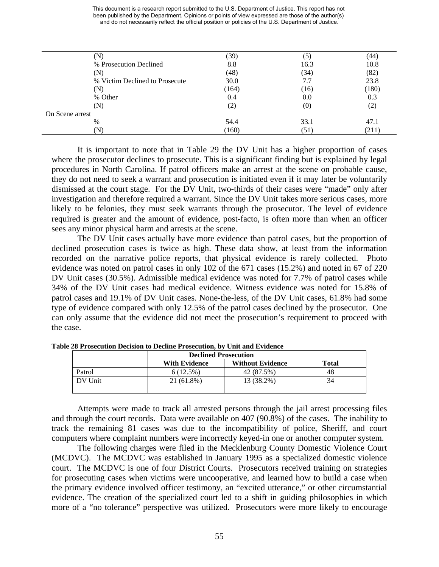|                                | (39)  | (5)  | 44)   |
|--------------------------------|-------|------|-------|
| % Prosecution Declined         | 8.8   | 16.3 | 10.8  |
| (N)                            | (48)  | (34) | (82)  |
| % Victim Declined to Prosecute | 30.0  | 7.7  | 23.8  |
| N)                             | (164) | (16) | (180) |
| % Other                        | 0.4   | 0.0  | 0.3   |
| (N)                            | (2)   | (0)  | (2)   |
| On Scene arrest                |       |      |       |
| %                              | 54.4  | 33.1 | 47.1  |
| 'N`                            | (160) | (51) | (211) |
|                                |       |      |       |

It is important to note that in Table 29 the DV Unit has a higher proportion of cases where the prosecutor declines to prosecute. This is a significant finding but is explained by legal procedures in North Carolina. If patrol officers make an arrest at the scene on probable cause, they do not need to seek a warrant and prosecution is initiated even if it may later be voluntarily dismissed at the court stage. For the DV Unit, two-thirds of their cases were "made" only after investigation and therefore required a warrant. Since the DV Unit takes more serious cases, more likely to be felonies, they must seek warrants through the prosecutor. The level of evidence required is greater and the amount of evidence, post-facto, is often more than when an officer sees any minor physical harm and arrests at the scene.

The DV Unit cases actually have more evidence than patrol cases, but the proportion of declined prosecution cases is twice as high. These data show, at least from the information recorded on the narrative police reports, that physical evidence is rarely collected. Photo evidence was noted on patrol cases in only 102 of the 671 cases (15.2%) and noted in 67 of 220 DV Unit cases (30.5%). Admissible medical evidence was noted for 7.7% of patrol cases while 34% of the DV Unit cases had medical evidence. Witness evidence was noted for 15.8% of patrol cases and 19.1% of DV Unit cases. None-the-less, of the DV Unit cases, 61.8% had some type of evidence compared with only 12.5% of the patrol cases declined by the prosecutor. One can only assume that the evidence did not meet the prosecution's requirement to proceed with the case.

|         | <b>Declined Prosecution</b> |                         |              |
|---------|-----------------------------|-------------------------|--------------|
|         | <b>With Evidence</b>        | <b>Without Evidence</b> | <b>Total</b> |
| Patrol  | 6(12.5%)                    | 42 (87.5%)              | 48           |
| DV Unit | 21 (61.8%)                  | 13 (38.2%)              | 34           |
|         |                             |                         |              |

**Table 28 Prosecution Decision to Decline Prosecution, by Unit and Evidence** 

Attempts were made to track all arrested persons through the jail arrest processing files and through the court records. Data were available on 407 (90.8%) of the cases. The inability to track the remaining 81 cases was due to the incompatibility of police, Sheriff, and court computers where complaint numbers were incorrectly keyed-in one or another computer system.

The following charges were filed in the Mecklenburg County Domestic Violence Court (MCDVC). The MCDVC was established in January 1995 as a specialized domestic violence court. The MCDVC is one of four District Courts. Prosecutors received training on strategies for prosecuting cases when victims were uncooperative, and learned how to build a case when the primary evidence involved officer testimony, an "excited utterance," or other circumstantial evidence. The creation of the specialized court led to a shift in guiding philosophies in which more of a "no tolerance" perspective was utilized. Prosecutors were more likely to encourage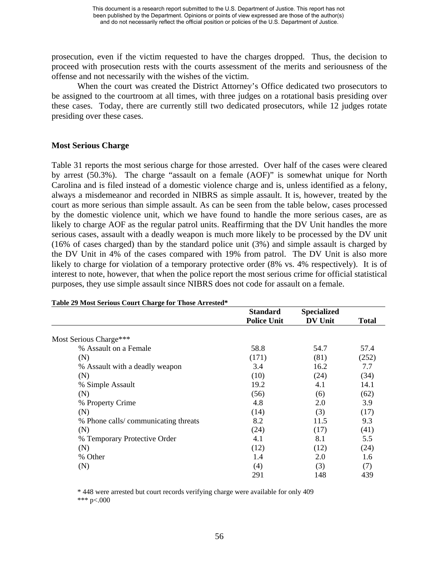prosecution, even if the victim requested to have the charges dropped. Thus, the decision to proceed with prosecution rests with the courts assessment of the merits and seriousness of the offense and not necessarily with the wishes of the victim.

When the court was created the District Attorney's Office dedicated two prosecutors to be assigned to the courtroom at all times, with three judges on a rotational basis presiding over these cases. Today, there are currently still two dedicated prosecutors, while 12 judges rotate presiding over these cases.

#### **Most Serious Charge**

Table 31 reports the most serious charge for those arrested. Over half of the cases were cleared by arrest (50.3%). The charge "assault on a female (AOF)" is somewhat unique for North Carolina and is filed instead of a domestic violence charge and is, unless identified as a felony, always a misdemeanor and recorded in NIBRS as simple assault. It is, however, treated by the court as more serious than simple assault. As can be seen from the table below, cases processed by the domestic violence unit, which we have found to handle the more serious cases, are as likely to charge AOF as the regular patrol units. Reaffirming that the DV Unit handles the more serious cases, assault with a deadly weapon is much more likely to be processed by the DV unit (16% of cases charged) than by the standard police unit (3%) and simple assault is charged by the DV Unit in 4% of the cases compared with 19% from patrol. The DV Unit is also more likely to charge for violation of a temporary protective order (8% vs. 4% respectively). It is of interest to note, however, that when the police report the most serious crime for official statistical purposes, they use simple assault since NIBRS does not code for assault on a female.

|                                     | <b>Standard</b>    | <b>Specialized</b> |       |
|-------------------------------------|--------------------|--------------------|-------|
|                                     | <b>Police Unit</b> | <b>DV Unit</b>     | Total |
| Most Serious Charge***              |                    |                    |       |
| % Assault on a Female               | 58.8               | 54.7               | 57.4  |
| (N)                                 | (171)              | (81)               | (252) |
| % Assault with a deadly weapon      | 3.4                | 16.2               | 7.7   |
| (N)                                 | (10)               | (24)               | (34)  |
| % Simple Assault                    | 19.2               | 4.1                | 14.1  |
| (N)                                 | (56)               | (6)                | (62)  |
| % Property Crime                    | 4.8                | 2.0                | 3.9   |
| (N)                                 | (14)               | (3)                | (17)  |
| % Phone calls/communicating threats | 8.2                | 11.5               | 9.3   |
| (N)                                 | (24)               | (17)               | (41)  |
| % Temporary Protective Order        | 4.1                | 8.1                | 5.5   |
| (N)                                 | (12)               | (12)               | (24)  |
| % Other                             | 1.4                | 2.0                | 1.6   |
| (N)                                 | (4)                | (3)                | (7)   |
|                                     | 291                | 148                | 439   |

#### **Table 29 Most Serious Court Charge for Those Arrested\***

\* 448 were arrested but court records verifying charge were available for only 409 \*\*\* p<.000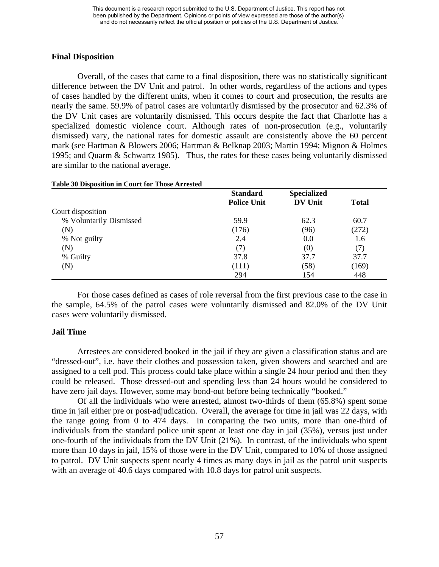### **Final Disposition**

Overall, of the cases that came to a final disposition, there was no statistically significant difference between the DV Unit and patrol. In other words, regardless of the actions and types of cases handled by the different units, when it comes to court and prosecution, the results are nearly the same. 59.9% of patrol cases are voluntarily dismissed by the prosecutor and 62.3% of the DV Unit cases are voluntarily dismissed. This occurs despite the fact that Charlotte has a specialized domestic violence court. Although rates of non-prosecution (e.g., voluntarily dismissed) vary, the national rates for domestic assault are consistently above the 60 percent mark (see Hartman & Blowers 2006; Hartman & Belknap 2003; Martin 1994; Mignon & Holmes 1995; and Quarm & Schwartz 1985). Thus, the rates for these cases being voluntarily dismissed are similar to the national average.

|                         | <b>Standard</b><br><b>Police Unit</b> | <b>Specialized</b><br><b>DV Unit</b> | <b>Total</b> |
|-------------------------|---------------------------------------|--------------------------------------|--------------|
| Court disposition       |                                       |                                      |              |
| % Voluntarily Dismissed | 59.9                                  | 62.3                                 | 60.7         |
| (N)                     | (176)                                 | (96)                                 | (272)        |
| % Not guilty            | 2.4                                   | 0.0                                  | 1.6          |
| (N)                     | (7)                                   | (0)                                  | (7)          |
| % Guilty                | 37.8                                  | 37.7                                 | 37.7         |
| (N)                     | (111)                                 | (58)                                 | (169)        |
|                         | 294                                   | 154                                  | 448          |

#### **Table 30 Disposition in Court for Those Arrested**

For those cases defined as cases of role reversal from the first previous case to the case in the sample, 64.5% of the patrol cases were voluntarily dismissed and 82.0% of the DV Unit cases were voluntarily dismissed.

### **Jail Time**

 Arrestees are considered booked in the jail if they are given a classification status and are "dressed-out", i.e. have their clothes and possession taken, given showers and searched and are assigned to a cell pod. This process could take place within a single 24 hour period and then they could be released. Those dressed-out and spending less than 24 hours would be considered to have zero jail days. However, some may bond-out before being technically "booked."

Of all the individuals who were arrested, almost two-thirds of them (65.8%) spent some time in jail either pre or post-adjudication. Overall, the average for time in jail was 22 days, with the range going from 0 to 474 days. In comparing the two units, more than one-third of individuals from the standard police unit spent at least one day in jail (35%), versus just under one-fourth of the individuals from the DV Unit (21%). In contrast, of the individuals who spent more than 10 days in jail, 15% of those were in the DV Unit, compared to 10% of those assigned to patrol. DV Unit suspects spent nearly 4 times as many days in jail as the patrol unit suspects with an average of 40.6 days compared with 10.8 days for patrol unit suspects.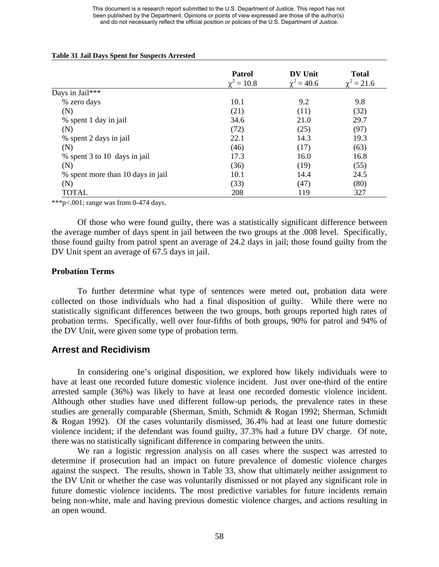#### **Table 31 Jail Days Spent for Suspects Arrested**

|                                   | <b>Patrol</b> | DV Unit         | <b>Total</b> |
|-----------------------------------|---------------|-----------------|--------------|
|                                   | $t' = 10.8$   | $\chi^2 = 40.6$ | $= 21.6$     |
| Days in Jail***                   |               |                 |              |
| % zero days                       | 10.1          | 9.2             | 9.8          |
| (N)                               | (21)          | (11)            | (32)         |
| % spent 1 day in jail             | 34.6          | 21.0            | 29.7         |
| (N)                               | (72)          | (25)            | (97)         |
| % spent 2 days in jail            | 22.1          | 14.3            | 19.3         |
| (N)                               | (46)          | (17)            | (63)         |
| % spent 3 to 10 days in jail      | 17.3          | 16.0            | 16.8         |
| (N)                               | (36)          | (19)            | (55)         |
| % spent more than 10 days in jail | 10.1          | 14.4            | 24.5         |
| (N)                               | (33)          | (47)            | (80)         |
| <b>TOTAL</b>                      | 208           | 119             | 327          |

\*\*\*p<.001; range was from 0-474 days.

Of those who were found guilty, there was a statistically significant difference between the average number of days spent in jail between the two groups at the .008 level. Specifically, those found guilty from patrol spent an average of 24.2 days in jail; those found guilty from the DV Unit spent an average of 67.5 days in jail.

#### **Probation Terms**

To further determine what type of sentences were meted out, probation data were collected on those individuals who had a final disposition of guilty. While there were no statistically significant differences between the two groups, both groups reported high rates of probation terms. Specifically, well over four-fifths of both groups, 90% for patrol and 94% of the DV Unit, were given some type of probation term.

## **Arrest and Recidivism**

In considering one's original disposition, we explored how likely individuals were to have at least one recorded future domestic violence incident. Just over one-third of the entire arrested sample (36%) was likely to have at least one recorded domestic violence incident. Although other studies have used different follow-up periods, the prevalence rates in these studies are generally comparable (Sherman, Smith, Schmidt & Rogan 1992; Sherman, Schmidt & Rogan 1992). Of the cases voluntarily dismissed, 36.4% had at least one future domestic violence incident; if the defendant was found guilty, 37.3% had a future DV charge. Of note, there was no statistically significant difference in comparing between the units.

We ran a logistic regression analysis on all cases where the suspect was arrested to determine if prosecution had an impact on future prevalence of domestic violence charges against the suspect. The results, shown in Table 33, show that ultimately neither assignment to the DV Unit or whether the case was voluntarily dismissed or not played any significant role in future domestic violence incidents. The most predictive variables for future incidents remain being non-white, male and having previous domestic violence charges, and actions resulting in an open wound.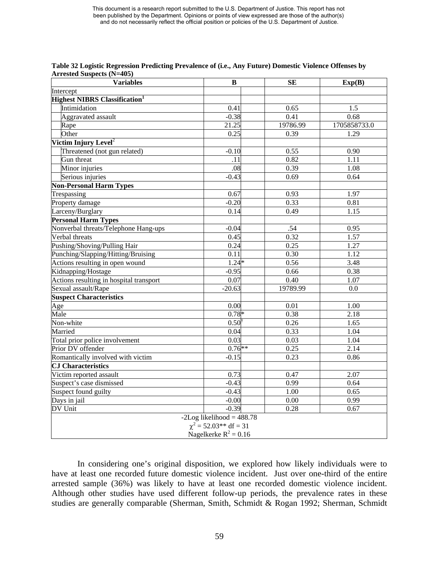| <b>Variables</b>                                 | B                           | SE       | Exp(B)       |  |
|--------------------------------------------------|-----------------------------|----------|--------------|--|
| Intercept                                        |                             |          |              |  |
| <b>Highest NIBRS Classification</b> <sup>1</sup> |                             |          |              |  |
| Intimidation                                     | 0.41                        | 0.65     | 1.5          |  |
| Aggravated assault                               | $-0.38$                     | 0.41     | 0.68         |  |
| Rape                                             | 21.25                       | 19786.99 | 1705858733.0 |  |
| Other                                            | 0.25                        | 0.39     | 1.29         |  |
| Victim Injury Level <sup>2</sup>                 |                             |          |              |  |
| Threatened (not gun related)                     | $-0.10$                     | 0.55     | 0.90         |  |
| Gun threat                                       | .11                         | 0.82     | 1.11         |  |
| Minor injuries                                   | .08                         | 0.39     | 1.08         |  |
| Serious injuries                                 | $-0.43$                     | 0.69     | 0.64         |  |
| <b>Non-Personal Harm Types</b>                   |                             |          |              |  |
| Trespassing                                      | 0.67                        | 0.93     | 1.97         |  |
| Property damage                                  | $-0.20$                     | 0.33     | 0.81         |  |
| Larceny/Burglary                                 | 0.14                        | 0.49     | 1.15         |  |
| <b>Personal Harm Types</b>                       |                             |          |              |  |
| Nonverbal threats/Telephone Hang-ups             | $-0.04$                     | .54      | 0.95         |  |
| Verbal threats                                   | 0.45                        | 0.32     | 1.57         |  |
| Pushing/Shoving/Pulling Hair                     | 0.24                        | 0.25     | 1.27         |  |
| Punching/Slapping/Hitting/Bruising               | $\overline{0.11}$           | 0.30     | 1.12         |  |
| Actions resulting in open wound                  | $1.24*$                     | 0.56     | 3.48         |  |
| Kidnapping/Hostage                               | $-0.95$                     | 0.66     | 0.38         |  |
| Actions resulting in hospital transport          | 0.07                        | 0.40     | 1.07         |  |
| Sexual assault/Rape                              | $-20.63$                    | 19789.99 | 0.0          |  |
| <b>Suspect Characteristics</b>                   |                             |          |              |  |
| Age                                              | 0.00                        | 0.01     | 1.00         |  |
| Male                                             | $0.78*$                     | 0.38     | 2.18         |  |
| Non-white                                        | 0.50                        | 0.26     | 1.65         |  |
| Married                                          | $0.\overline{04}$           | 0.33     | 1.04         |  |
| Total prior police involvement                   | $\overline{0.03}$           | 0.03     | 1.04         |  |
| Prior DV offender                                | $0.76**$                    | 0.25     | 2.14         |  |
| Romantically involved with victim                | $-0.15$                     | 0.23     | 0.86         |  |
| <b>CJ</b> Characteristics                        |                             |          |              |  |
| Victim reported assault                          | 0.73                        | 0.47     | 2.07         |  |
| Suspect's case dismissed                         | $-0.43$                     | 0.99     | 0.64         |  |
| Suspect found guilty                             | $-0.43$                     | 1.00     | 0.65         |  |
| Days in jail                                     | $-0.00$                     | 0.00     | 0.99         |  |
| DV Unit                                          | $-0.39$                     | 0.28     | 0.67         |  |
|                                                  | $-2Log likelihood = 488.78$ |          |              |  |
|                                                  | $\chi^2$ = 52.03** df = 31  |          |              |  |
| Nagelkerke $R^2 = 0.16$                          |                             |          |              |  |

**Table 32 Logistic Regression Predicting Prevalence of (i.e., Any Future) Domestic Violence Offenses by Arrested Suspects (N=405)** 

In considering one's original disposition, we explored how likely individuals were to have at least one recorded future domestic violence incident. Just over one-third of the entire arrested sample (36%) was likely to have at least one recorded domestic violence incident. Although other studies have used different follow-up periods, the prevalence rates in these studies are generally comparable (Sherman, Smith, Schmidt & Rogan 1992; Sherman, Schmidt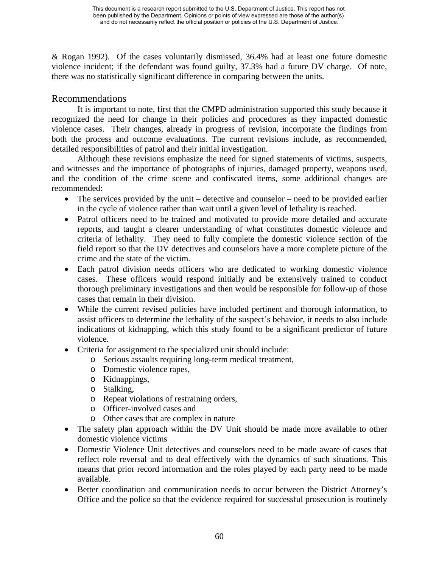& Rogan 1992). Of the cases voluntarily dismissed, 36.4% had at least one future domestic violence incident; if the defendant was found guilty, 37.3% had a future DV charge. Of note, there was no statistically significant difference in comparing between the units.

## Recommendations

It is important to note, first that the CMPD administration supported this study because it recognized the need for change in their policies and procedures as they impacted domestic violence cases. Their changes, already in progress of revision, incorporate the findings from both the process and outcome evaluations. The current revisions include, as recommended, detailed responsibilities of patrol and their initial investigation.

Although these revisions emphasize the need for signed statements of victims, suspects, and witnesses and the importance of photographs of injuries, damaged property, weapons used, and the condition of the crime scene and confiscated items, some additional changes are recommended:

- The services provided by the unit detective and counselor need to be provided earlier in the cycle of violence rather than wait until a given level of lethality is reached.
- Patrol officers need to be trained and motivated to provide more detailed and accurate reports, and taught a clearer understanding of what constitutes domestic violence and criteria of lethality. They need to fully complete the domestic violence section of the field report so that the DV detectives and counselors have a more complete picture of the crime and the state of the victim.
- Each patrol division needs officers who are dedicated to working domestic violence cases. These officers would respond initially and be extensively trained to conduct thorough preliminary investigations and then would be responsible for follow-up of those cases that remain in their division.
- While the current revised policies have included pertinent and thorough information, to assist officers to determine the lethality of the suspect's behavior, it needs to also include indications of kidnapping, which this study found to be a significant predictor of future violence.
- Criteria for assignment to the specialized unit should include:
	- o Serious assaults requiring long-term medical treatment,
	- o Domestic violence rapes,
	- o Kidnappings,
	- o Stalking,
	- o Repeat violations of restraining orders,
	- o Officer-involved cases and
	- o Other cases that are complex in nature
- The safety plan approach within the DV Unit should be made more available to other domestic violence victims
- Domestic Violence Unit detectives and counselors need to be made aware of cases that reflect role reversal and to deal effectively with the dynamics of such situations. This means that prior record information and the roles played by each party need to be made available.
- Better coordination and communication needs to occur between the District Attorney's Office and the police so that the evidence required for successful prosecution is routinely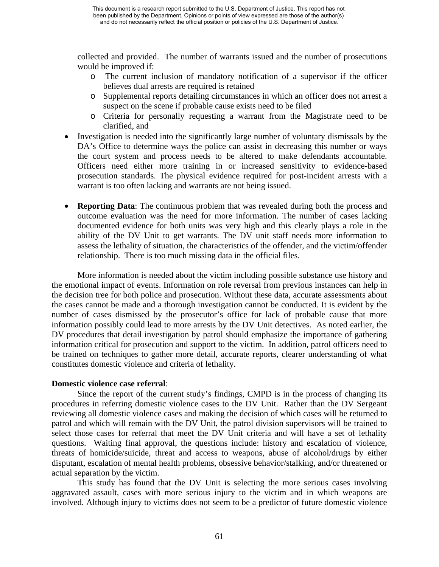collected and provided. The number of warrants issued and the number of prosecutions would be improved if:

- o The current inclusion of mandatory notification of a supervisor if the officer believes dual arrests are required is retained
- o Supplemental reports detailing circumstances in which an officer does not arrest a suspect on the scene if probable cause exists need to be filed
- o Criteria for personally requesting a warrant from the Magistrate need to be clarified, and
- Investigation is needed into the significantly large number of voluntary dismissals by the DA's Office to determine ways the police can assist in decreasing this number or ways the court system and process needs to be altered to make defendants accountable. Officers need either more training in or increased sensitivity to evidence-based prosecution standards. The physical evidence required for post-incident arrests with a warrant is too often lacking and warrants are not being issued.
- **Reporting Data**: The continuous problem that was revealed during both the process and outcome evaluation was the need for more information. The number of cases lacking documented evidence for both units was very high and this clearly plays a role in the ability of the DV Unit to get warrants. The DV unit staff needs more information to assess the lethality of situation, the characteristics of the offender, and the victim/offender relationship. There is too much missing data in the official files.

More information is needed about the victim including possible substance use history and the emotional impact of events. Information on role reversal from previous instances can help in the decision tree for both police and prosecution. Without these data, accurate assessments about the cases cannot be made and a thorough investigation cannot be conducted. It is evident by the number of cases dismissed by the prosecutor's office for lack of probable cause that more information possibly could lead to more arrests by the DV Unit detectives. As noted earlier, the DV procedures that detail investigation by patrol should emphasize the importance of gathering information critical for prosecution and support to the victim. In addition, patrol officers need to be trained on techniques to gather more detail, accurate reports, clearer understanding of what constitutes domestic violence and criteria of lethality.

### **Domestic violence case referral**:

Since the report of the current study's findings, CMPD is in the process of changing its procedures in referring domestic violence cases to the DV Unit. Rather than the DV Sergeant reviewing all domestic violence cases and making the decision of which cases will be returned to patrol and which will remain with the DV Unit, the patrol division supervisors will be trained to select those cases for referral that meet the DV Unit criteria and will have a set of lethality questions. Waiting final approval, the questions include: history and escalation of violence, threats of homicide/suicide, threat and access to weapons, abuse of alcohol/drugs by either disputant, escalation of mental health problems, obsessive behavior/stalking, and/or threatened or actual separation by the victim.

This study has found that the DV Unit is selecting the more serious cases involving aggravated assault, cases with more serious injury to the victim and in which weapons are involved. Although injury to victims does not seem to be a predictor of future domestic violence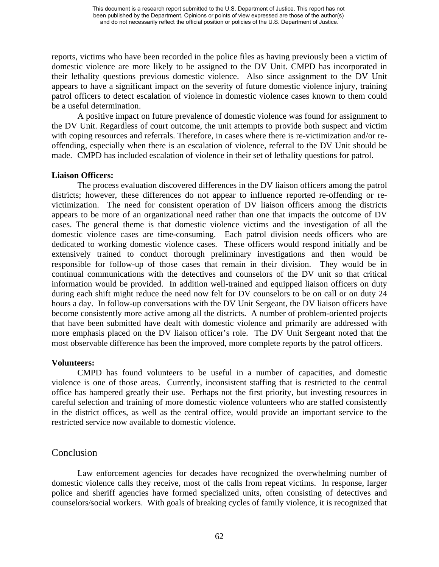reports, victims who have been recorded in the police files as having previously been a victim of domestic violence are more likely to be assigned to the DV Unit. CMPD has incorporated in their lethality questions previous domestic violence. Also since assignment to the DV Unit appears to have a significant impact on the severity of future domestic violence injury, training patrol officers to detect escalation of violence in domestic violence cases known to them could be a useful determination.

A positive impact on future prevalence of domestic violence was found for assignment to the DV Unit. Regardless of court outcome, the unit attempts to provide both suspect and victim with coping resources and referrals. Therefore, in cases where there is re-victimization and/or reoffending, especially when there is an escalation of violence, referral to the DV Unit should be made. CMPD has included escalation of violence in their set of lethality questions for patrol.

#### **Liaison Officers:**

The process evaluation discovered differences in the DV liaison officers among the patrol districts; however, these differences do not appear to influence reported re-offending or revictimization. The need for consistent operation of DV liaison officers among the districts appears to be more of an organizational need rather than one that impacts the outcome of DV cases. The general theme is that domestic violence victims and the investigation of all the domestic violence cases are time-consuming. Each patrol division needs officers who are dedicated to working domestic violence cases. These officers would respond initially and be extensively trained to conduct thorough preliminary investigations and then would be responsible for follow-up of those cases that remain in their division. They would be in continual communications with the detectives and counselors of the DV unit so that critical information would be provided. In addition well-trained and equipped liaison officers on duty during each shift might reduce the need now felt for DV counselors to be on call or on duty 24 hours a day. In follow-up conversations with the DV Unit Sergeant, the DV liaison officers have become consistently more active among all the districts. A number of problem-oriented projects that have been submitted have dealt with domestic violence and primarily are addressed with more emphasis placed on the DV liaison officer's role. The DV Unit Sergeant noted that the most observable difference has been the improved, more complete reports by the patrol officers.

### **Volunteers:**

CMPD has found volunteers to be useful in a number of capacities, and domestic violence is one of those areas. Currently, inconsistent staffing that is restricted to the central office has hampered greatly their use. Perhaps not the first priority, but investing resources in careful selection and training of more domestic violence volunteers who are staffed consistently in the district offices, as well as the central office, would provide an important service to the restricted service now available to domestic violence.

## Conclusion

Law enforcement agencies for decades have recognized the overwhelming number of domestic violence calls they receive, most of the calls from repeat victims. In response, larger police and sheriff agencies have formed specialized units, often consisting of detectives and counselors/social workers. With goals of breaking cycles of family violence, it is recognized that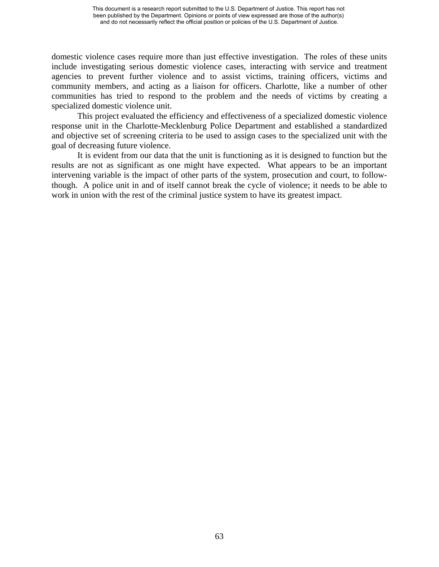domestic violence cases require more than just effective investigation. The roles of these units include investigating serious domestic violence cases, interacting with service and treatment agencies to prevent further violence and to assist victims, training officers, victims and community members, and acting as a liaison for officers. Charlotte, like a number of other communities has tried to respond to the problem and the needs of victims by creating a specialized domestic violence unit.

This project evaluated the efficiency and effectiveness of a specialized domestic violence response unit in the Charlotte-Mecklenburg Police Department and established a standardized and objective set of screening criteria to be used to assign cases to the specialized unit with the goal of decreasing future violence.

It is evident from our data that the unit is functioning as it is designed to function but the results are not as significant as one might have expected. What appears to be an important intervening variable is the impact of other parts of the system, prosecution and court, to followthough. A police unit in and of itself cannot break the cycle of violence; it needs to be able to work in union with the rest of the criminal justice system to have its greatest impact.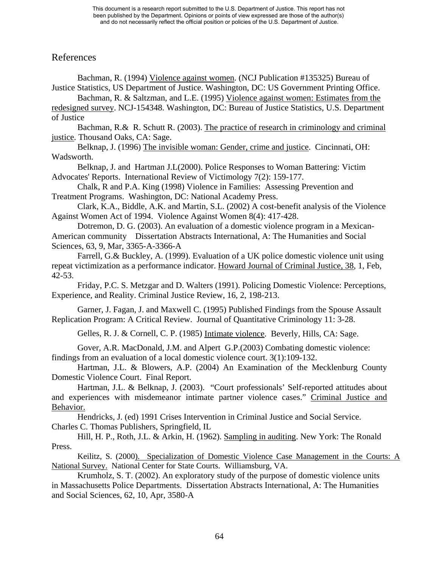## References

Bachman, R. (1994) Violence against women. (NCJ Publication #135325) Bureau of Justice Statistics, US Department of Justice. Washington, DC: US Government Printing Office. Bachman, R. & Saltzman, and L.E. (1995) Violence against women: Estimates from the redesigned survey. NCJ-154348. Washington, DC: Bureau of Justice Statistics, U.S. Department of Justice Bachman, R.& R. Schutt R. (2003). The practice of research in criminology and criminal justice. Thousand Oaks, CA: Sage. Belknap, J. (1996) The invisible woman: Gender, crime and justice. Cincinnati, OH: Wadsworth. Belknap, J. and Hartman J.L(2000). Police Responses to Woman Battering: Victim Advocates' Reports. International Review of Victimology 7(2): 159-177. Chalk, R and P.A. King (1998) Violence in Families: Assessing Prevention and Treatment Programs. Washington, DC: National Academy Press. Clark, K.A., Biddle, A.K. and Martin, S.L. (2002) A cost-benefit analysis of the Violence Against Women Act of 1994. Violence Against Women 8(4): 417-428. Dotremon, D. G. (2003). An evaluation of a domestic violence program in a Mexican-American community Dissertation Abstracts International, A: The Humanities and Social Sciences, 63, 9, Mar, 3365-A-3366-A Farrell, G.& Buckley, A. (1999). Evaluation of a UK police domestic violence unit using repeat victimization as a performance indicator. Howard Journal of Criminal Justice, 38, 1, Feb,

42-53.

Friday, P.C. S. Metzgar and D. Walters (1991). Policing Domestic Violence: Perceptions, Experience, and Reality. Criminal Justice Review, 16, 2, 198-213.

Garner, J. Fagan, J. and Maxwell C. (1995) Published Findings from the Spouse Assault Replication Program: A Critical Review. Journal of Quantitative Criminology 11: 3-28.

Gelles, R. J. & Cornell, C. P. (1985) Intimate violence. Beverly, Hills, CA: Sage.

Gover, A.R. MacDonald, J.M. and Alpert G.P.(2003) Combating domestic violence: findings from an evaluation of a local domestic violence court. 3(1):109-132.

Hartman, J.L. & Blowers, A.P. (2004) An Examination of the Mecklenburg County Domestic Violence Court. Final Report.

Hartman, J.L. & Belknap, J. (2003). "Court professionals' Self-reported attitudes about and experiences with misdemeanor intimate partner violence cases." Criminal Justice and Behavior.

Hendricks, J. (ed) 1991 Crises Intervention in Criminal Justice and Social Service. Charles C. Thomas Publishers, Springfield, IL

Hill, H. P., Roth, J.L. & Arkin, H. (1962). Sampling in auditing. New York: The Ronald Press.

Keilitz, S. (2000). Specialization of Domestic Violence Case Management in the Courts: A National Survey. National Center for State Courts. Williamsburg, VA.

Krumholz, S. T. (2002). An exploratory study of the purpose of domestic violence units in Massachusetts Police Departments. Dissertation Abstracts International, A: The Humanities and Social Sciences, 62, 10, Apr, 3580-A